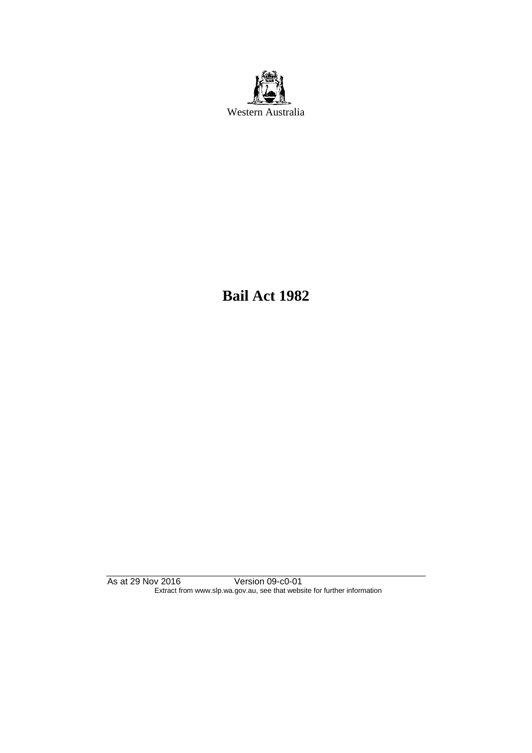

**Bail Act 1982**

As at 29 Nov 2016 Version 09-c0-01 Extract from www.slp.wa.gov.au, see that website for further information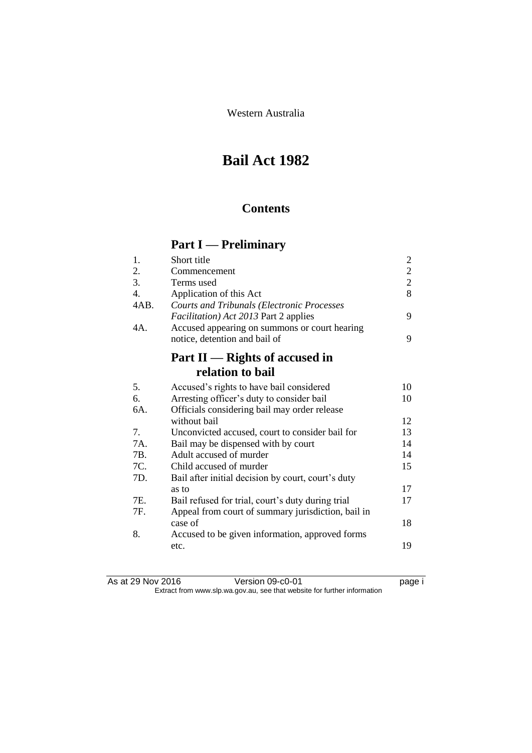Western Australia

# **Bail Act 1982**

## **Contents**

# **Part I — Preliminary**

| 1.               | Short title                                        | $\overline{c}$ |
|------------------|----------------------------------------------------|----------------|
| 2.               | Commencement                                       | $\overline{c}$ |
| 3.               | Terms used                                         | $\overline{2}$ |
| $\overline{4}$ . | Application of this Act                            | 8              |
| 4AB.             | <b>Courts and Tribunals (Electronic Processes</b>  |                |
|                  | <i>Facilitation</i> ) Act 2013 Part 2 applies      | 9              |
| 4A.              | Accused appearing on summons or court hearing      |                |
|                  | notice, detention and bail of                      | 9              |
|                  | Part II — Rights of accused in                     |                |
|                  | relation to bail                                   |                |
| 5.               | Accused's rights to have bail considered           | 10             |
| 6.               | Arresting officer's duty to consider bail          | 10             |
| 6A.              | Officials considering bail may order release       |                |
|                  | without bail                                       | 12             |
| 7.               | Unconvicted accused, court to consider bail for    | 13             |
| 7A.              | Bail may be dispensed with by court                | 14             |
| 7B.              | Adult accused of murder                            | 14             |
| 7C.              | Child accused of murder                            | 15             |
| 7D.              | Bail after initial decision by court, court's duty |                |
|                  | as to                                              | 17             |
| 7E.              | Bail refused for trial, court's duty during trial  | 17             |
| 7F.              | Appeal from court of summary jurisdiction, bail in |                |
|                  | case of                                            | 18             |
| 8.               | Accused to be given information, approved forms    |                |
|                  | etc.                                               | 19             |

| As at 29 Nov 2016 | Version 09-c0-01                                                         | page i |
|-------------------|--------------------------------------------------------------------------|--------|
|                   | Extract from www.slp.wa.gov.au, see that website for further information |        |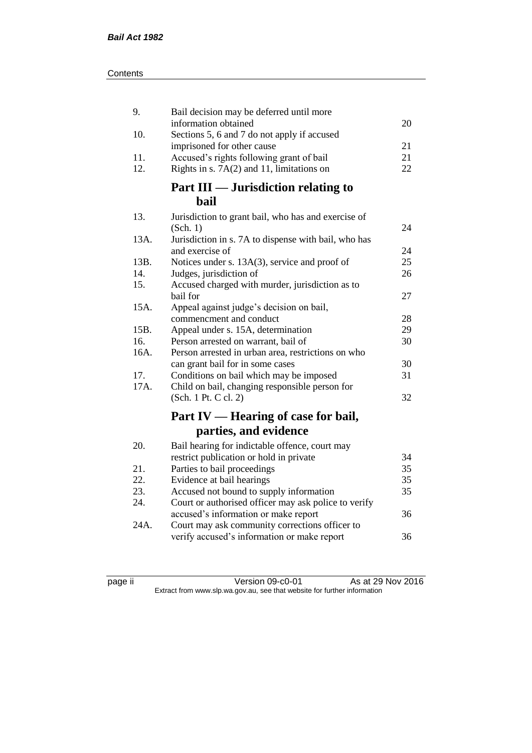| 9.   | Bail decision may be deferred until more             |    |
|------|------------------------------------------------------|----|
|      | information obtained                                 | 20 |
| 10.  | Sections 5, 6 and 7 do not apply if accused          |    |
|      | imprisoned for other cause                           | 21 |
| 11.  | Accused's rights following grant of bail             | 21 |
| 12.  | Rights in s. 7A(2) and 11, limitations on            | 22 |
|      | Part III — Jurisdiction relating to                  |    |
|      | <b>bail</b>                                          |    |
| 13.  | Jurisdiction to grant bail, who has and exercise of  |    |
|      | (Sch. 1)                                             | 24 |
| 13A. | Jurisdiction in s. 7A to dispense with bail, who has |    |
|      | and exercise of                                      | 24 |
| 13B. | Notices under s. 13A(3), service and proof of        | 25 |
| 14.  | Judges, jurisdiction of                              | 26 |
| 15.  | Accused charged with murder, jurisdiction as to      |    |
|      | bail for                                             | 27 |
| 15A. | Appeal against judge's decision on bail,             |    |
|      | commencment and conduct                              | 28 |
| 15B. | Appeal under s. 15A, determination                   | 29 |
| 16.  | Person arrested on warrant, bail of                  | 30 |
| 16A. | Person arrested in urban area, restrictions on who   |    |
|      | can grant bail for in some cases                     | 30 |
| 17.  | Conditions on bail which may be imposed              | 31 |
| 17A. | Child on bail, changing responsible person for       |    |
|      | (Sch. 1 Pt. C cl. 2)                                 | 32 |
|      | Part IV — Hearing of case for bail,                  |    |
|      | parties, and evidence                                |    |
| 20.  | Bail hearing for indictable offence, court may       |    |
|      | restrict publication or hold in private              | 34 |
| 21.  | Parties to bail proceedings                          | 35 |
| 22.  | Evidence at bail hearings                            | 35 |
| 23.  | Accused not bound to supply information              | 35 |
| 24.  | Court or authorised officer may ask police to verify |    |
|      | accused's information or make report                 | 36 |
| 24A. | Court may ask community corrections officer to       |    |
|      | verify accused's information or make report          | 36 |

page ii Version 09-c0-01 As at 29 Nov 2016 Extract from www.slp.wa.gov.au, see that website for further information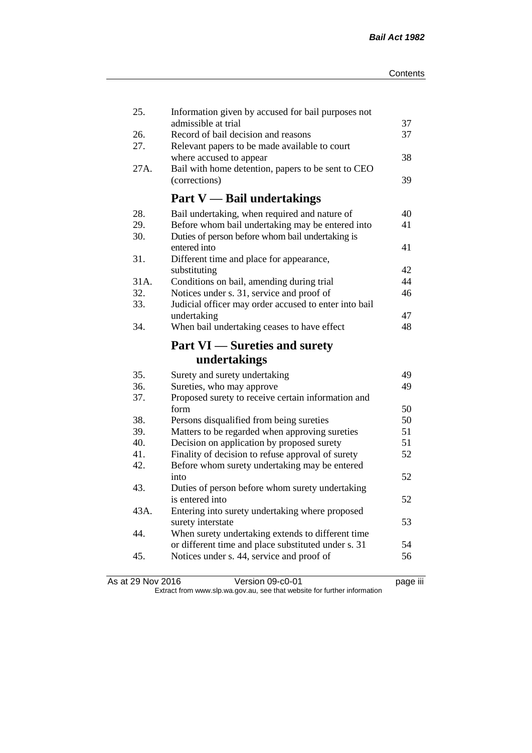| 25.  | Information given by accused for bail purposes not<br>admissible at trial | 37 |
|------|---------------------------------------------------------------------------|----|
| 26.  | Record of bail decision and reasons                                       | 37 |
| 27.  | Relevant papers to be made available to court                             |    |
|      | where accused to appear                                                   | 38 |
| 27A. | Bail with home detention, papers to be sent to CEO                        |    |
|      | (corrections)                                                             | 39 |
|      | <b>Part V</b> — Bail undertakings                                         |    |
| 28.  | Bail undertaking, when required and nature of                             | 40 |
| 29.  | Before whom bail undertaking may be entered into                          | 41 |
| 30.  | Duties of person before whom bail undertaking is                          |    |
|      | entered into                                                              | 41 |
| 31.  | Different time and place for appearance,                                  |    |
|      | substituting                                                              | 42 |
| 31A. | Conditions on bail, amending during trial                                 | 44 |
| 32.  | Notices under s. 31, service and proof of                                 | 46 |
| 33.  | Judicial officer may order accused to enter into bail                     |    |
|      | undertaking                                                               | 47 |
| 34.  | When bail undertaking ceases to have effect                               | 48 |
|      | <b>Part VI</b> — Sureties and surety                                      |    |
|      |                                                                           |    |
|      | undertakings                                                              |    |
| 35.  | Surety and surety undertaking                                             | 49 |
| 36.  | Sureties, who may approve                                                 | 49 |
| 37.  | Proposed surety to receive certain information and                        |    |
|      | form                                                                      | 50 |
| 38.  | Persons disqualified from being sureties                                  | 50 |
| 39.  | Matters to be regarded when approving sureties                            | 51 |
| 40.  | Decision on application by proposed surety                                | 51 |
| 41.  | Finality of decision to refuse approval of surety                         | 52 |
| 42.  | Before whom surety undertaking may be entered                             |    |
|      | into                                                                      | 52 |
| 43.  | Duties of person before whom surety undertaking                           |    |
|      | is entered into                                                           | 52 |
| 43A. | Entering into surety undertaking where proposed                           |    |
|      | surety interstate                                                         | 53 |
| 44.  | When surety undertaking extends to different time                         |    |
|      | or different time and place substituted under s. 31                       | 54 |
| 45.  | Notices under s. 44, service and proof of                                 | 56 |

As at 29 Nov 2016 Version 09-c0-01 page iii Extract from www.slp.wa.gov.au, see that website for further information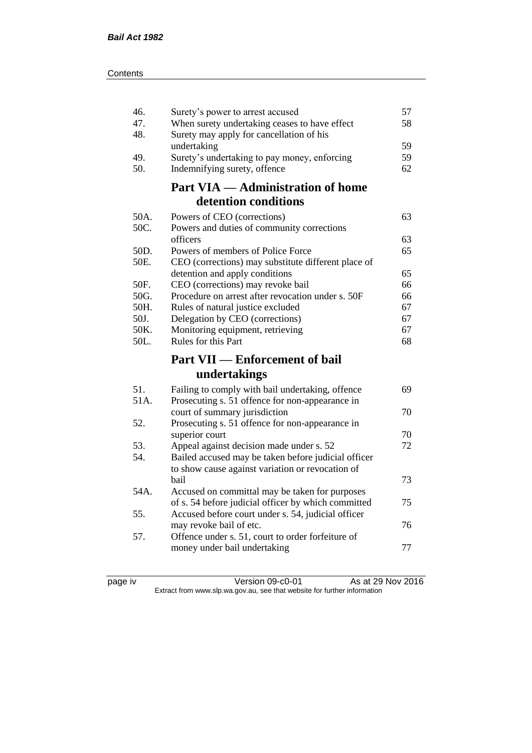| 46.        | Surety's power to arrest accused                                                                      | 57 |
|------------|-------------------------------------------------------------------------------------------------------|----|
| 47.        | When surety undertaking ceases to have effect                                                         | 58 |
| 48.        | Surety may apply for cancellation of his                                                              |    |
|            | undertaking                                                                                           | 59 |
| 49.        | Surety's undertaking to pay money, enforcing                                                          | 59 |
| 50.        | Indemnifying surety, offence                                                                          | 62 |
|            | <b>Part VIA — Administration of home</b>                                                              |    |
|            | detention conditions                                                                                  |    |
| 50A.       | Powers of CEO (corrections)                                                                           | 63 |
| 50C.       | Powers and duties of community corrections                                                            |    |
|            | officers                                                                                              | 63 |
| 50D.       | Powers of members of Police Force                                                                     | 65 |
| 50E.       | CEO (corrections) may substitute different place of                                                   |    |
|            | detention and apply conditions                                                                        | 65 |
| 50F.       | CEO (corrections) may revoke bail                                                                     | 66 |
| 50G.       | Procedure on arrest after revocation under s. 50F                                                     | 66 |
| 50H.       | Rules of natural justice excluded                                                                     | 67 |
| 50J.       | Delegation by CEO (corrections)                                                                       | 67 |
| 50K.       | Monitoring equipment, retrieving                                                                      | 67 |
|            |                                                                                                       |    |
| 50L.       | Rules for this Part                                                                                   | 68 |
|            | <b>Part VII — Enforcement of bail</b>                                                                 |    |
|            | undertakings                                                                                          |    |
|            |                                                                                                       |    |
| 51.        | Failing to comply with bail undertaking, offence                                                      | 69 |
| 51A.       | Prosecuting s. 51 offence for non-appearance in                                                       |    |
|            | court of summary jurisdiction                                                                         | 70 |
| 52.        | Prosecuting s. 51 offence for non-appearance in                                                       | 70 |
|            | superior court                                                                                        | 72 |
| 53.<br>54. | Appeal against decision made under s. 52                                                              |    |
|            | Bailed accused may be taken before judicial officer                                                   |    |
|            | to show cause against variation or revocation of<br>bail                                              | 73 |
| 54A.       |                                                                                                       |    |
|            | Accused on committal may be taken for purposes<br>of s. 54 before judicial officer by which committed | 75 |
| 55.        | Accused before court under s. 54, judicial officer                                                    |    |
|            | may revoke bail of etc.                                                                               | 76 |
| 57.        | Offence under s. 51, court to order forfeiture of                                                     |    |
|            | money under bail undertaking                                                                          | 77 |

page iv Version 09-c0-01 As at 29 Nov 2016 Extract from www.slp.wa.gov.au, see that website for further information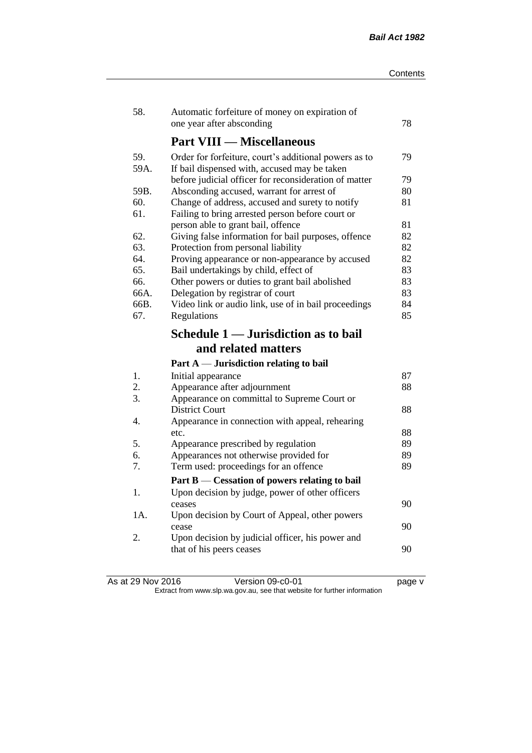| 58.  | Automatic forfeiture of money on expiration of<br>one year after absconding               | 78       |
|------|-------------------------------------------------------------------------------------------|----------|
|      | <b>Part VIII — Miscellaneous</b>                                                          |          |
| 59.  | Order for forfeiture, court's additional powers as to                                     | 79       |
| 59A. | If bail dispensed with, accused may be taken                                              |          |
|      | before judicial officer for reconsideration of matter                                     | 79       |
| 59B. | Absconding accused, warrant for arrest of                                                 | 80       |
| 60.  | Change of address, accused and surety to notify                                           | 81       |
| 61.  | Failing to bring arrested person before court or                                          |          |
| 62.  | person able to grant bail, offence                                                        | 81<br>82 |
| 63.  | Giving false information for bail purposes, offence<br>Protection from personal liability | 82       |
| 64.  | Proving appearance or non-appearance by accused                                           | 82       |
| 65.  | Bail undertakings by child, effect of                                                     | 83       |
| 66.  | Other powers or duties to grant bail abolished                                            | 83       |
| 66A. | Delegation by registrar of court                                                          | 83       |
| 66B. | Video link or audio link, use of in bail proceedings                                      | 84       |
| 67.  | Regulations                                                                               | 85       |
|      | Schedule 1 — Jurisdiction as to bail                                                      |          |
|      |                                                                                           |          |
|      | and related matters                                                                       |          |
|      | Part $A$ — Jurisdiction relating to bail                                                  |          |
| 1.   | Initial appearance                                                                        | 87       |
| 2.   | Appearance after adjournment                                                              | 88       |
| 3.   | Appearance on committal to Supreme Court or                                               |          |
|      | <b>District Court</b>                                                                     | 88       |
| 4.   | Appearance in connection with appeal, rehearing                                           |          |
|      | etc.                                                                                      | 88       |
| 5.   | Appearance prescribed by regulation                                                       | 89       |
| 6.   | Appearances not otherwise provided for                                                    | 89       |
| 7.   | Term used: proceedings for an offence                                                     | 89       |
|      | Part B — Cessation of powers relating to bail                                             |          |
| 1.   | Upon decision by judge, power of other officers                                           |          |
|      | ceases                                                                                    | 90       |
| 1A.  | Upon decision by Court of Appeal, other powers<br>cease                                   | 90       |
| 2.   | Upon decision by judicial officer, his power and                                          |          |
|      | that of his peers ceases                                                                  | 90       |

As at 29 Nov 2016 Version 09-c0-01 page v Extract from www.slp.wa.gov.au, see that website for further information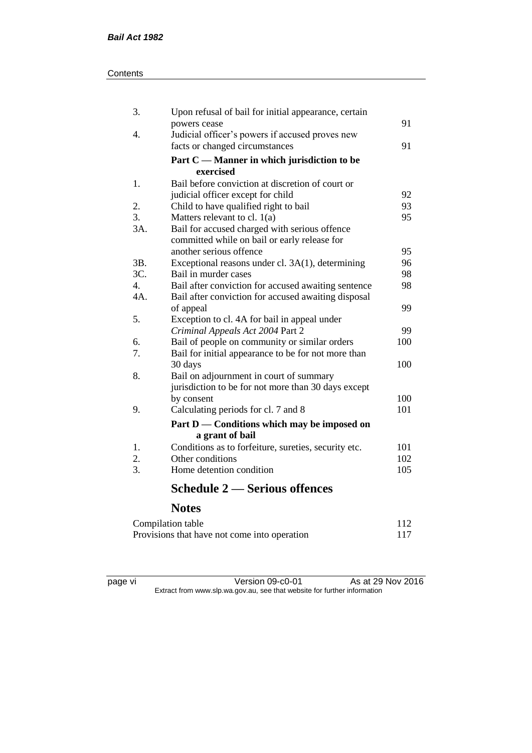#### **Contents**

| 3.               | Upon refusal of bail for initial appearance, certain |     |
|------------------|------------------------------------------------------|-----|
|                  | powers cease                                         | 91  |
| 4.               | Judicial officer's powers if accused proves new      |     |
|                  | facts or changed circumstances                       | 91  |
|                  | Part $C$ — Manner in which jurisdiction to be        |     |
|                  | exercised                                            |     |
| 1.               | Bail before conviction at discretion of court or     |     |
|                  | judicial officer except for child                    | 92  |
| 2.               | Child to have qualified right to bail                | 93  |
| $\overline{3}$ . | Matters relevant to cl. $1(a)$                       | 95  |
| 3A.              | Bail for accused charged with serious offence        |     |
|                  | committed while on bail or early release for         |     |
|                  | another serious offence                              | 95  |
| 3B.              | Exceptional reasons under cl. 3A(1), determining     | 96  |
| 3C.              | Bail in murder cases                                 | 98  |
| 4.               | Bail after conviction for accused awaiting sentence  | 98  |
| 4A.              | Bail after conviction for accused awaiting disposal  |     |
|                  | of appeal                                            | 99  |
| 5.               | Exception to cl. 4A for bail in appeal under         |     |
|                  | Criminal Appeals Act 2004 Part 2                     | 99  |
| 6.               | Bail of people on community or similar orders        | 100 |
| 7.               | Bail for initial appearance to be for not more than  |     |
|                  | 30 days                                              | 100 |
| 8.               | Bail on adjournment in court of summary              |     |
|                  | jurisdiction to be for not more than 30 days except  |     |
|                  | by consent                                           | 100 |
| 9.               | Calculating periods for cl. 7 and 8                  | 101 |
|                  | Part D — Conditions which may be imposed on          |     |
|                  | a grant of bail                                      |     |
| 1.               | Conditions as to forfeiture, sureties, security etc. | 101 |
| 2.               | Other conditions                                     | 102 |
| 3.               | Home detention condition                             | 105 |
|                  |                                                      |     |

# **Schedule 2 — Serious offences**

## **Notes**

| Compilation table                            | 112 |
|----------------------------------------------|-----|
| Provisions that have not come into operation | 117 |

page vi Version 09-c0-01 As at 29 Nov 2016 Extract from www.slp.wa.gov.au, see that website for further information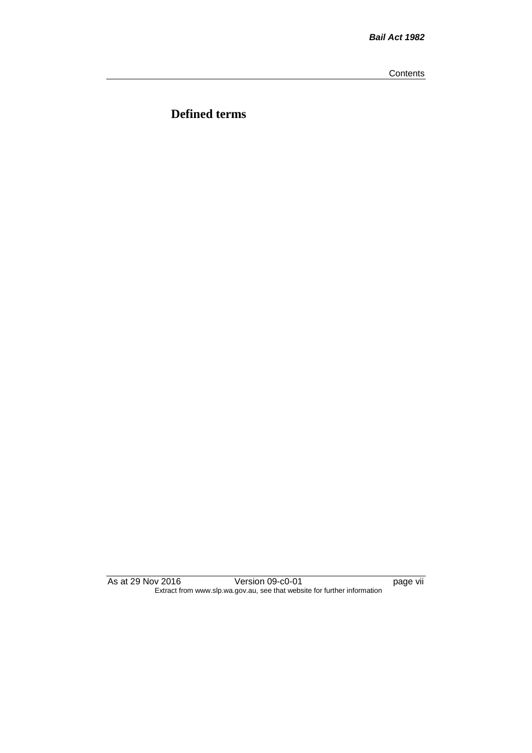**Contents** 

**Defined terms**

As at 29 Nov 2016 Version 09-c0-01 page vii Extract from www.slp.wa.gov.au, see that website for further information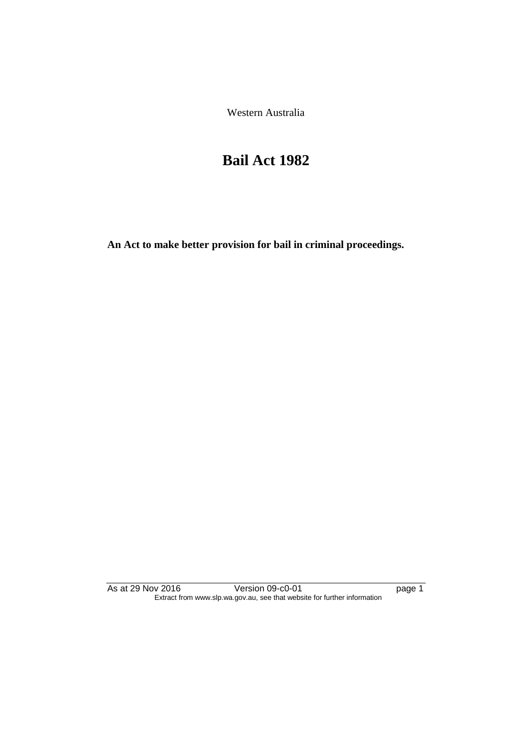Western Australia

## **Bail Act 1982**

**An Act to make better provision for bail in criminal proceedings.** 

As at 29 Nov 2016 Version 09-c0-01 page 1 Extract from www.slp.wa.gov.au, see that website for further information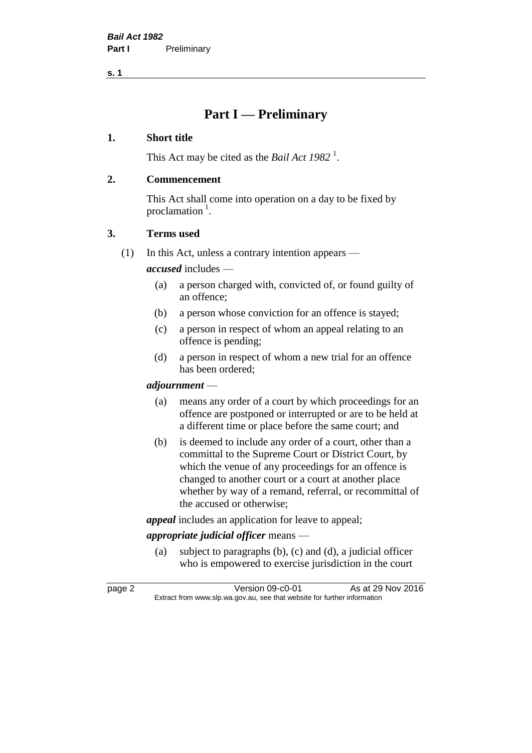## **Part I — Preliminary**

#### **1. Short title**

This Act may be cited as the *Bail Act* 1982<sup>1</sup>.

#### **2. Commencement**

This Act shall come into operation on a day to be fixed by proclamation<sup>1</sup>.

#### **3. Terms used**

(1) In this Act, unless a contrary intention appears —

*accused* includes —

- (a) a person charged with, convicted of, or found guilty of an offence;
- (b) a person whose conviction for an offence is stayed;
- (c) a person in respect of whom an appeal relating to an offence is pending;
- (d) a person in respect of whom a new trial for an offence has been ordered;

#### *adjournment* —

- (a) means any order of a court by which proceedings for an offence are postponed or interrupted or are to be held at a different time or place before the same court; and
- (b) is deemed to include any order of a court, other than a committal to the Supreme Court or District Court, by which the venue of any proceedings for an offence is changed to another court or a court at another place whether by way of a remand, referral, or recommittal of the accused or otherwise;

*appeal* includes an application for leave to appeal;

#### *appropriate judicial officer* means —

(a) subject to paragraphs (b), (c) and (d), a judicial officer who is empowered to exercise jurisdiction in the court

page 2 Version 09-c0-01 As at 29 Nov 2016 Extract from www.slp.wa.gov.au, see that website for further information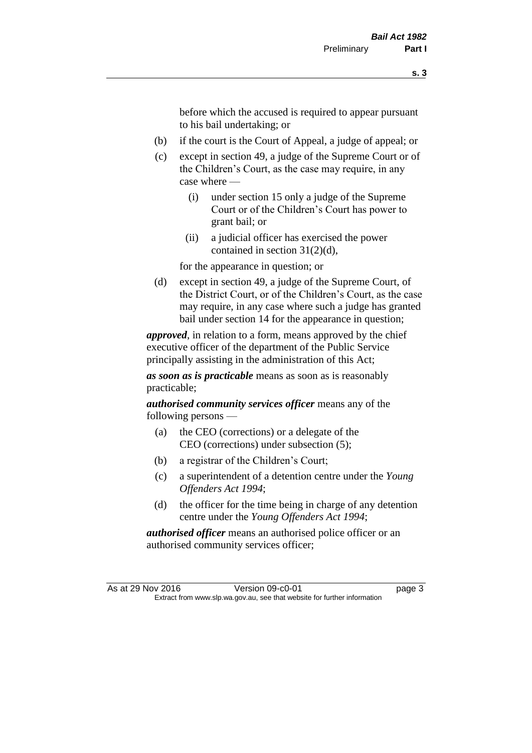before which the accused is required to appear pursuant to his bail undertaking; or

- (b) if the court is the Court of Appeal, a judge of appeal; or
- (c) except in section 49, a judge of the Supreme Court or of the Children's Court, as the case may require, in any case where —
	- (i) under section 15 only a judge of the Supreme Court or of the Children's Court has power to grant bail; or
	- (ii) a judicial officer has exercised the power contained in section 31(2)(d),

for the appearance in question; or

(d) except in section 49, a judge of the Supreme Court, of the District Court, or of the Children's Court, as the case may require, in any case where such a judge has granted bail under section 14 for the appearance in question;

*approved*, in relation to a form, means approved by the chief executive officer of the department of the Public Service principally assisting in the administration of this Act;

*as soon as is practicable* means as soon as is reasonably practicable;

*authorised community services officer* means any of the following persons —

- (a) the CEO (corrections) or a delegate of the CEO (corrections) under subsection (5);
- (b) a registrar of the Children's Court;
- (c) a superintendent of a detention centre under the *Young Offenders Act 1994*;
- (d) the officer for the time being in charge of any detention centre under the *Young Offenders Act 1994*;

*authorised officer* means an authorised police officer or an authorised community services officer;

As at 29 Nov 2016 Version 09-c0-01 page 3 Extract from www.slp.wa.gov.au, see that website for further information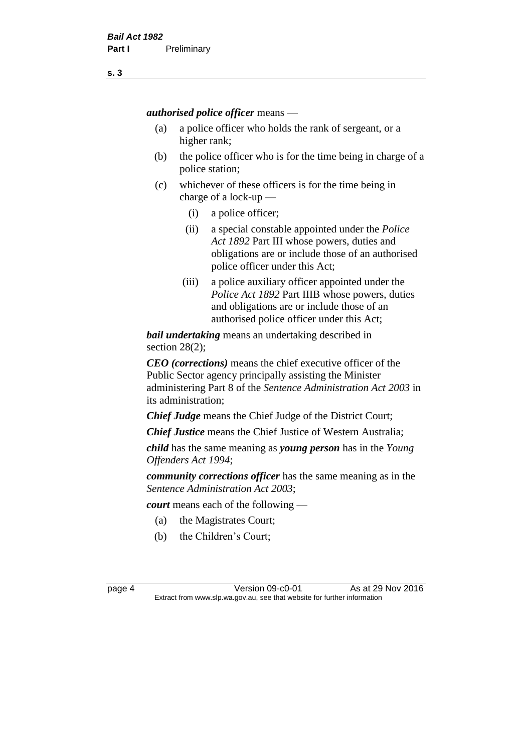*authorised police officer* means —

- (a) a police officer who holds the rank of sergeant, or a higher rank;
- (b) the police officer who is for the time being in charge of a police station;
- (c) whichever of these officers is for the time being in charge of a lock-up —
	- (i) a police officer;
	- (ii) a special constable appointed under the *Police Act 1892* Part III whose powers, duties and obligations are or include those of an authorised police officer under this Act;
	- (iii) a police auxiliary officer appointed under the *Police Act 1892* Part IIIB whose powers, duties and obligations are or include those of an authorised police officer under this Act;

*bail undertaking* means an undertaking described in section 28(2);

*CEO (corrections)* means the chief executive officer of the Public Sector agency principally assisting the Minister administering Part 8 of the *Sentence Administration Act 2003* in its administration;

*Chief Judge* means the Chief Judge of the District Court;

*Chief Justice* means the Chief Justice of Western Australia;

*child* has the same meaning as *young person* has in the *Young Offenders Act 1994*;

*community corrections officer* has the same meaning as in the *Sentence Administration Act 2003*;

*court* means each of the following —

- (a) the Magistrates Court;
- (b) the Children's Court;

page 4 Version 09-c0-01 As at 29 Nov 2016 Extract from www.slp.wa.gov.au, see that website for further information

**s. 3**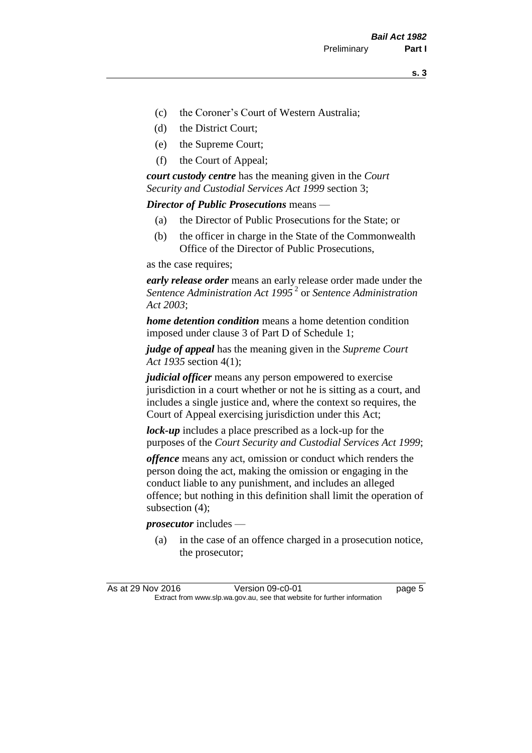- (c) the Coroner's Court of Western Australia;
- (d) the District Court;
- (e) the Supreme Court;
- (f) the Court of Appeal;

*court custody centre* has the meaning given in the *Court Security and Custodial Services Act 1999* section 3;

*Director of Public Prosecutions* means —

- (a) the Director of Public Prosecutions for the State; or
- (b) the officer in charge in the State of the Commonwealth Office of the Director of Public Prosecutions,

as the case requires;

*early release order* means an early release order made under the *Sentence Administration Act 1995* <sup>2</sup> or *Sentence Administration Act 2003*;

*home detention condition* means a home detention condition imposed under clause 3 of Part D of Schedule 1;

*judge of appeal* has the meaning given in the *Supreme Court Act 1935* section 4(1);

*judicial officer* means any person empowered to exercise jurisdiction in a court whether or not he is sitting as a court, and includes a single justice and, where the context so requires, the Court of Appeal exercising jurisdiction under this Act;

*lock-up* includes a place prescribed as a lock-up for the purposes of the *Court Security and Custodial Services Act 1999*;

*offence* means any act, omission or conduct which renders the person doing the act, making the omission or engaging in the conduct liable to any punishment, and includes an alleged offence; but nothing in this definition shall limit the operation of subsection (4);

*prosecutor* includes —

(a) in the case of an offence charged in a prosecution notice, the prosecutor;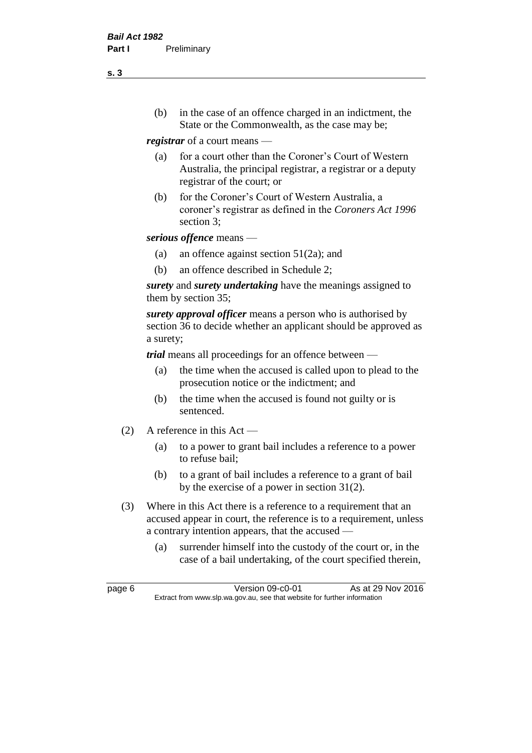(b) in the case of an offence charged in an indictment, the State or the Commonwealth, as the case may be;

*registrar* of a court means —

- (a) for a court other than the Coroner's Court of Western Australia, the principal registrar, a registrar or a deputy registrar of the court; or
- (b) for the Coroner's Court of Western Australia, a coroner's registrar as defined in the *Coroners Act 1996* section 3;

*serious offence* means —

- (a) an offence against section 51(2a); and
- (b) an offence described in Schedule 2;

*surety* and *surety undertaking* have the meanings assigned to them by section 35;

*surety approval officer* means a person who is authorised by section 36 to decide whether an applicant should be approved as a surety;

*trial* means all proceedings for an offence between —

- (a) the time when the accused is called upon to plead to the prosecution notice or the indictment; and
- (b) the time when the accused is found not guilty or is sentenced.
- (2) A reference in this Act
	- (a) to a power to grant bail includes a reference to a power to refuse bail;
	- (b) to a grant of bail includes a reference to a grant of bail by the exercise of a power in section 31(2).
- (3) Where in this Act there is a reference to a requirement that an accused appear in court, the reference is to a requirement, unless a contrary intention appears, that the accused —
	- (a) surrender himself into the custody of the court or, in the case of a bail undertaking, of the court specified therein,

**s. 3**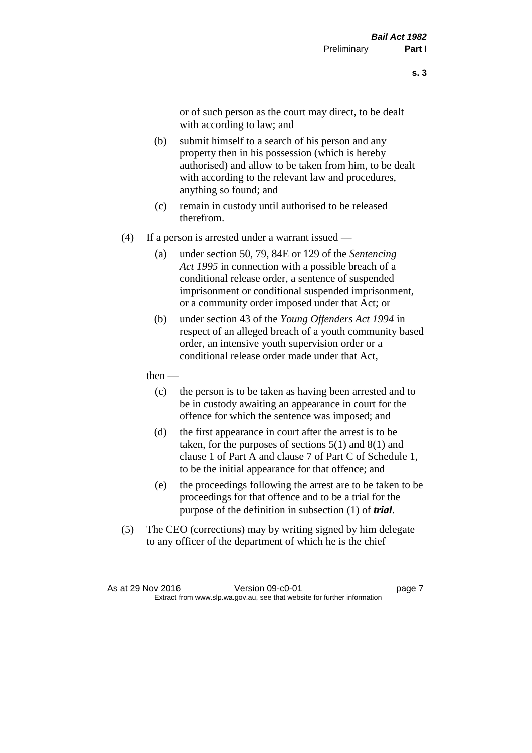or of such person as the court may direct, to be dealt with according to law; and

- (b) submit himself to a search of his person and any property then in his possession (which is hereby authorised) and allow to be taken from him, to be dealt with according to the relevant law and procedures, anything so found; and
- (c) remain in custody until authorised to be released therefrom.
- (4) If a person is arrested under a warrant issued
	- (a) under section 50, 79, 84E or 129 of the *Sentencing Act 1995* in connection with a possible breach of a conditional release order, a sentence of suspended imprisonment or conditional suspended imprisonment, or a community order imposed under that Act; or
	- (b) under section 43 of the *Young Offenders Act 1994* in respect of an alleged breach of a youth community based order, an intensive youth supervision order or a conditional release order made under that Act,
	- then
		- (c) the person is to be taken as having been arrested and to be in custody awaiting an appearance in court for the offence for which the sentence was imposed; and
		- (d) the first appearance in court after the arrest is to be taken, for the purposes of sections  $5(1)$  and  $8(1)$  and clause 1 of Part A and clause 7 of Part C of Schedule 1, to be the initial appearance for that offence; and
		- (e) the proceedings following the arrest are to be taken to be proceedings for that offence and to be a trial for the purpose of the definition in subsection (1) of *trial*.
- (5) The CEO (corrections) may by writing signed by him delegate to any officer of the department of which he is the chief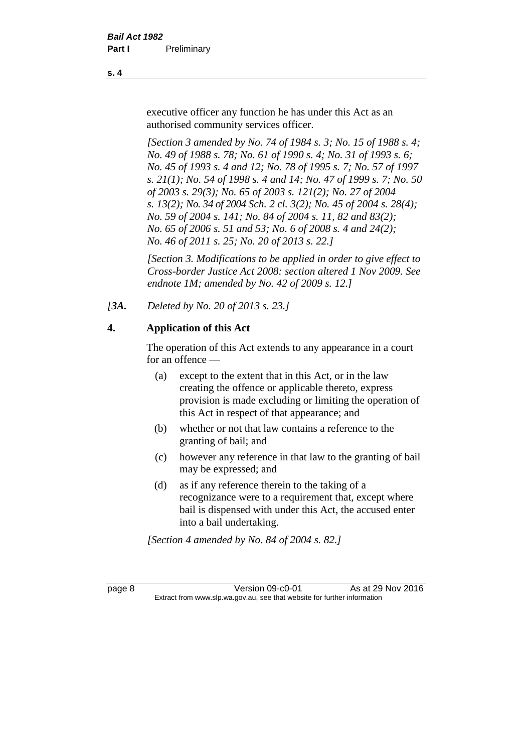executive officer any function he has under this Act as an authorised community services officer.

*[Section 3 amended by No. 74 of 1984 s. 3; No. 15 of 1988 s. 4; No. 49 of 1988 s. 78; No. 61 of 1990 s. 4; No. 31 of 1993 s. 6; No. 45 of 1993 s. 4 and 12; No. 78 of 1995 s. 7; No. 57 of 1997 s. 21(1); No. 54 of 1998 s. 4 and 14; No. 47 of 1999 s. 7; No. 50 of 2003 s. 29(3); No. 65 of 2003 s. 121(2); No. 27 of 2004 s. 13(2); No. 34 of 2004 Sch. 2 cl. 3(2); No. 45 of 2004 s. 28(4); No. 59 of 2004 s. 141; No. 84 of 2004 s. 11, 82 and 83(2); No. 65 of 2006 s. 51 and 53; No. 6 of 2008 s. 4 and 24(2); No. 46 of 2011 s. 25; No. 20 of 2013 s. 22.]* 

*[Section 3. Modifications to be applied in order to give effect to Cross-border Justice Act 2008: section altered 1 Nov 2009. See endnote 1M; amended by No. 42 of 2009 s. 12.]*

*[3A. Deleted by No. 20 of 2013 s. 23.]*

#### **4. Application of this Act**

The operation of this Act extends to any appearance in a court for an offence —

- (a) except to the extent that in this Act, or in the law creating the offence or applicable thereto, express provision is made excluding or limiting the operation of this Act in respect of that appearance; and
- (b) whether or not that law contains a reference to the granting of bail; and
- (c) however any reference in that law to the granting of bail may be expressed; and
- (d) as if any reference therein to the taking of a recognizance were to a requirement that, except where bail is dispensed with under this Act, the accused enter into a bail undertaking.

*[Section 4 amended by No. 84 of 2004 s. 82.]*

page 8 Version 09-c0-01 As at 29 Nov 2016 Extract from www.slp.wa.gov.au, see that website for further information

**s. 4**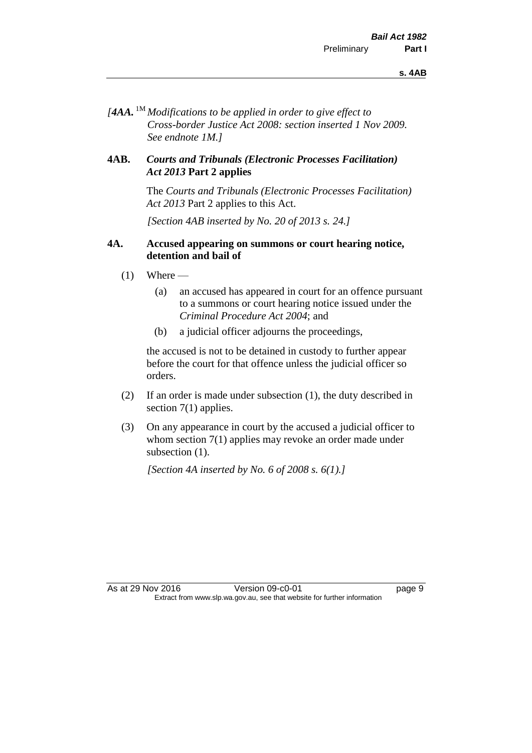*[4AA.* 1M *Modifications to be applied in order to give effect to Cross-border Justice Act 2008: section inserted 1 Nov 2009. See endnote 1M.]*

#### **4AB.** *Courts and Tribunals (Electronic Processes Facilitation) Act 2013* **Part 2 applies**

The *Courts and Tribunals (Electronic Processes Facilitation) Act 2013* Part 2 applies to this Act.

*[Section 4AB inserted by No. 20 of 2013 s. 24.]*

#### **4A. Accused appearing on summons or court hearing notice, detention and bail of**

- $(1)$  Where
	- (a) an accused has appeared in court for an offence pursuant to a summons or court hearing notice issued under the *Criminal Procedure Act 2004*; and
	- (b) a judicial officer adjourns the proceedings,

the accused is not to be detained in custody to further appear before the court for that offence unless the judicial officer so orders.

- (2) If an order is made under subsection (1), the duty described in section 7(1) applies.
- (3) On any appearance in court by the accused a judicial officer to whom section 7(1) applies may revoke an order made under subsection  $(1)$ .

*[Section 4A inserted by No. 6 of 2008 s. 6(1).]*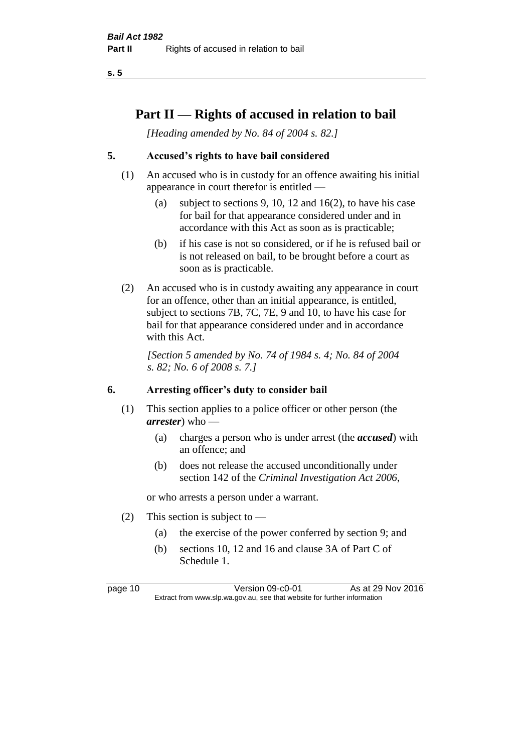## **Part II — Rights of accused in relation to bail**

*[Heading amended by No. 84 of 2004 s. 82.]* 

#### **5. Accused's rights to have bail considered**

- (1) An accused who is in custody for an offence awaiting his initial appearance in court therefor is entitled —
	- (a) subject to sections 9, 10, 12 and 16(2), to have his case for bail for that appearance considered under and in accordance with this Act as soon as is practicable;
	- (b) if his case is not so considered, or if he is refused bail or is not released on bail, to be brought before a court as soon as is practicable.
- (2) An accused who is in custody awaiting any appearance in court for an offence, other than an initial appearance, is entitled, subject to sections 7B, 7C, 7E, 9 and 10, to have his case for bail for that appearance considered under and in accordance with this Act.

*[Section 5 amended by No. 74 of 1984 s. 4; No. 84 of 2004 s. 82; No. 6 of 2008 s. 7.]* 

#### **6. Arresting officer's duty to consider bail**

- (1) This section applies to a police officer or other person (the *arrester*) who —
	- (a) charges a person who is under arrest (the *accused*) with an offence; and
	- (b) does not release the accused unconditionally under section 142 of the *Criminal Investigation Act 2006*,

or who arrests a person under a warrant.

- (2) This section is subject to  $-$ 
	- (a) the exercise of the power conferred by section 9; and
	- (b) sections 10, 12 and 16 and clause 3A of Part C of Schedule 1.

page 10 Version 09-c0-01 As at 29 Nov 2016 Extract from www.slp.wa.gov.au, see that website for further information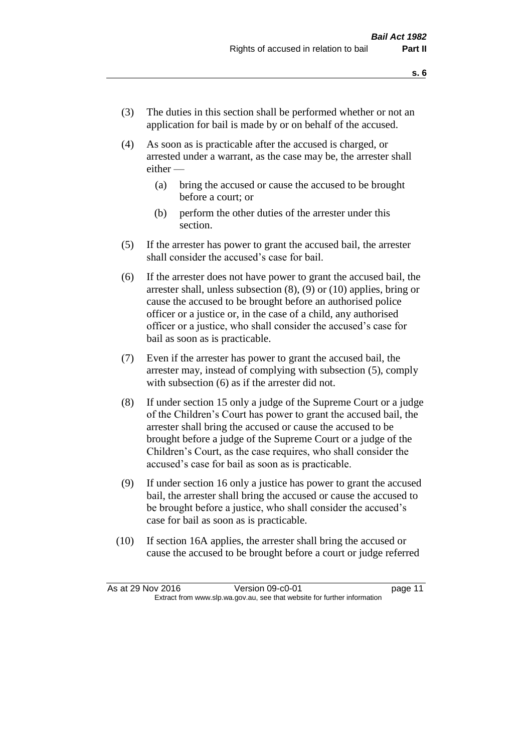- (3) The duties in this section shall be performed whether or not an application for bail is made by or on behalf of the accused.
- (4) As soon as is practicable after the accused is charged, or arrested under a warrant, as the case may be, the arrester shall either —
	- (a) bring the accused or cause the accused to be brought before a court; or
	- (b) perform the other duties of the arrester under this section.
- (5) If the arrester has power to grant the accused bail, the arrester shall consider the accused's case for bail.
- (6) If the arrester does not have power to grant the accused bail, the arrester shall, unless subsection (8), (9) or (10) applies, bring or cause the accused to be brought before an authorised police officer or a justice or, in the case of a child, any authorised officer or a justice, who shall consider the accused's case for bail as soon as is practicable.
- (7) Even if the arrester has power to grant the accused bail, the arrester may, instead of complying with subsection (5), comply with subsection  $(6)$  as if the arrester did not.
- (8) If under section 15 only a judge of the Supreme Court or a judge of the Children's Court has power to grant the accused bail, the arrester shall bring the accused or cause the accused to be brought before a judge of the Supreme Court or a judge of the Children's Court, as the case requires, who shall consider the accused's case for bail as soon as is practicable.
- (9) If under section 16 only a justice has power to grant the accused bail, the arrester shall bring the accused or cause the accused to be brought before a justice, who shall consider the accused's case for bail as soon as is practicable.
- (10) If section 16A applies, the arrester shall bring the accused or cause the accused to be brought before a court or judge referred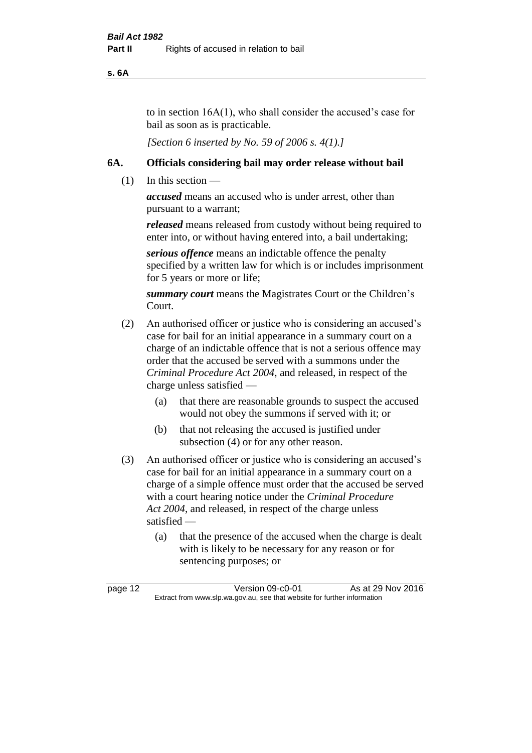**s. 6A**

to in section 16A(1), who shall consider the accused's case for bail as soon as is practicable.

*[Section 6 inserted by No. 59 of 2006 s. 4(1).]* 

#### **6A. Officials considering bail may order release without bail**

(1) In this section —

*accused* means an accused who is under arrest, other than pursuant to a warrant;

*released* means released from custody without being required to enter into, or without having entered into, a bail undertaking;

*serious offence* means an indictable offence the penalty specified by a written law for which is or includes imprisonment for 5 years or more or life;

*summary court* means the Magistrates Court or the Children's Court.

- (2) An authorised officer or justice who is considering an accused's case for bail for an initial appearance in a summary court on a charge of an indictable offence that is not a serious offence may order that the accused be served with a summons under the *Criminal Procedure Act 2004*, and released, in respect of the charge unless satisfied —
	- (a) that there are reasonable grounds to suspect the accused would not obey the summons if served with it; or
	- (b) that not releasing the accused is justified under subsection (4) or for any other reason.
- (3) An authorised officer or justice who is considering an accused's case for bail for an initial appearance in a summary court on a charge of a simple offence must order that the accused be served with a court hearing notice under the *Criminal Procedure Act 2004*, and released, in respect of the charge unless satisfied —
	- (a) that the presence of the accused when the charge is dealt with is likely to be necessary for any reason or for sentencing purposes; or

page 12 Version 09-c0-01 As at 29 Nov 2016 Extract from www.slp.wa.gov.au, see that website for further information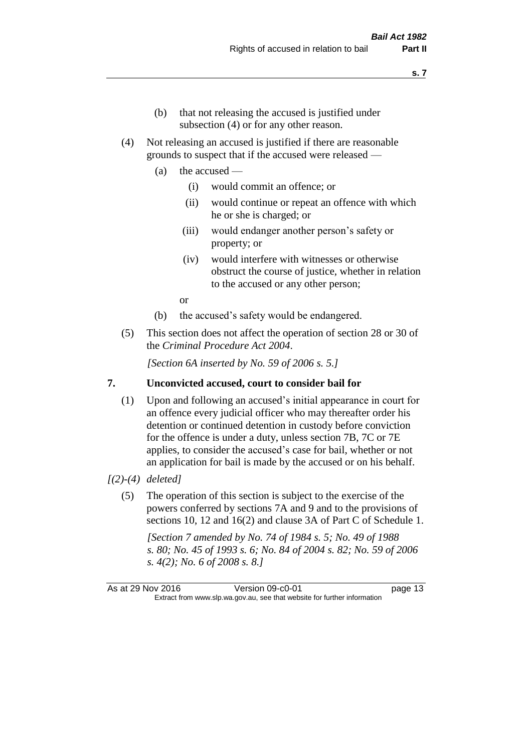- (b) that not releasing the accused is justified under subsection (4) or for any other reason.
- (4) Not releasing an accused is justified if there are reasonable grounds to suspect that if the accused were released —
	- (a) the accused
		- (i) would commit an offence; or
		- (ii) would continue or repeat an offence with which he or she is charged; or
		- (iii) would endanger another person's safety or property; or
		- (iv) would interfere with witnesses or otherwise obstruct the course of justice, whether in relation to the accused or any other person;

or

- (b) the accused's safety would be endangered.
- (5) This section does not affect the operation of section 28 or 30 of the *Criminal Procedure Act 2004*.

*[Section 6A inserted by No. 59 of 2006 s. 5.]* 

#### **7. Unconvicted accused, court to consider bail for**

(1) Upon and following an accused's initial appearance in court for an offence every judicial officer who may thereafter order his detention or continued detention in custody before conviction for the offence is under a duty, unless section 7B, 7C or 7E applies, to consider the accused's case for bail, whether or not an application for bail is made by the accused or on his behalf.

#### *[(2)-(4) deleted]*

(5) The operation of this section is subject to the exercise of the powers conferred by sections 7A and 9 and to the provisions of sections 10, 12 and 16(2) and clause 3A of Part C of Schedule 1.

*[Section 7 amended by No. 74 of 1984 s. 5; No. 49 of 1988 s. 80; No. 45 of 1993 s. 6; No. 84 of 2004 s. 82; No. 59 of 2006 s. 4(2); No. 6 of 2008 s. 8.]* 

As at 29 Nov 2016 Version 09-c0-01 page 13 Extract from www.slp.wa.gov.au, see that website for further information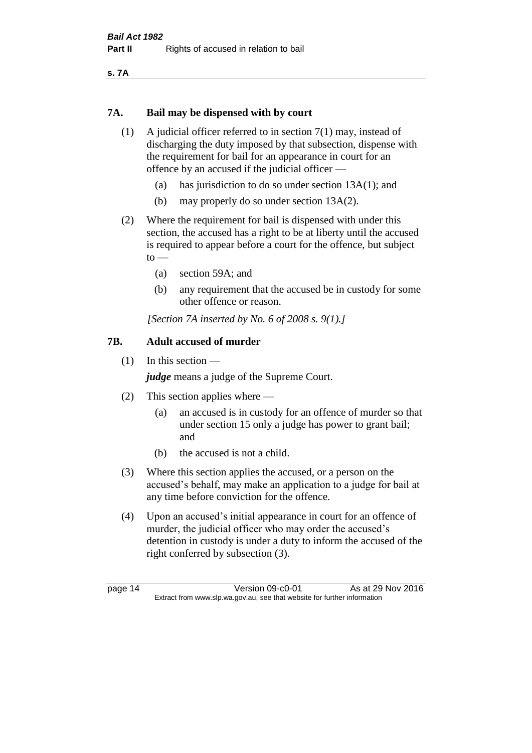**s. 7A**

#### **7A. Bail may be dispensed with by court**

- (1) A judicial officer referred to in section 7(1) may, instead of discharging the duty imposed by that subsection, dispense with the requirement for bail for an appearance in court for an offence by an accused if the judicial officer —
	- (a) has jurisdiction to do so under section 13A(1); and
	- (b) may properly do so under section 13A(2).
- (2) Where the requirement for bail is dispensed with under this section, the accused has a right to be at liberty until the accused is required to appear before a court for the offence, but subject  $to$ 
	- (a) section 59A; and
	- (b) any requirement that the accused be in custody for some other offence or reason.

*[Section 7A inserted by No. 6 of 2008 s. 9(1).]*

#### **7B. Adult accused of murder**

(1) In this section —

*judge* means a judge of the Supreme Court.

- (2) This section applies where
	- (a) an accused is in custody for an offence of murder so that under section 15 only a judge has power to grant bail; and
	- (b) the accused is not a child.
- (3) Where this section applies the accused, or a person on the accused's behalf, may make an application to a judge for bail at any time before conviction for the offence.
- (4) Upon an accused's initial appearance in court for an offence of murder, the judicial officer who may order the accused's detention in custody is under a duty to inform the accused of the right conferred by subsection (3).

page 14 Version 09-c0-01 As at 29 Nov 2016 Extract from www.slp.wa.gov.au, see that website for further information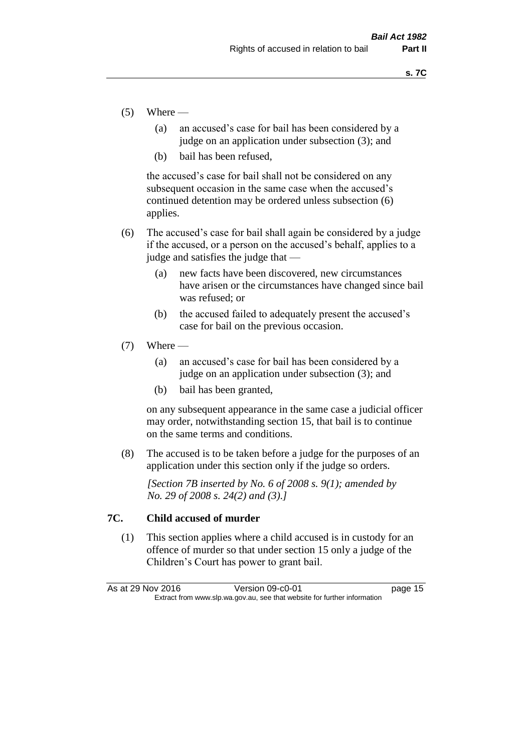- $(5)$  Where
	- (a) an accused's case for bail has been considered by a judge on an application under subsection (3); and
	- (b) bail has been refused,

the accused's case for bail shall not be considered on any subsequent occasion in the same case when the accused's continued detention may be ordered unless subsection (6) applies.

- (6) The accused's case for bail shall again be considered by a judge if the accused, or a person on the accused's behalf, applies to a judge and satisfies the judge that —
	- (a) new facts have been discovered, new circumstances have arisen or the circumstances have changed since bail was refused; or
	- (b) the accused failed to adequately present the accused's case for bail on the previous occasion.
- $(7)$  Where
	- (a) an accused's case for bail has been considered by a judge on an application under subsection (3); and
	- (b) bail has been granted,

on any subsequent appearance in the same case a judicial officer may order, notwithstanding section 15, that bail is to continue on the same terms and conditions.

(8) The accused is to be taken before a judge for the purposes of an application under this section only if the judge so orders.

*[Section 7B inserted by No. 6 of 2008 s. 9(1); amended by No. 29 of 2008 s. 24(2) and (3).]*

#### **7C. Child accused of murder**

(1) This section applies where a child accused is in custody for an offence of murder so that under section 15 only a judge of the Children's Court has power to grant bail.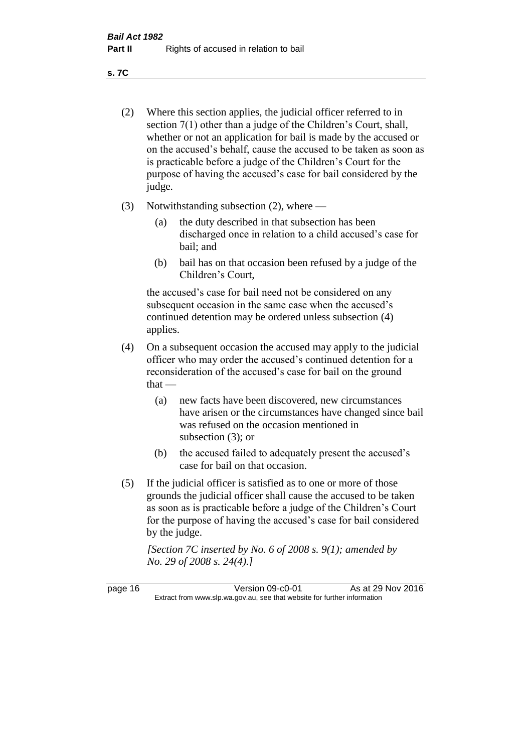**s. 7C**

- (2) Where this section applies, the judicial officer referred to in section 7(1) other than a judge of the Children's Court, shall, whether or not an application for bail is made by the accused or on the accused's behalf, cause the accused to be taken as soon as is practicable before a judge of the Children's Court for the purpose of having the accused's case for bail considered by the judge.
- (3) Notwithstanding subsection (2), where
	- (a) the duty described in that subsection has been discharged once in relation to a child accused's case for bail; and
	- (b) bail has on that occasion been refused by a judge of the Children's Court,

the accused's case for bail need not be considered on any subsequent occasion in the same case when the accused's continued detention may be ordered unless subsection (4) applies.

- (4) On a subsequent occasion the accused may apply to the judicial officer who may order the accused's continued detention for a reconsideration of the accused's case for bail on the ground  $that -$ 
	- (a) new facts have been discovered, new circumstances have arisen or the circumstances have changed since bail was refused on the occasion mentioned in subsection (3); or
	- (b) the accused failed to adequately present the accused's case for bail on that occasion.
- (5) If the judicial officer is satisfied as to one or more of those grounds the judicial officer shall cause the accused to be taken as soon as is practicable before a judge of the Children's Court for the purpose of having the accused's case for bail considered by the judge.

*[Section 7C inserted by No. 6 of 2008 s. 9(1); amended by No. 29 of 2008 s. 24(4).]*

page 16 Version 09-c0-01 As at 29 Nov 2016 Extract from www.slp.wa.gov.au, see that website for further information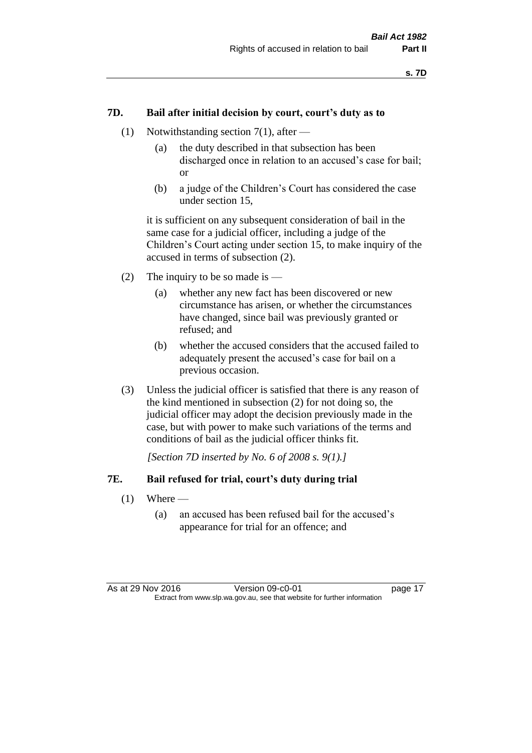#### **7D. Bail after initial decision by court, court's duty as to**

- (1) Notwithstanding section 7(1), after
	- (a) the duty described in that subsection has been discharged once in relation to an accused's case for bail; or
	- (b) a judge of the Children's Court has considered the case under section 15,

it is sufficient on any subsequent consideration of bail in the same case for a judicial officer, including a judge of the Children's Court acting under section 15, to make inquiry of the accused in terms of subsection (2).

- (2) The inquiry to be so made is  $-$ 
	- (a) whether any new fact has been discovered or new circumstance has arisen, or whether the circumstances have changed, since bail was previously granted or refused; and
	- (b) whether the accused considers that the accused failed to adequately present the accused's case for bail on a previous occasion.
- (3) Unless the judicial officer is satisfied that there is any reason of the kind mentioned in subsection (2) for not doing so, the judicial officer may adopt the decision previously made in the case, but with power to make such variations of the terms and conditions of bail as the judicial officer thinks fit.

*[Section 7D inserted by No. 6 of 2008 s. 9(1).]*

#### **7E. Bail refused for trial, court's duty during trial**

- $(1)$  Where
	- (a) an accused has been refused bail for the accused's appearance for trial for an offence; and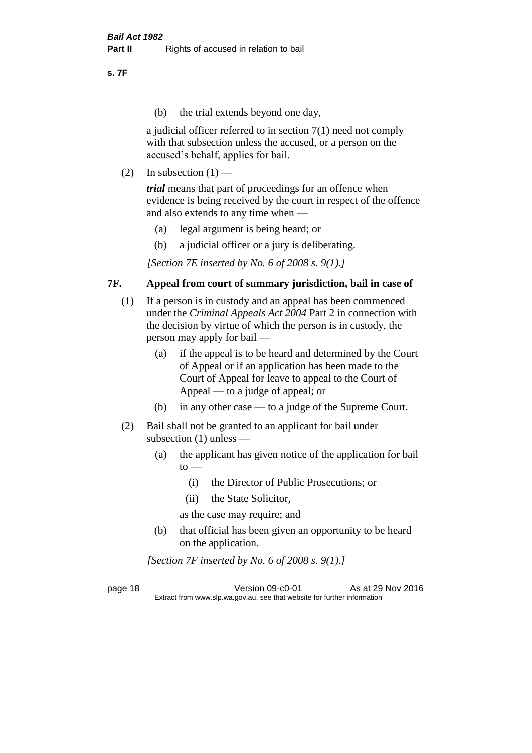**s. 7F**

(b) the trial extends beyond one day,

a judicial officer referred to in section 7(1) need not comply with that subsection unless the accused, or a person on the accused's behalf, applies for bail.

(2) In subsection  $(1)$  —

*trial* means that part of proceedings for an offence when evidence is being received by the court in respect of the offence and also extends to any time when —

- (a) legal argument is being heard; or
- (b) a judicial officer or a jury is deliberating.

*[Section 7E inserted by No. 6 of 2008 s. 9(1).]*

#### **7F. Appeal from court of summary jurisdiction, bail in case of**

- (1) If a person is in custody and an appeal has been commenced under the *Criminal Appeals Act 2004* Part 2 in connection with the decision by virtue of which the person is in custody, the person may apply for bail —
	- (a) if the appeal is to be heard and determined by the Court of Appeal or if an application has been made to the Court of Appeal for leave to appeal to the Court of Appeal — to a judge of appeal; or
	- (b) in any other case to a judge of the Supreme Court.
- (2) Bail shall not be granted to an applicant for bail under subsection (1) unless —
	- (a) the applicant has given notice of the application for bail  $to -$ 
		- (i) the Director of Public Prosecutions; or
		- (ii) the State Solicitor,
		- as the case may require; and
	- (b) that official has been given an opportunity to be heard on the application.

*[Section 7F inserted by No. 6 of 2008 s. 9(1).]*

page 18 Version 09-c0-01 As at 29 Nov 2016 Extract from www.slp.wa.gov.au, see that website for further information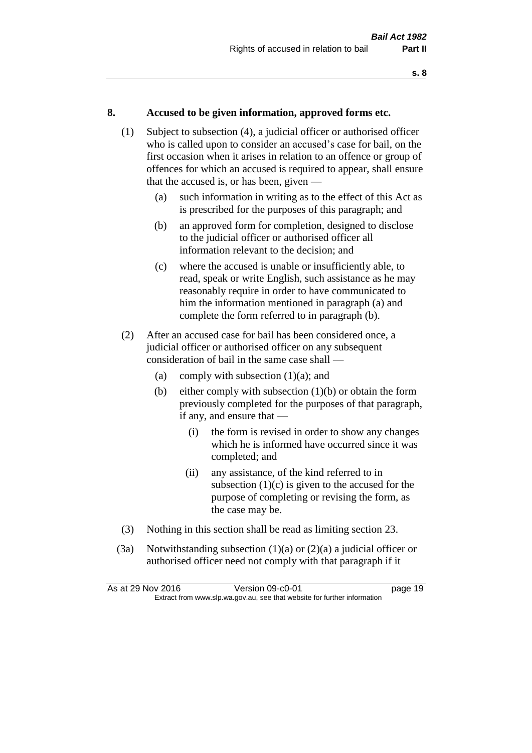#### **8. Accused to be given information, approved forms etc.**

- (1) Subject to subsection (4), a judicial officer or authorised officer who is called upon to consider an accused's case for bail, on the first occasion when it arises in relation to an offence or group of offences for which an accused is required to appear, shall ensure that the accused is, or has been, given —
	- (a) such information in writing as to the effect of this Act as is prescribed for the purposes of this paragraph; and
	- (b) an approved form for completion, designed to disclose to the judicial officer or authorised officer all information relevant to the decision; and
	- (c) where the accused is unable or insufficiently able, to read, speak or write English, such assistance as he may reasonably require in order to have communicated to him the information mentioned in paragraph (a) and complete the form referred to in paragraph (b).
- (2) After an accused case for bail has been considered once, a judicial officer or authorised officer on any subsequent consideration of bail in the same case shall —
	- (a) comply with subsection  $(1)(a)$ ; and
	- (b) either comply with subsection  $(1)(b)$  or obtain the form previously completed for the purposes of that paragraph, if any, and ensure that —
		- (i) the form is revised in order to show any changes which he is informed have occurred since it was completed; and
		- (ii) any assistance, of the kind referred to in subsection  $(1)(c)$  is given to the accused for the purpose of completing or revising the form, as the case may be.
- (3) Nothing in this section shall be read as limiting section 23.
- (3a) Notwithstanding subsection  $(1)(a)$  or  $(2)(a)$  a judicial officer or authorised officer need not comply with that paragraph if it

| As at 29 Nov 2016 | Version 09-c0-01                                                         | page 19 |
|-------------------|--------------------------------------------------------------------------|---------|
|                   | Extract from www.slp.wa.gov.au, see that website for further information |         |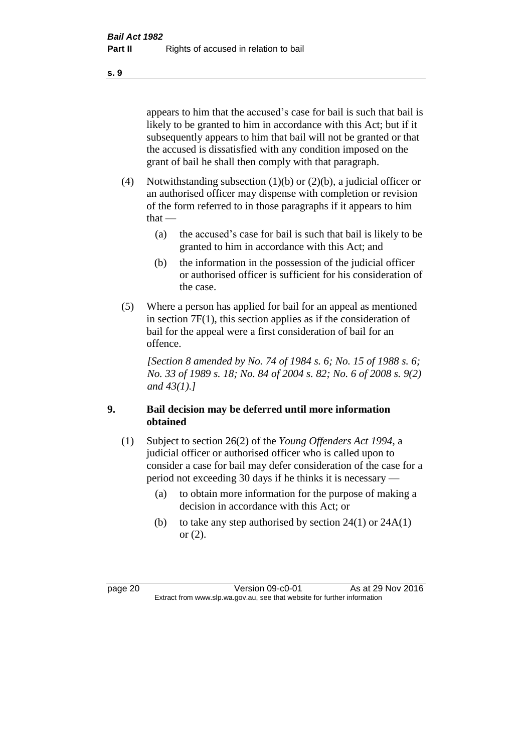appears to him that the accused's case for bail is such that bail is likely to be granted to him in accordance with this Act; but if it subsequently appears to him that bail will not be granted or that the accused is dissatisfied with any condition imposed on the grant of bail he shall then comply with that paragraph.

- (4) Notwithstanding subsection (1)(b) or (2)(b), a judicial officer or an authorised officer may dispense with completion or revision of the form referred to in those paragraphs if it appears to him  $that -$ 
	- (a) the accused's case for bail is such that bail is likely to be granted to him in accordance with this Act; and
	- (b) the information in the possession of the judicial officer or authorised officer is sufficient for his consideration of the case.
- (5) Where a person has applied for bail for an appeal as mentioned in section 7F(1), this section applies as if the consideration of bail for the appeal were a first consideration of bail for an offence.

*[Section 8 amended by No. 74 of 1984 s. 6; No. 15 of 1988 s. 6; No. 33 of 1989 s. 18; No. 84 of 2004 s. 82; No. 6 of 2008 s. 9(2) and 43(1).]* 

#### **9. Bail decision may be deferred until more information obtained**

- (1) Subject to section 26(2) of the *Young Offenders Act 1994*, a judicial officer or authorised officer who is called upon to consider a case for bail may defer consideration of the case for a period not exceeding 30 days if he thinks it is necessary —
	- (a) to obtain more information for the purpose of making a decision in accordance with this Act; or
	- (b) to take any step authorised by section  $24(1)$  or  $24A(1)$ or (2).

page 20 Version 09-c0-01 As at 29 Nov 2016 Extract from www.slp.wa.gov.au, see that website for further information

**s. 9**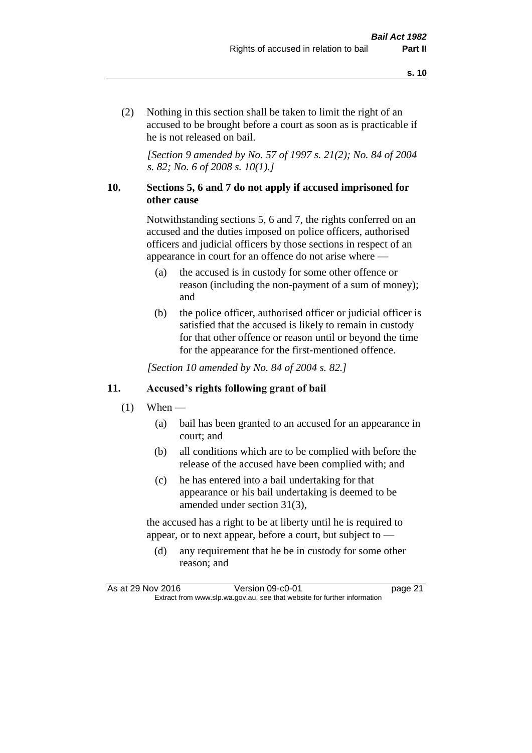(2) Nothing in this section shall be taken to limit the right of an accused to be brought before a court as soon as is practicable if he is not released on bail.

*[Section 9 amended by No. 57 of 1997 s. 21(2); No. 84 of 2004 s. 82; No. 6 of 2008 s. 10(1).]*

#### **10. Sections 5, 6 and 7 do not apply if accused imprisoned for other cause**

Notwithstanding sections 5, 6 and 7, the rights conferred on an accused and the duties imposed on police officers, authorised officers and judicial officers by those sections in respect of an appearance in court for an offence do not arise where —

- (a) the accused is in custody for some other offence or reason (including the non-payment of a sum of money); and
- (b) the police officer, authorised officer or judicial officer is satisfied that the accused is likely to remain in custody for that other offence or reason until or beyond the time for the appearance for the first-mentioned offence.

*[Section 10 amended by No. 84 of 2004 s. 82.]*

#### **11. Accused's rights following grant of bail**

- $(1)$  When
	- (a) bail has been granted to an accused for an appearance in court; and
	- (b) all conditions which are to be complied with before the release of the accused have been complied with; and
	- (c) he has entered into a bail undertaking for that appearance or his bail undertaking is deemed to be amended under section 31(3),

the accused has a right to be at liberty until he is required to appear, or to next appear, before a court, but subject to —

(d) any requirement that he be in custody for some other reason; and

As at 29 Nov 2016 Version 09-c0-01 page 21 Extract from www.slp.wa.gov.au, see that website for further information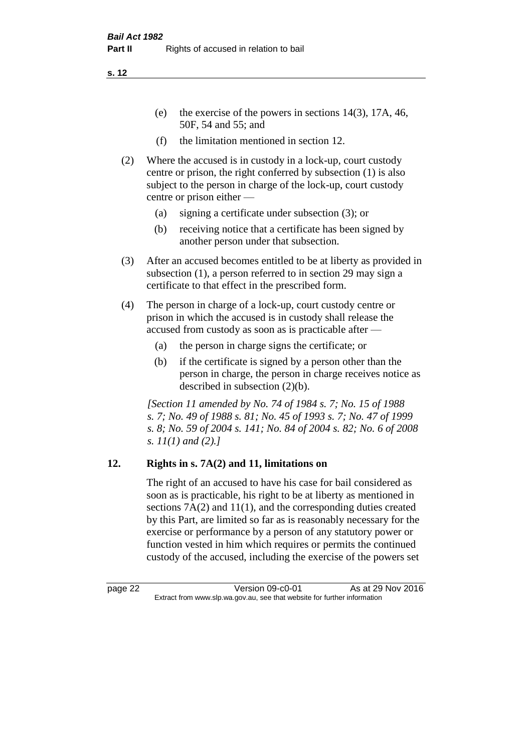- (e) the exercise of the powers in sections 14(3), 17A, 46, 50F, 54 and 55; and
- (f) the limitation mentioned in section 12.
- (2) Where the accused is in custody in a lock-up, court custody centre or prison, the right conferred by subsection (1) is also subject to the person in charge of the lock-up, court custody centre or prison either —
	- (a) signing a certificate under subsection (3); or
	- (b) receiving notice that a certificate has been signed by another person under that subsection.
- (3) After an accused becomes entitled to be at liberty as provided in subsection (1), a person referred to in section 29 may sign a certificate to that effect in the prescribed form.
- (4) The person in charge of a lock-up, court custody centre or prison in which the accused is in custody shall release the accused from custody as soon as is practicable after —
	- (a) the person in charge signs the certificate; or
	- (b) if the certificate is signed by a person other than the person in charge, the person in charge receives notice as described in subsection (2)(b).

*[Section 11 amended by No. 74 of 1984 s. 7; No. 15 of 1988 s. 7; No. 49 of 1988 s. 81; No. 45 of 1993 s. 7; No. 47 of 1999 s. 8; No. 59 of 2004 s. 141; No. 84 of 2004 s. 82; No. 6 of 2008 s. 11(1) and (2).]* 

#### **12. Rights in s. 7A(2) and 11, limitations on**

The right of an accused to have his case for bail considered as soon as is practicable, his right to be at liberty as mentioned in sections 7A(2) and 11(1), and the corresponding duties created by this Part, are limited so far as is reasonably necessary for the exercise or performance by a person of any statutory power or function vested in him which requires or permits the continued custody of the accused, including the exercise of the powers set

page 22 Version 09-c0-01 As at 29 Nov 2016 Extract from www.slp.wa.gov.au, see that website for further information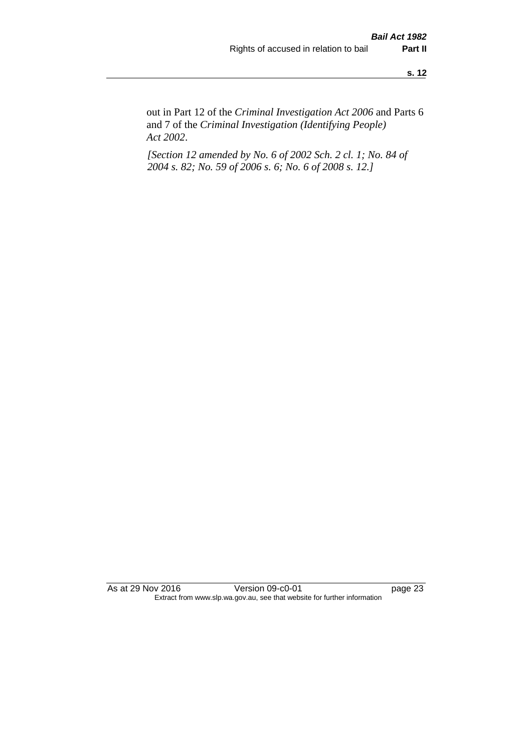out in Part 12 of the *Criminal Investigation Act 2006* and Parts 6 and 7 of the *Criminal Investigation (Identifying People) Act 2002*.

*[Section 12 amended by No. 6 of 2002 Sch. 2 cl. 1; No. 84 of 2004 s. 82; No. 59 of 2006 s. 6; No. 6 of 2008 s. 12.]*

As at 29 Nov 2016 Version 09-c0-01 page 23 Extract from www.slp.wa.gov.au, see that website for further information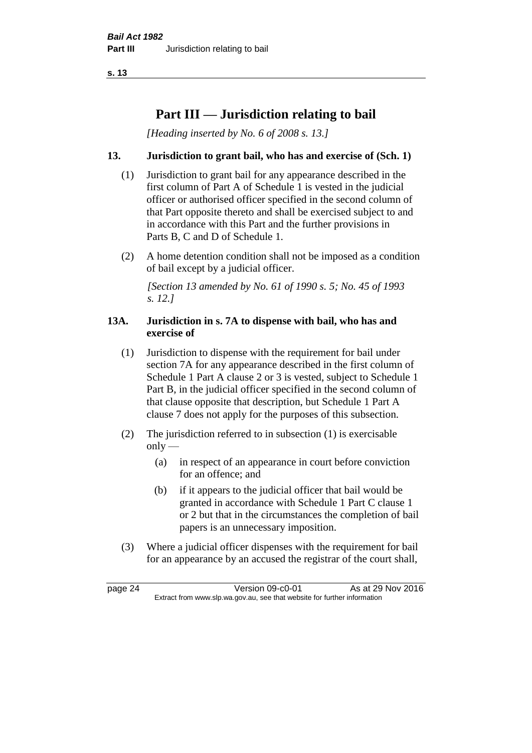## **Part III — Jurisdiction relating to bail**

*[Heading inserted by No. 6 of 2008 s. 13.]*

#### **13. Jurisdiction to grant bail, who has and exercise of (Sch. 1)**

- (1) Jurisdiction to grant bail for any appearance described in the first column of Part A of Schedule 1 is vested in the judicial officer or authorised officer specified in the second column of that Part opposite thereto and shall be exercised subject to and in accordance with this Part and the further provisions in Parts B, C and D of Schedule 1.
- (2) A home detention condition shall not be imposed as a condition of bail except by a judicial officer.

*[Section 13 amended by No. 61 of 1990 s. 5; No. 45 of 1993 s. 12.]* 

#### **13A. Jurisdiction in s. 7A to dispense with bail, who has and exercise of**

- (1) Jurisdiction to dispense with the requirement for bail under section 7A for any appearance described in the first column of Schedule 1 Part A clause 2 or 3 is vested, subject to Schedule 1 Part B, in the judicial officer specified in the second column of that clause opposite that description, but Schedule 1 Part A clause 7 does not apply for the purposes of this subsection.
- (2) The jurisdiction referred to in subsection (1) is exercisable  $only$ —
	- (a) in respect of an appearance in court before conviction for an offence; and
	- (b) if it appears to the judicial officer that bail would be granted in accordance with Schedule 1 Part C clause 1 or 2 but that in the circumstances the completion of bail papers is an unnecessary imposition.
- (3) Where a judicial officer dispenses with the requirement for bail for an appearance by an accused the registrar of the court shall,

page 24 Version 09-c0-01 As at 29 Nov 2016 Extract from www.slp.wa.gov.au, see that website for further information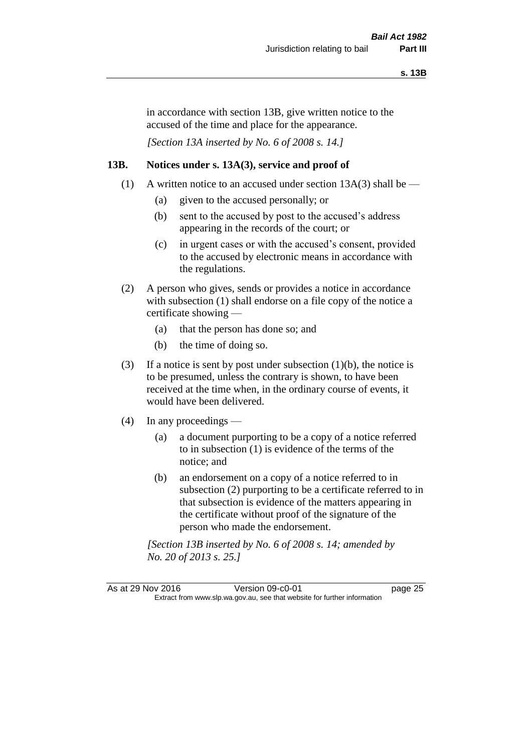in accordance with section 13B, give written notice to the accused of the time and place for the appearance.

*[Section 13A inserted by No. 6 of 2008 s. 14.]*

#### **13B. Notices under s. 13A(3), service and proof of**

- (1) A written notice to an accused under section  $13A(3)$  shall be
	- (a) given to the accused personally; or
	- (b) sent to the accused by post to the accused's address appearing in the records of the court; or
	- (c) in urgent cases or with the accused's consent, provided to the accused by electronic means in accordance with the regulations.
- (2) A person who gives, sends or provides a notice in accordance with subsection (1) shall endorse on a file copy of the notice a certificate showing —
	- (a) that the person has done so; and
	- (b) the time of doing so.
- (3) If a notice is sent by post under subsection  $(1)(b)$ , the notice is to be presumed, unless the contrary is shown, to have been received at the time when, in the ordinary course of events, it would have been delivered.
- (4) In any proceedings
	- (a) a document purporting to be a copy of a notice referred to in subsection (1) is evidence of the terms of the notice; and
	- (b) an endorsement on a copy of a notice referred to in subsection (2) purporting to be a certificate referred to in that subsection is evidence of the matters appearing in the certificate without proof of the signature of the person who made the endorsement.

*[Section 13B inserted by No. 6 of 2008 s. 14; amended by No. 20 of 2013 s. 25.]*

As at 29 Nov 2016 Version 09-c0-01 page 25 Extract from www.slp.wa.gov.au, see that website for further information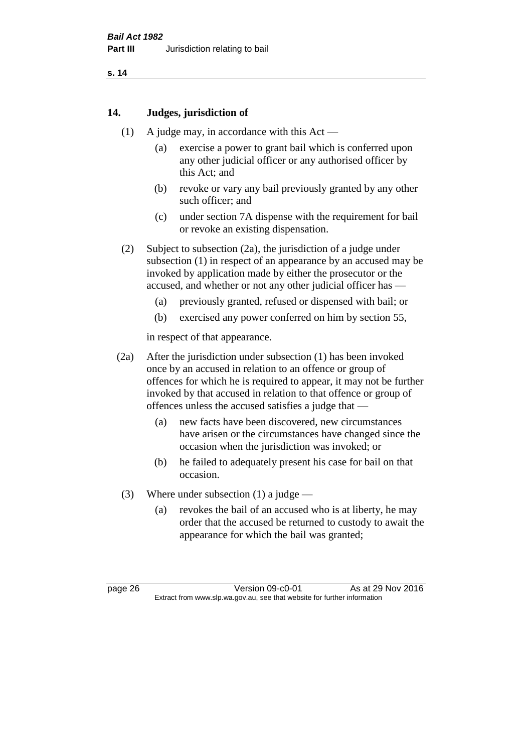#### **14. Judges, jurisdiction of**

- (1) A judge may, in accordance with this Act
	- (a) exercise a power to grant bail which is conferred upon any other judicial officer or any authorised officer by this Act; and
	- (b) revoke or vary any bail previously granted by any other such officer; and
	- (c) under section 7A dispense with the requirement for bail or revoke an existing dispensation.
- (2) Subject to subsection (2a), the jurisdiction of a judge under subsection (1) in respect of an appearance by an accused may be invoked by application made by either the prosecutor or the accused, and whether or not any other judicial officer has —
	- (a) previously granted, refused or dispensed with bail; or
	- (b) exercised any power conferred on him by section 55,

in respect of that appearance.

- (2a) After the jurisdiction under subsection (1) has been invoked once by an accused in relation to an offence or group of offences for which he is required to appear, it may not be further invoked by that accused in relation to that offence or group of offences unless the accused satisfies a judge that —
	- (a) new facts have been discovered, new circumstances have arisen or the circumstances have changed since the occasion when the jurisdiction was invoked; or
	- (b) he failed to adequately present his case for bail on that occasion.
- (3) Where under subsection (1) a judge
	- (a) revokes the bail of an accused who is at liberty, he may order that the accused be returned to custody to await the appearance for which the bail was granted;

page 26 Version 09-c0-01 As at 29 Nov 2016 Extract from www.slp.wa.gov.au, see that website for further information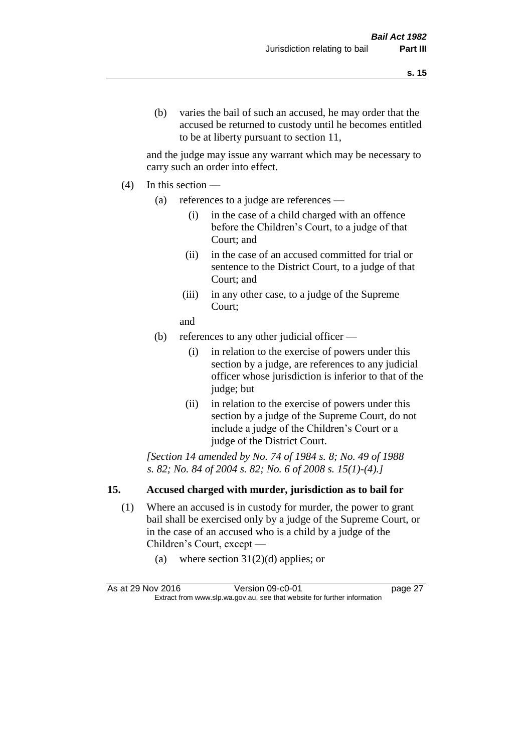and the judge may issue any warrant which may be necessary to carry such an order into effect.

- (4) In this section
	- (a) references to a judge are references
		- (i) in the case of a child charged with an offence before the Children's Court, to a judge of that Court; and
		- (ii) in the case of an accused committed for trial or sentence to the District Court, to a judge of that Court; and
		- (iii) in any other case, to a judge of the Supreme Court;
		- and
	- (b) references to any other judicial officer
		- (i) in relation to the exercise of powers under this section by a judge, are references to any judicial officer whose jurisdiction is inferior to that of the judge; but
		- (ii) in relation to the exercise of powers under this section by a judge of the Supreme Court, do not include a judge of the Children's Court or a judge of the District Court.

*[Section 14 amended by No. 74 of 1984 s. 8; No. 49 of 1988 s. 82; No. 84 of 2004 s. 82; No. 6 of 2008 s. 15(1)-(4).]* 

# **15. Accused charged with murder, jurisdiction as to bail for**

- (1) Where an accused is in custody for murder, the power to grant bail shall be exercised only by a judge of the Supreme Court, or in the case of an accused who is a child by a judge of the Children's Court, except —
	- (a) where section  $31(2)(d)$  applies; or

| As at 29 Nov 2016 | Version 09-c0-01                                                         | page 27 |
|-------------------|--------------------------------------------------------------------------|---------|
|                   | Extract from www.slp.wa.gov.au, see that website for further information |         |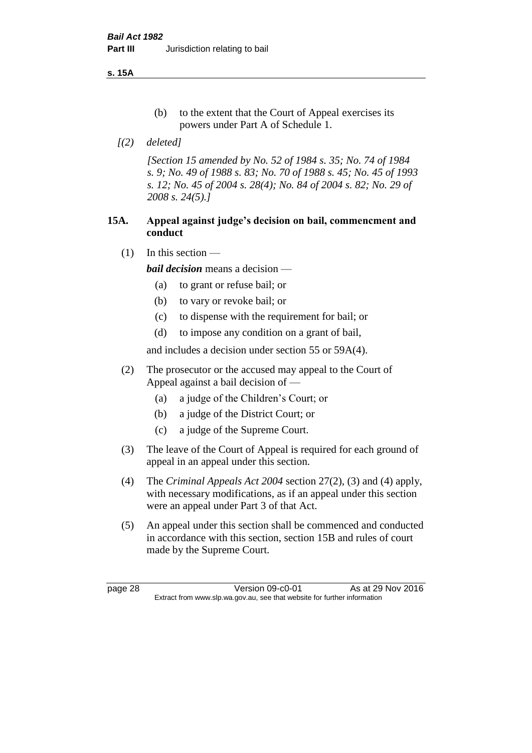**s. 15A**

- (b) to the extent that the Court of Appeal exercises its powers under Part A of Schedule 1.
- *[(2) deleted]*

*[Section 15 amended by No. 52 of 1984 s. 35; No. 74 of 1984 s. 9; No. 49 of 1988 s. 83; No. 70 of 1988 s. 45; No. 45 of 1993 s. 12; No. 45 of 2004 s. 28(4); No. 84 of 2004 s. 82; No. 29 of 2008 s. 24(5).]* 

## **15A. Appeal against judge's decision on bail, commencment and conduct**

 $(1)$  In this section —

*bail decision* means a decision —

- (a) to grant or refuse bail; or
- (b) to vary or revoke bail; or
- (c) to dispense with the requirement for bail; or
- (d) to impose any condition on a grant of bail,

and includes a decision under section 55 or 59A(4).

- (2) The prosecutor or the accused may appeal to the Court of Appeal against a bail decision of —
	- (a) a judge of the Children's Court; or
	- (b) a judge of the District Court; or
	- (c) a judge of the Supreme Court.
- (3) The leave of the Court of Appeal is required for each ground of appeal in an appeal under this section.
- (4) The *Criminal Appeals Act 2004* section 27(2), (3) and (4) apply, with necessary modifications, as if an appeal under this section were an appeal under Part 3 of that Act.
- (5) An appeal under this section shall be commenced and conducted in accordance with this section, section 15B and rules of court made by the Supreme Court.

page 28 Version 09-c0-01 As at 29 Nov 2016 Extract from www.slp.wa.gov.au, see that website for further information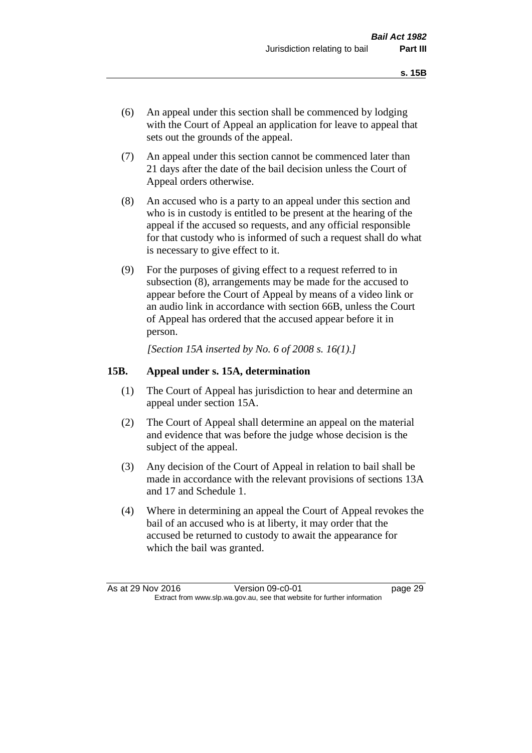- (6) An appeal under this section shall be commenced by lodging with the Court of Appeal an application for leave to appeal that sets out the grounds of the appeal.
- (7) An appeal under this section cannot be commenced later than 21 days after the date of the bail decision unless the Court of Appeal orders otherwise.
- (8) An accused who is a party to an appeal under this section and who is in custody is entitled to be present at the hearing of the appeal if the accused so requests, and any official responsible for that custody who is informed of such a request shall do what is necessary to give effect to it.
- (9) For the purposes of giving effect to a request referred to in subsection (8), arrangements may be made for the accused to appear before the Court of Appeal by means of a video link or an audio link in accordance with section 66B, unless the Court of Appeal has ordered that the accused appear before it in person.

*[Section 15A inserted by No. 6 of 2008 s. 16(1).]*

## **15B. Appeal under s. 15A, determination**

- (1) The Court of Appeal has jurisdiction to hear and determine an appeal under section 15A.
- (2) The Court of Appeal shall determine an appeal on the material and evidence that was before the judge whose decision is the subject of the appeal.
- (3) Any decision of the Court of Appeal in relation to bail shall be made in accordance with the relevant provisions of sections 13A and 17 and Schedule 1.
- (4) Where in determining an appeal the Court of Appeal revokes the bail of an accused who is at liberty, it may order that the accused be returned to custody to await the appearance for which the bail was granted.

As at 29 Nov 2016 Version 09-c0-01 page 29 Extract from www.slp.wa.gov.au, see that website for further information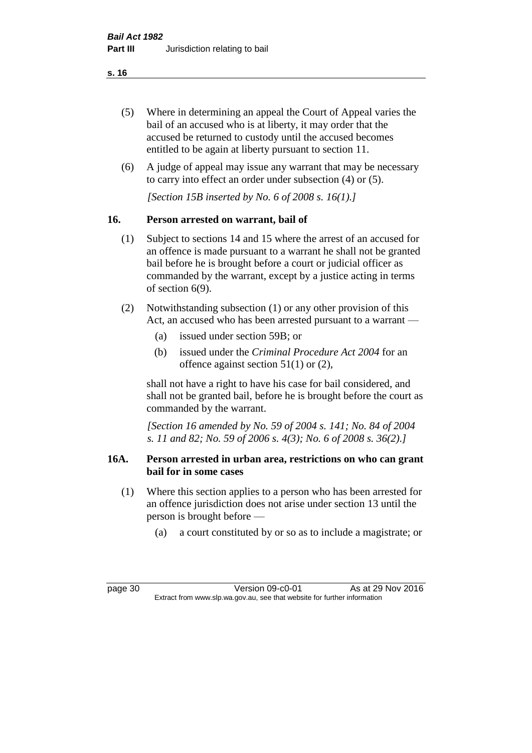- (5) Where in determining an appeal the Court of Appeal varies the bail of an accused who is at liberty, it may order that the accused be returned to custody until the accused becomes entitled to be again at liberty pursuant to section 11.
- (6) A judge of appeal may issue any warrant that may be necessary to carry into effect an order under subsection (4) or (5).

*[Section 15B inserted by No. 6 of 2008 s. 16(1).]*

## **16. Person arrested on warrant, bail of**

- (1) Subject to sections 14 and 15 where the arrest of an accused for an offence is made pursuant to a warrant he shall not be granted bail before he is brought before a court or judicial officer as commanded by the warrant, except by a justice acting in terms of section 6(9).
- (2) Notwithstanding subsection (1) or any other provision of this Act, an accused who has been arrested pursuant to a warrant —
	- (a) issued under section 59B; or
	- (b) issued under the *Criminal Procedure Act 2004* for an offence against section 51(1) or (2),

shall not have a right to have his case for bail considered, and shall not be granted bail, before he is brought before the court as commanded by the warrant.

*[Section 16 amended by No. 59 of 2004 s. 141; No. 84 of 2004 s. 11 and 82; No. 59 of 2006 s. 4(3); No. 6 of 2008 s. 36(2).]*

### **16A. Person arrested in urban area, restrictions on who can grant bail for in some cases**

- (1) Where this section applies to a person who has been arrested for an offence jurisdiction does not arise under section 13 until the person is brought before —
	- (a) a court constituted by or so as to include a magistrate; or

page 30 Version 09-c0-01 As at 29 Nov 2016 Extract from www.slp.wa.gov.au, see that website for further information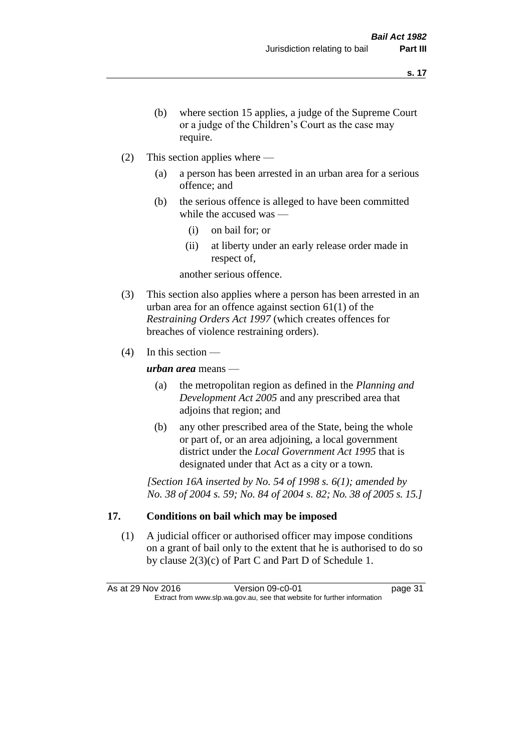- (b) where section 15 applies, a judge of the Supreme Court or a judge of the Children's Court as the case may require.
- (2) This section applies where
	- (a) a person has been arrested in an urban area for a serious offence; and
	- (b) the serious offence is alleged to have been committed while the accused was —
		- (i) on bail for; or
		- (ii) at liberty under an early release order made in respect of,

another serious offence.

- (3) This section also applies where a person has been arrested in an urban area for an offence against section 61(1) of the *Restraining Orders Act 1997* (which creates offences for breaches of violence restraining orders).
- $(4)$  In this section —

*urban area* means —

- (a) the metropolitan region as defined in the *Planning and Development Act 2005* and any prescribed area that adjoins that region; and
- (b) any other prescribed area of the State, being the whole or part of, or an area adjoining, a local government district under the *Local Government Act 1995* that is designated under that Act as a city or a town.

*[Section 16A inserted by No. 54 of 1998 s. 6(1); amended by No. 38 of 2004 s. 59; No. 84 of 2004 s. 82; No. 38 of 2005 s. 15.]*

# **17. Conditions on bail which may be imposed**

(1) A judicial officer or authorised officer may impose conditions on a grant of bail only to the extent that he is authorised to do so by clause 2(3)(c) of Part C and Part D of Schedule 1.

As at 29 Nov 2016 Version 09-c0-01 page 31 Extract from www.slp.wa.gov.au, see that website for further information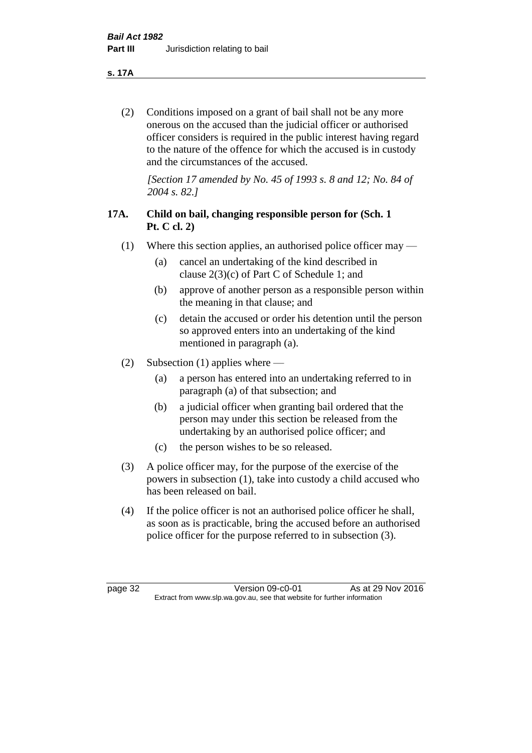**s. 17A**

(2) Conditions imposed on a grant of bail shall not be any more onerous on the accused than the judicial officer or authorised officer considers is required in the public interest having regard to the nature of the offence for which the accused is in custody and the circumstances of the accused.

*[Section 17 amended by No. 45 of 1993 s. 8 and 12; No. 84 of 2004 s. 82.]* 

# **17A. Child on bail, changing responsible person for (Sch. 1 Pt. C cl. 2)**

- (1) Where this section applies, an authorised police officer may
	- (a) cancel an undertaking of the kind described in clause 2(3)(c) of Part C of Schedule 1; and
	- (b) approve of another person as a responsible person within the meaning in that clause; and
	- (c) detain the accused or order his detention until the person so approved enters into an undertaking of the kind mentioned in paragraph (a).
- (2) Subsection (1) applies where
	- (a) a person has entered into an undertaking referred to in paragraph (a) of that subsection; and
	- (b) a judicial officer when granting bail ordered that the person may under this section be released from the undertaking by an authorised police officer; and
	- (c) the person wishes to be so released.
- (3) A police officer may, for the purpose of the exercise of the powers in subsection (1), take into custody a child accused who has been released on bail.
- (4) If the police officer is not an authorised police officer he shall, as soon as is practicable, bring the accused before an authorised police officer for the purpose referred to in subsection (3).

page 32 Version 09-c0-01 As at 29 Nov 2016 Extract from www.slp.wa.gov.au, see that website for further information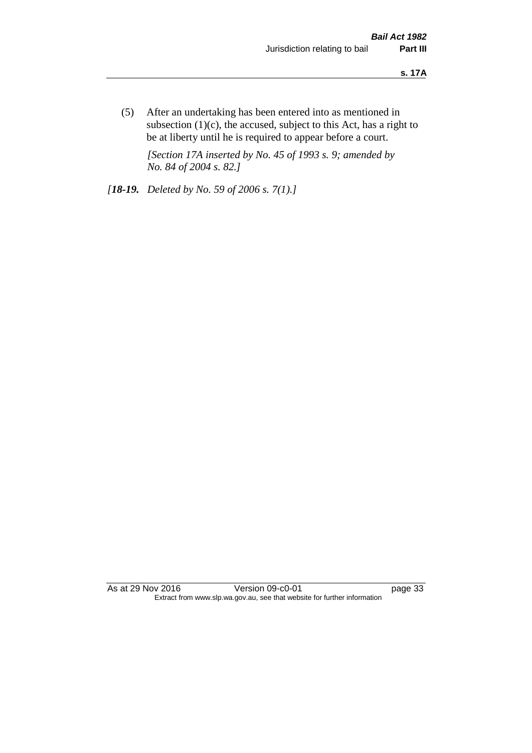(5) After an undertaking has been entered into as mentioned in subsection  $(1)(c)$ , the accused, subject to this Act, has a right to be at liberty until he is required to appear before a court.

*[Section 17A inserted by No. 45 of 1993 s. 9; amended by No. 84 of 2004 s. 82.]* 

*[18-19. Deleted by No. 59 of 2006 s. 7(1).]*

As at 29 Nov 2016 Version 09-c0-01 page 33 Extract from www.slp.wa.gov.au, see that website for further information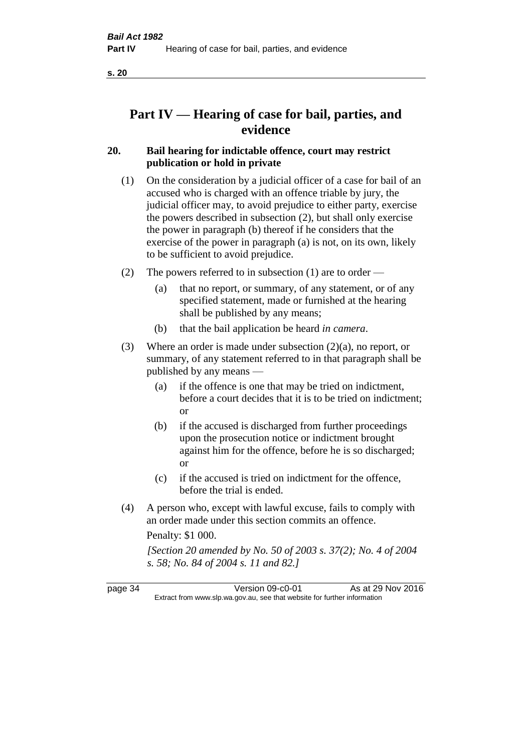# **Part IV — Hearing of case for bail, parties, and evidence**

# **20. Bail hearing for indictable offence, court may restrict publication or hold in private**

- (1) On the consideration by a judicial officer of a case for bail of an accused who is charged with an offence triable by jury, the judicial officer may, to avoid prejudice to either party, exercise the powers described in subsection (2), but shall only exercise the power in paragraph (b) thereof if he considers that the exercise of the power in paragraph (a) is not, on its own, likely to be sufficient to avoid prejudice.
- (2) The powers referred to in subsection (1) are to order
	- (a) that no report, or summary, of any statement, or of any specified statement, made or furnished at the hearing shall be published by any means;
	- (b) that the bail application be heard *in camera*.
- (3) Where an order is made under subsection (2)(a), no report, or summary, of any statement referred to in that paragraph shall be published by any means —
	- (a) if the offence is one that may be tried on indictment, before a court decides that it is to be tried on indictment; or
	- (b) if the accused is discharged from further proceedings upon the prosecution notice or indictment brought against him for the offence, before he is so discharged; or
	- (c) if the accused is tried on indictment for the offence, before the trial is ended.
- (4) A person who, except with lawful excuse, fails to comply with an order made under this section commits an offence.

Penalty: \$1 000.

*[Section 20 amended by No. 50 of 2003 s. 37(2); No. 4 of 2004 s. 58; No. 84 of 2004 s. 11 and 82.]*

page 34 Version 09-c0-01 As at 29 Nov 2016 Extract from www.slp.wa.gov.au, see that website for further information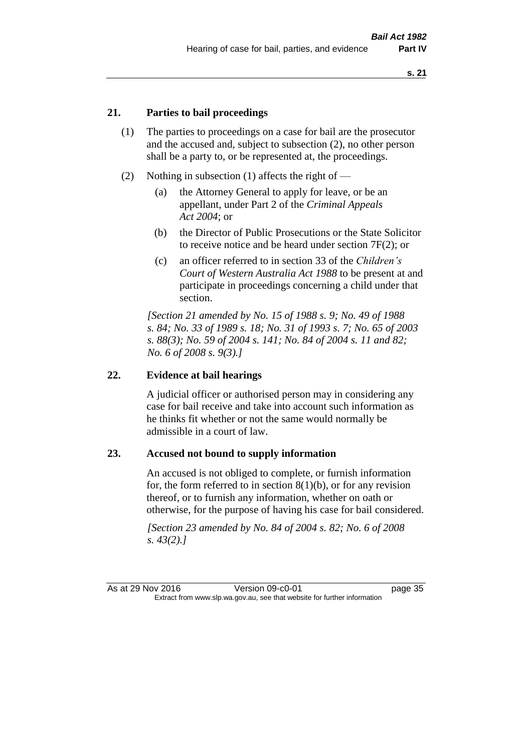## **21. Parties to bail proceedings**

- (1) The parties to proceedings on a case for bail are the prosecutor and the accused and, subject to subsection (2), no other person shall be a party to, or be represented at, the proceedings.
- (2) Nothing in subsection (1) affects the right of
	- (a) the Attorney General to apply for leave, or be an appellant, under Part 2 of the *Criminal Appeals Act 2004*; or
	- (b) the Director of Public Prosecutions or the State Solicitor to receive notice and be heard under section 7F(2); or
	- (c) an officer referred to in section 33 of the *Children's Court of Western Australia Act 1988* to be present at and participate in proceedings concerning a child under that section.

*[Section 21 amended by No. 15 of 1988 s. 9; No. 49 of 1988 s. 84; No. 33 of 1989 s. 18; No. 31 of 1993 s. 7; No. 65 of 2003 s. 88(3); No. 59 of 2004 s. 141; No. 84 of 2004 s. 11 and 82; No. 6 of 2008 s. 9(3).]* 

#### **22. Evidence at bail hearings**

A judicial officer or authorised person may in considering any case for bail receive and take into account such information as he thinks fit whether or not the same would normally be admissible in a court of law.

#### **23. Accused not bound to supply information**

An accused is not obliged to complete, or furnish information for, the form referred to in section  $8(1)(b)$ , or for any revision thereof, or to furnish any information, whether on oath or otherwise, for the purpose of having his case for bail considered.

*[Section 23 amended by No. 84 of 2004 s. 82; No. 6 of 2008 s. 43(2).]*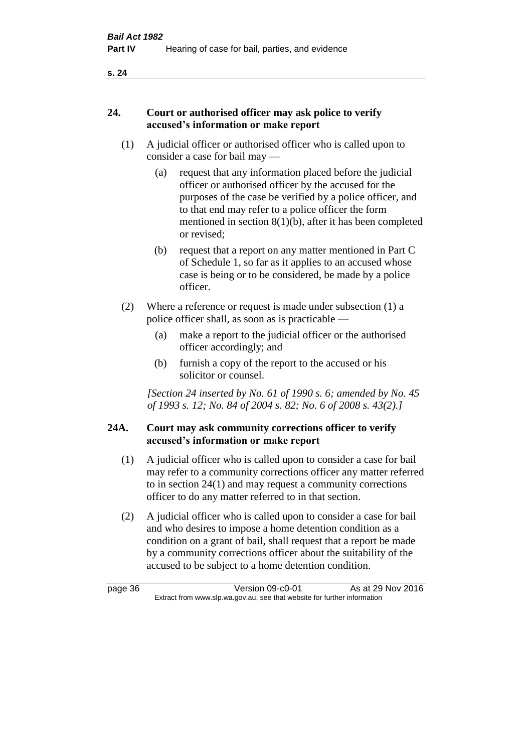## **24. Court or authorised officer may ask police to verify accused's information or make report**

- (1) A judicial officer or authorised officer who is called upon to consider a case for bail may —
	- (a) request that any information placed before the judicial officer or authorised officer by the accused for the purposes of the case be verified by a police officer, and to that end may refer to a police officer the form mentioned in section 8(1)(b), after it has been completed or revised;
	- (b) request that a report on any matter mentioned in Part C of Schedule 1, so far as it applies to an accused whose case is being or to be considered, be made by a police officer.
- (2) Where a reference or request is made under subsection (1) a police officer shall, as soon as is practicable —
	- (a) make a report to the judicial officer or the authorised officer accordingly; and
	- (b) furnish a copy of the report to the accused or his solicitor or counsel.

*[Section 24 inserted by No. 61 of 1990 s. 6; amended by No. 45 of 1993 s. 12; No. 84 of 2004 s. 82; No. 6 of 2008 s. 43(2).]* 

## **24A. Court may ask community corrections officer to verify accused's information or make report**

- (1) A judicial officer who is called upon to consider a case for bail may refer to a community corrections officer any matter referred to in section 24(1) and may request a community corrections officer to do any matter referred to in that section.
- (2) A judicial officer who is called upon to consider a case for bail and who desires to impose a home detention condition as a condition on a grant of bail, shall request that a report be made by a community corrections officer about the suitability of the accused to be subject to a home detention condition.

page 36 Version 09-c0-01 As at 29 Nov 2016 Extract from www.slp.wa.gov.au, see that website for further information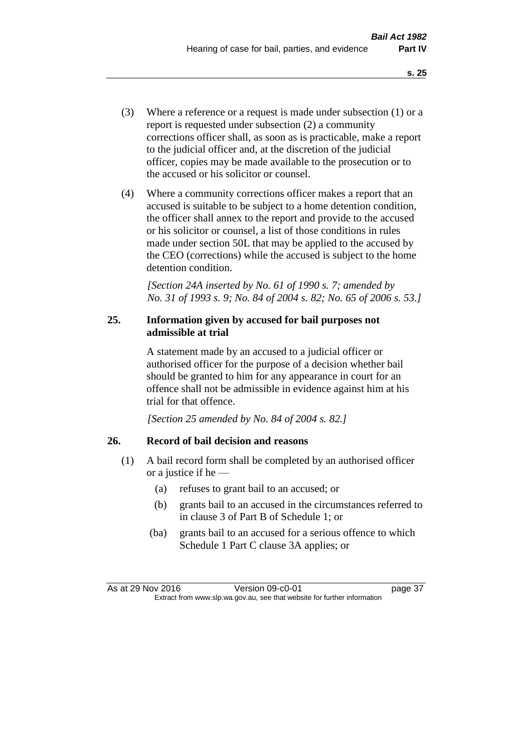- (3) Where a reference or a request is made under subsection (1) or a report is requested under subsection (2) a community corrections officer shall, as soon as is practicable, make a report to the judicial officer and, at the discretion of the judicial officer, copies may be made available to the prosecution or to the accused or his solicitor or counsel.
- (4) Where a community corrections officer makes a report that an accused is suitable to be subject to a home detention condition, the officer shall annex to the report and provide to the accused or his solicitor or counsel, a list of those conditions in rules made under section 50L that may be applied to the accused by the CEO (corrections) while the accused is subject to the home detention condition.

*[Section 24A inserted by No. 61 of 1990 s. 7; amended by No. 31 of 1993 s. 9; No. 84 of 2004 s. 82; No. 65 of 2006 s. 53.]* 

## **25. Information given by accused for bail purposes not admissible at trial**

A statement made by an accused to a judicial officer or authorised officer for the purpose of a decision whether bail should be granted to him for any appearance in court for an offence shall not be admissible in evidence against him at his trial for that offence.

*[Section 25 amended by No. 84 of 2004 s. 82.]* 

# **26. Record of bail decision and reasons**

- (1) A bail record form shall be completed by an authorised officer or a justice if he —
	- (a) refuses to grant bail to an accused; or
	- (b) grants bail to an accused in the circumstances referred to in clause 3 of Part B of Schedule 1; or
	- (ba) grants bail to an accused for a serious offence to which Schedule 1 Part C clause 3A applies; or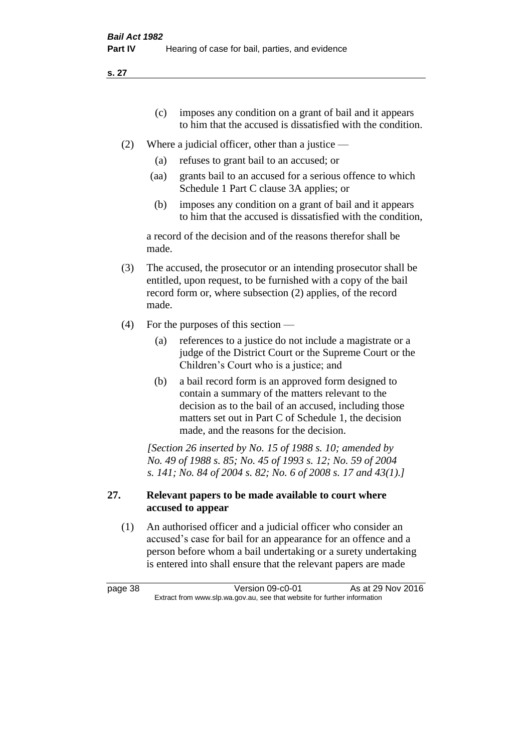- (c) imposes any condition on a grant of bail and it appears to him that the accused is dissatisfied with the condition.
- (2) Where a judicial officer, other than a justice
	- (a) refuses to grant bail to an accused; or
	- (aa) grants bail to an accused for a serious offence to which Schedule 1 Part C clause 3A applies; or
	- (b) imposes any condition on a grant of bail and it appears to him that the accused is dissatisfied with the condition,

a record of the decision and of the reasons therefor shall be made.

- (3) The accused, the prosecutor or an intending prosecutor shall be entitled, upon request, to be furnished with a copy of the bail record form or, where subsection (2) applies, of the record made.
- (4) For the purposes of this section
	- (a) references to a justice do not include a magistrate or a judge of the District Court or the Supreme Court or the Children's Court who is a justice; and
	- (b) a bail record form is an approved form designed to contain a summary of the matters relevant to the decision as to the bail of an accused, including those matters set out in Part C of Schedule 1, the decision made, and the reasons for the decision.

*[Section 26 inserted by No. 15 of 1988 s. 10; amended by No. 49 of 1988 s. 85; No. 45 of 1993 s. 12; No. 59 of 2004 s. 141; No. 84 of 2004 s. 82; No. 6 of 2008 s. 17 and 43(1).]* 

## **27. Relevant papers to be made available to court where accused to appear**

(1) An authorised officer and a judicial officer who consider an accused's case for bail for an appearance for an offence and a person before whom a bail undertaking or a surety undertaking is entered into shall ensure that the relevant papers are made

page 38 Version 09-c0-01 As at 29 Nov 2016 Extract from www.slp.wa.gov.au, see that website for further information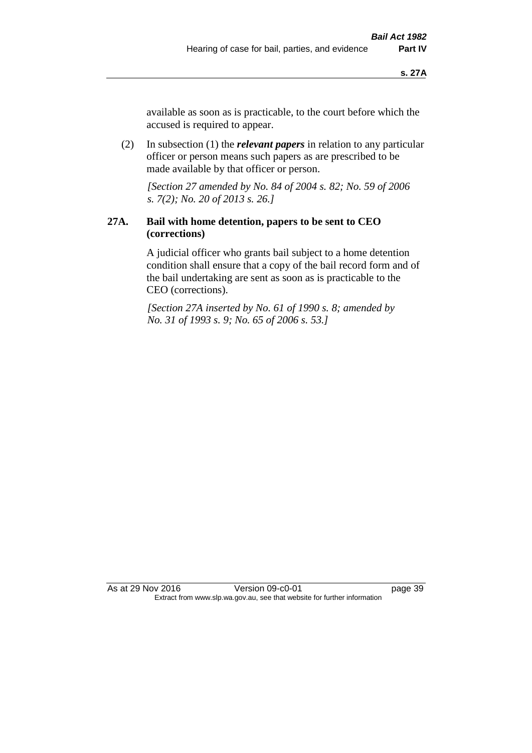available as soon as is practicable, to the court before which the accused is required to appear.

(2) In subsection (1) the *relevant papers* in relation to any particular officer or person means such papers as are prescribed to be made available by that officer or person.

*[Section 27 amended by No. 84 of 2004 s. 82; No. 59 of 2006 s. 7(2); No. 20 of 2013 s. 26.]* 

## **27A. Bail with home detention, papers to be sent to CEO (corrections)**

A judicial officer who grants bail subject to a home detention condition shall ensure that a copy of the bail record form and of the bail undertaking are sent as soon as is practicable to the CEO (corrections).

*[Section 27A inserted by No. 61 of 1990 s. 8; amended by No. 31 of 1993 s. 9; No. 65 of 2006 s. 53.]*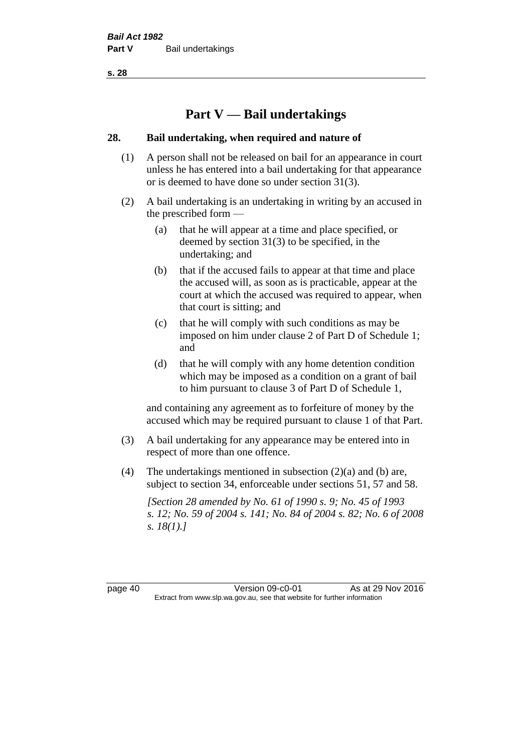# **Part V — Bail undertakings**

#### **28. Bail undertaking, when required and nature of**

- (1) A person shall not be released on bail for an appearance in court unless he has entered into a bail undertaking for that appearance or is deemed to have done so under section 31(3).
- (2) A bail undertaking is an undertaking in writing by an accused in the prescribed form —
	- (a) that he will appear at a time and place specified, or deemed by section 31(3) to be specified, in the undertaking; and
	- (b) that if the accused fails to appear at that time and place the accused will, as soon as is practicable, appear at the court at which the accused was required to appear, when that court is sitting; and
	- (c) that he will comply with such conditions as may be imposed on him under clause 2 of Part D of Schedule 1; and
	- (d) that he will comply with any home detention condition which may be imposed as a condition on a grant of bail to him pursuant to clause 3 of Part D of Schedule 1,

and containing any agreement as to forfeiture of money by the accused which may be required pursuant to clause 1 of that Part.

- (3) A bail undertaking for any appearance may be entered into in respect of more than one offence.
- (4) The undertakings mentioned in subsection (2)(a) and (b) are, subject to section 34, enforceable under sections 51, 57 and 58.

*[Section 28 amended by No. 61 of 1990 s. 9; No. 45 of 1993 s. 12; No. 59 of 2004 s. 141; No. 84 of 2004 s. 82; No. 6 of 2008 s. 18(1).]* 

page 40 Version 09-c0-01 As at 29 Nov 2016 Extract from www.slp.wa.gov.au, see that website for further information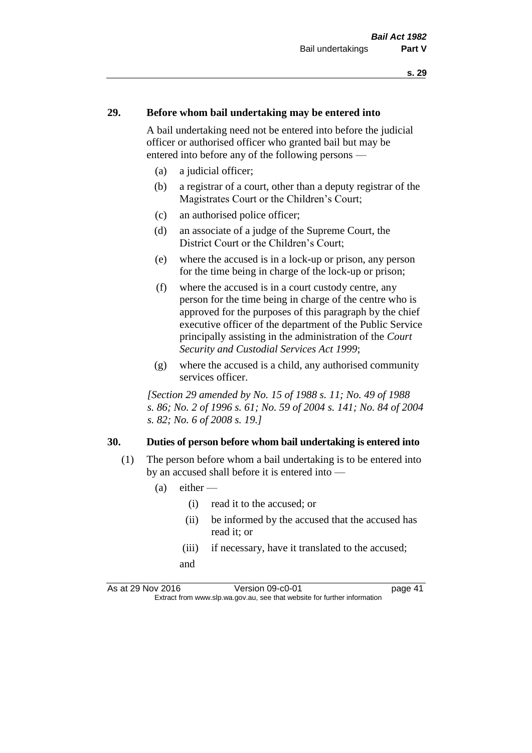#### **29. Before whom bail undertaking may be entered into**

A bail undertaking need not be entered into before the judicial officer or authorised officer who granted bail but may be entered into before any of the following persons —

- (a) a judicial officer;
- (b) a registrar of a court, other than a deputy registrar of the Magistrates Court or the Children's Court;
- (c) an authorised police officer;
- (d) an associate of a judge of the Supreme Court, the District Court or the Children's Court;
- (e) where the accused is in a lock-up or prison, any person for the time being in charge of the lock-up or prison;
- (f) where the accused is in a court custody centre, any person for the time being in charge of the centre who is approved for the purposes of this paragraph by the chief executive officer of the department of the Public Service principally assisting in the administration of the *Court Security and Custodial Services Act 1999*;
- (g) where the accused is a child, any authorised community services officer.

*[Section 29 amended by No. 15 of 1988 s. 11; No. 49 of 1988 s. 86; No. 2 of 1996 s. 61; No. 59 of 2004 s. 141; No. 84 of 2004 s. 82; No. 6 of 2008 s. 19.]* 

#### **30. Duties of person before whom bail undertaking is entered into**

- (1) The person before whom a bail undertaking is to be entered into by an accused shall before it is entered into —
	- $(a)$  either
		- (i) read it to the accused; or
		- (ii) be informed by the accused that the accused has read it; or
		- (iii) if necessary, have it translated to the accused; and

As at 29 Nov 2016 Version 09-c0-01 page 41 Extract from www.slp.wa.gov.au, see that website for further information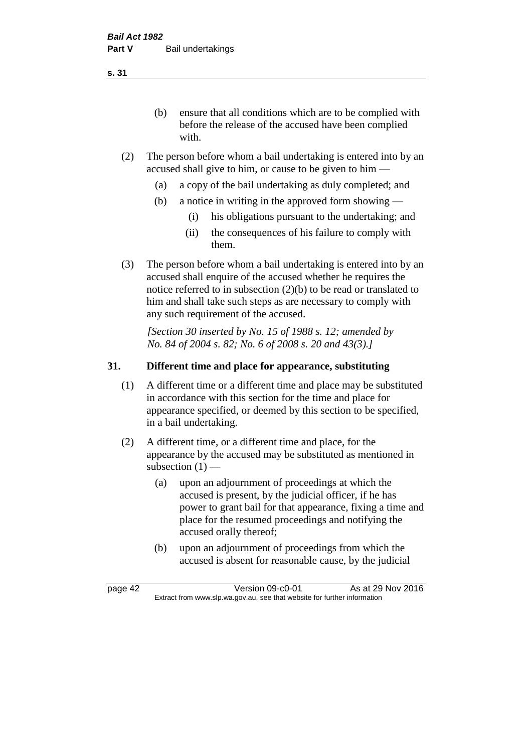(b) ensure that all conditions which are to be complied with before the release of the accused have been complied with.

- (2) The person before whom a bail undertaking is entered into by an accused shall give to him, or cause to be given to him —
	- (a) a copy of the bail undertaking as duly completed; and
	- (b) a notice in writing in the approved form showing
		- (i) his obligations pursuant to the undertaking; and
		- (ii) the consequences of his failure to comply with them.
- (3) The person before whom a bail undertaking is entered into by an accused shall enquire of the accused whether he requires the notice referred to in subsection (2)(b) to be read or translated to him and shall take such steps as are necessary to comply with any such requirement of the accused.

*[Section 30 inserted by No. 15 of 1988 s. 12; amended by No. 84 of 2004 s. 82; No. 6 of 2008 s. 20 and 43(3).]* 

## **31. Different time and place for appearance, substituting**

- (1) A different time or a different time and place may be substituted in accordance with this section for the time and place for appearance specified, or deemed by this section to be specified, in a bail undertaking.
- (2) A different time, or a different time and place, for the appearance by the accused may be substituted as mentioned in subsection  $(1)$  —
	- (a) upon an adjournment of proceedings at which the accused is present, by the judicial officer, if he has power to grant bail for that appearance, fixing a time and place for the resumed proceedings and notifying the accused orally thereof;
	- (b) upon an adjournment of proceedings from which the accused is absent for reasonable cause, by the judicial

page 42 Version 09-c0-01 As at 29 Nov 2016 Extract from www.slp.wa.gov.au, see that website for further information

**s. 31**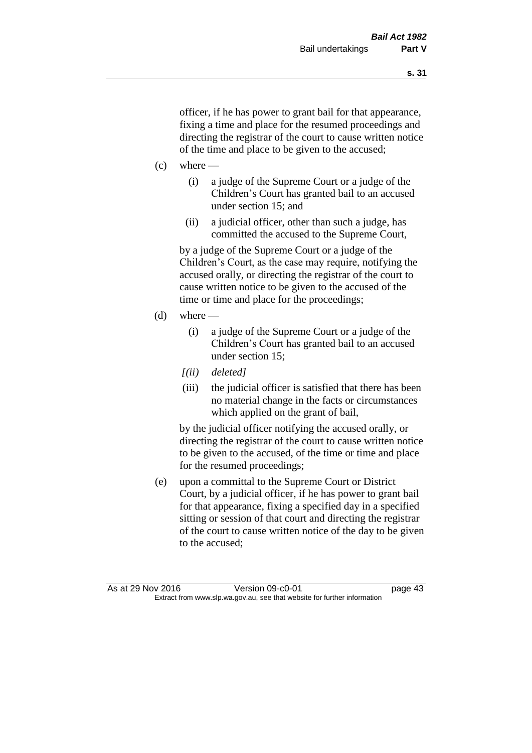officer, if he has power to grant bail for that appearance, fixing a time and place for the resumed proceedings and directing the registrar of the court to cause written notice of the time and place to be given to the accused;

- $(c)$  where
	- (i) a judge of the Supreme Court or a judge of the Children's Court has granted bail to an accused under section 15; and
	- (ii) a judicial officer, other than such a judge, has committed the accused to the Supreme Court,

by a judge of the Supreme Court or a judge of the Children's Court, as the case may require, notifying the accused orally, or directing the registrar of the court to cause written notice to be given to the accused of the time or time and place for the proceedings;

- (d) where  $-$ 
	- (i) a judge of the Supreme Court or a judge of the Children's Court has granted bail to an accused under section 15;
	- *[(ii) deleted]*
	- (iii) the judicial officer is satisfied that there has been no material change in the facts or circumstances which applied on the grant of bail,

by the judicial officer notifying the accused orally, or directing the registrar of the court to cause written notice to be given to the accused, of the time or time and place for the resumed proceedings;

(e) upon a committal to the Supreme Court or District Court, by a judicial officer, if he has power to grant bail for that appearance, fixing a specified day in a specified sitting or session of that court and directing the registrar of the court to cause written notice of the day to be given to the accused;

As at 29 Nov 2016 Version 09-c0-01 page 43 Extract from www.slp.wa.gov.au, see that website for further information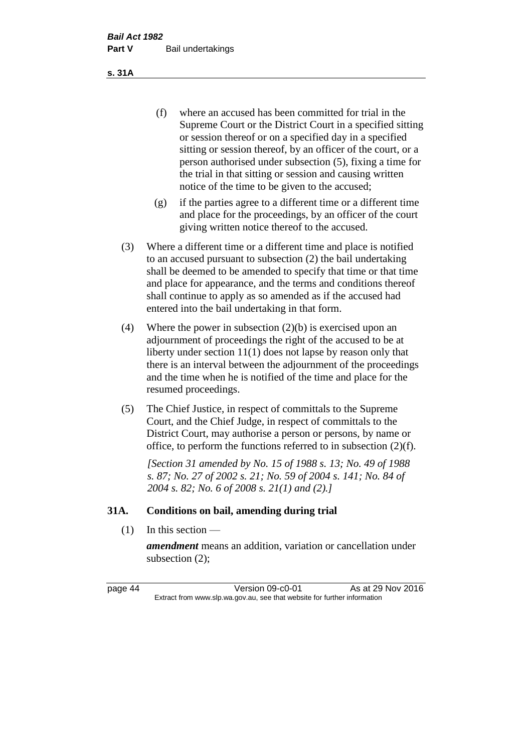(f) where an accused has been committed for trial in the Supreme Court or the District Court in a specified sitting or session thereof or on a specified day in a specified sitting or session thereof, by an officer of the court, or a person authorised under subsection (5), fixing a time for the trial in that sitting or session and causing written notice of the time to be given to the accused;

- (g) if the parties agree to a different time or a different time and place for the proceedings, by an officer of the court giving written notice thereof to the accused.
- (3) Where a different time or a different time and place is notified to an accused pursuant to subsection (2) the bail undertaking shall be deemed to be amended to specify that time or that time and place for appearance, and the terms and conditions thereof shall continue to apply as so amended as if the accused had entered into the bail undertaking in that form.
- (4) Where the power in subsection (2)(b) is exercised upon an adjournment of proceedings the right of the accused to be at liberty under section 11(1) does not lapse by reason only that there is an interval between the adjournment of the proceedings and the time when he is notified of the time and place for the resumed proceedings.
- (5) The Chief Justice, in respect of committals to the Supreme Court, and the Chief Judge, in respect of committals to the District Court, may authorise a person or persons, by name or office, to perform the functions referred to in subsection (2)(f).

*[Section 31 amended by No. 15 of 1988 s. 13; No. 49 of 1988 s. 87; No. 27 of 2002 s. 21; No. 59 of 2004 s. 141; No. 84 of 2004 s. 82; No. 6 of 2008 s. 21(1) and (2).]* 

### **31A. Conditions on bail, amending during trial**

 $(1)$  In this section —

*amendment* means an addition, variation or cancellation under subsection (2);

page 44 Version 09-c0-01 As at 29 Nov 2016 Extract from www.slp.wa.gov.au, see that website for further information

#### **s. 31A**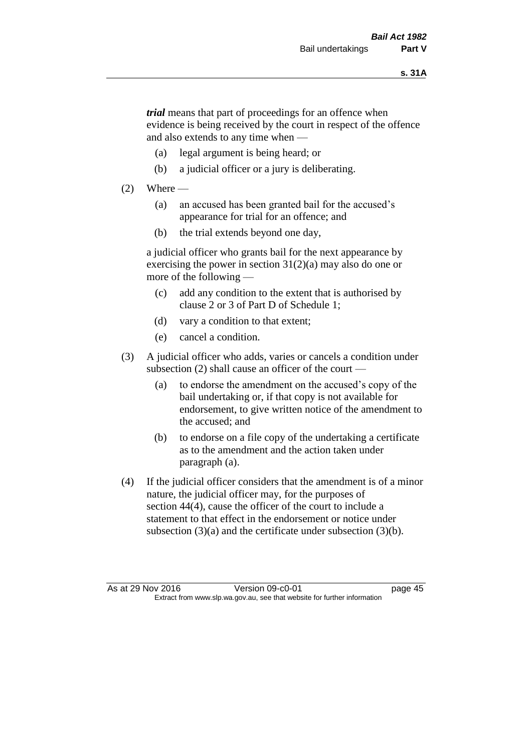*trial* means that part of proceedings for an offence when evidence is being received by the court in respect of the offence and also extends to any time when —

- (a) legal argument is being heard; or
- (b) a judicial officer or a jury is deliberating.

### $(2)$  Where —

- (a) an accused has been granted bail for the accused's appearance for trial for an offence; and
- (b) the trial extends beyond one day,

a judicial officer who grants bail for the next appearance by exercising the power in section  $31(2)(a)$  may also do one or more of the following —

- (c) add any condition to the extent that is authorised by clause 2 or 3 of Part D of Schedule 1;
- (d) vary a condition to that extent;
- (e) cancel a condition.
- (3) A judicial officer who adds, varies or cancels a condition under subsection (2) shall cause an officer of the court —
	- (a) to endorse the amendment on the accused's copy of the bail undertaking or, if that copy is not available for endorsement, to give written notice of the amendment to the accused; and
	- (b) to endorse on a file copy of the undertaking a certificate as to the amendment and the action taken under paragraph (a).
- (4) If the judicial officer considers that the amendment is of a minor nature, the judicial officer may, for the purposes of section 44(4), cause the officer of the court to include a statement to that effect in the endorsement or notice under subsection (3)(a) and the certificate under subsection (3)(b).

As at 29 Nov 2016 Version 09-c0-01 page 45 Extract from www.slp.wa.gov.au, see that website for further information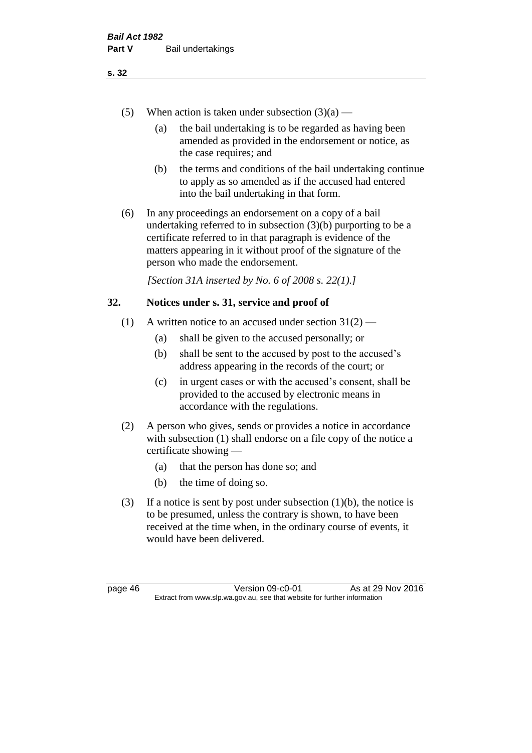- (5) When action is taken under subsection  $(3)(a)$ 
	- (a) the bail undertaking is to be regarded as having been amended as provided in the endorsement or notice, as the case requires; and
	- (b) the terms and conditions of the bail undertaking continue to apply as so amended as if the accused had entered into the bail undertaking in that form.
- (6) In any proceedings an endorsement on a copy of a bail undertaking referred to in subsection (3)(b) purporting to be a certificate referred to in that paragraph is evidence of the matters appearing in it without proof of the signature of the person who made the endorsement.

*[Section 31A inserted by No. 6 of 2008 s. 22(1).]*

## **32. Notices under s. 31, service and proof of**

- (1) A written notice to an accused under section  $31(2)$ 
	- (a) shall be given to the accused personally; or
	- (b) shall be sent to the accused by post to the accused's address appearing in the records of the court; or
	- (c) in urgent cases or with the accused's consent, shall be provided to the accused by electronic means in accordance with the regulations.
- (2) A person who gives, sends or provides a notice in accordance with subsection (1) shall endorse on a file copy of the notice a certificate showing —
	- (a) that the person has done so; and
	- (b) the time of doing so.
- (3) If a notice is sent by post under subsection  $(1)(b)$ , the notice is to be presumed, unless the contrary is shown, to have been received at the time when, in the ordinary course of events, it would have been delivered.

page 46 Version 09-c0-01 As at 29 Nov 2016 Extract from www.slp.wa.gov.au, see that website for further information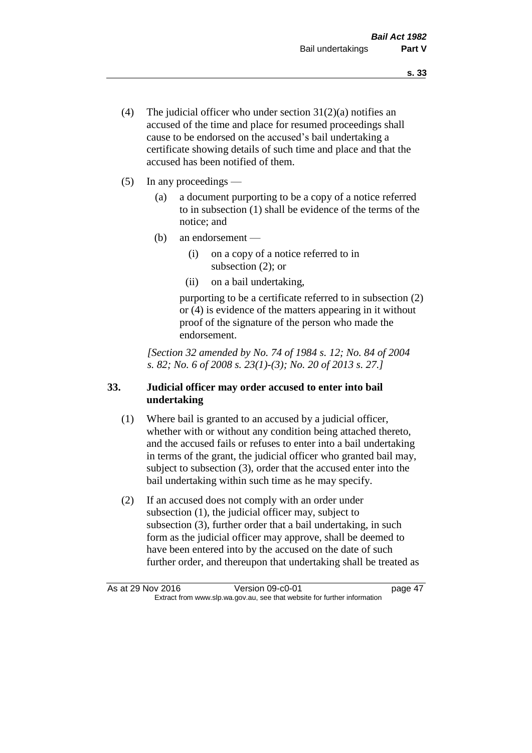- (4) The judicial officer who under section  $31(2)(a)$  notifies an accused of the time and place for resumed proceedings shall cause to be endorsed on the accused's bail undertaking a certificate showing details of such time and place and that the accused has been notified of them.
- (5) In any proceedings
	- (a) a document purporting to be a copy of a notice referred to in subsection (1) shall be evidence of the terms of the notice; and
	- (b) an endorsement
		- (i) on a copy of a notice referred to in subsection (2); or
		- (ii) on a bail undertaking,

purporting to be a certificate referred to in subsection (2) or (4) is evidence of the matters appearing in it without proof of the signature of the person who made the endorsement.

*[Section 32 amended by No. 74 of 1984 s. 12; No. 84 of 2004 s. 82; No. 6 of 2008 s. 23(1)-(3); No. 20 of 2013 s. 27.]* 

## **33. Judicial officer may order accused to enter into bail undertaking**

- (1) Where bail is granted to an accused by a judicial officer, whether with or without any condition being attached thereto, and the accused fails or refuses to enter into a bail undertaking in terms of the grant, the judicial officer who granted bail may, subject to subsection (3), order that the accused enter into the bail undertaking within such time as he may specify.
- (2) If an accused does not comply with an order under subsection (1), the judicial officer may, subject to subsection (3), further order that a bail undertaking, in such form as the judicial officer may approve, shall be deemed to have been entered into by the accused on the date of such further order, and thereupon that undertaking shall be treated as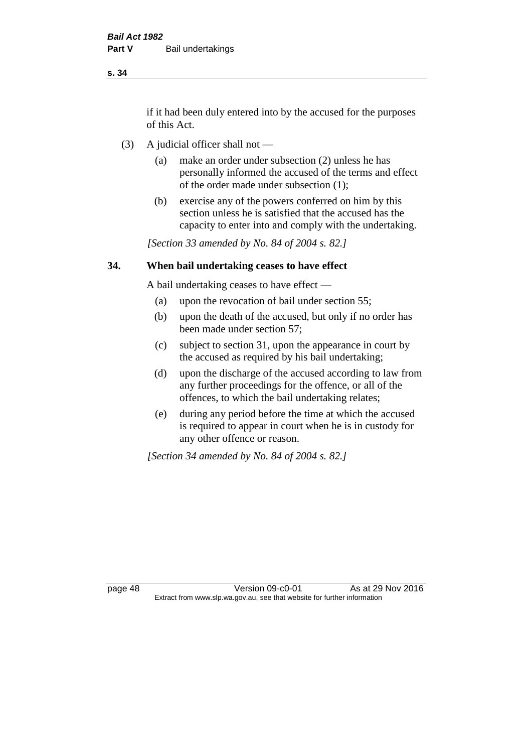if it had been duly entered into by the accused for the purposes of this Act.

- (3) A judicial officer shall not
	- (a) make an order under subsection (2) unless he has personally informed the accused of the terms and effect of the order made under subsection (1);
	- (b) exercise any of the powers conferred on him by this section unless he is satisfied that the accused has the capacity to enter into and comply with the undertaking.

*[Section 33 amended by No. 84 of 2004 s. 82.]* 

## **34. When bail undertaking ceases to have effect**

A bail undertaking ceases to have effect —

- (a) upon the revocation of bail under section 55;
- (b) upon the death of the accused, but only if no order has been made under section 57;
- (c) subject to section 31, upon the appearance in court by the accused as required by his bail undertaking;
- (d) upon the discharge of the accused according to law from any further proceedings for the offence, or all of the offences, to which the bail undertaking relates;
- (e) during any period before the time at which the accused is required to appear in court when he is in custody for any other offence or reason.

*[Section 34 amended by No. 84 of 2004 s. 82.]* 

page 48 Version 09-c0-01 As at 29 Nov 2016 Extract from www.slp.wa.gov.au, see that website for further information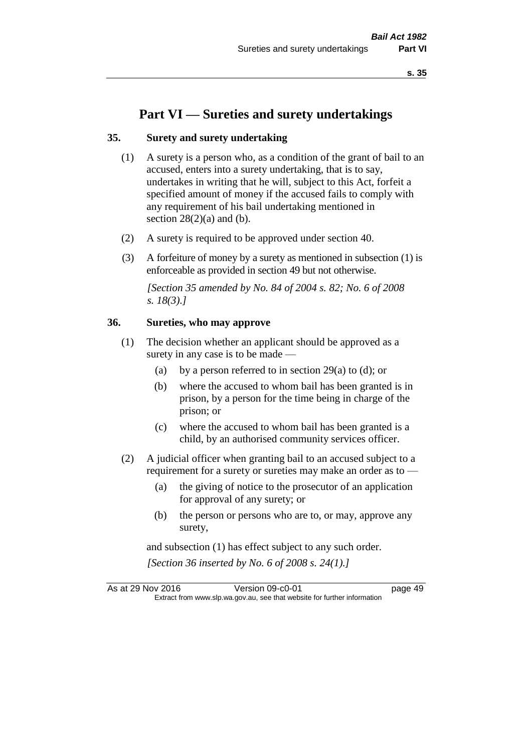# **Part VI — Sureties and surety undertakings**

#### **35. Surety and surety undertaking**

- (1) A surety is a person who, as a condition of the grant of bail to an accused, enters into a surety undertaking, that is to say, undertakes in writing that he will, subject to this Act, forfeit a specified amount of money if the accused fails to comply with any requirement of his bail undertaking mentioned in section  $28(2)(a)$  and (b).
- (2) A surety is required to be approved under section 40.
- (3) A forfeiture of money by a surety as mentioned in subsection (1) is enforceable as provided in section 49 but not otherwise.

*[Section 35 amended by No. 84 of 2004 s. 82; No. 6 of 2008 s. 18(3).]* 

## **36. Sureties, who may approve**

- (1) The decision whether an applicant should be approved as a surety in any case is to be made —
	- (a) by a person referred to in section 29(a) to (d); or
	- (b) where the accused to whom bail has been granted is in prison, by a person for the time being in charge of the prison; or
	- (c) where the accused to whom bail has been granted is a child, by an authorised community services officer.
- (2) A judicial officer when granting bail to an accused subject to a requirement for a surety or sureties may make an order as to -
	- (a) the giving of notice to the prosecutor of an application for approval of any surety; or
	- (b) the person or persons who are to, or may, approve any surety,

and subsection (1) has effect subject to any such order. *[Section 36 inserted by No. 6 of 2008 s. 24(1).]*

As at 29 Nov 2016 Version 09-c0-01 page 49 Extract from www.slp.wa.gov.au, see that website for further information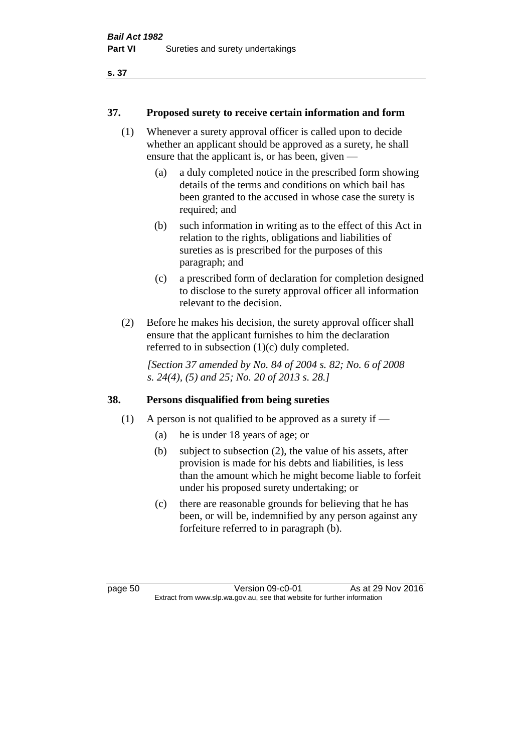### **37. Proposed surety to receive certain information and form**

- (1) Whenever a surety approval officer is called upon to decide whether an applicant should be approved as a surety, he shall ensure that the applicant is, or has been, given —
	- (a) a duly completed notice in the prescribed form showing details of the terms and conditions on which bail has been granted to the accused in whose case the surety is required; and
	- (b) such information in writing as to the effect of this Act in relation to the rights, obligations and liabilities of sureties as is prescribed for the purposes of this paragraph; and
	- (c) a prescribed form of declaration for completion designed to disclose to the surety approval officer all information relevant to the decision.
- (2) Before he makes his decision, the surety approval officer shall ensure that the applicant furnishes to him the declaration referred to in subsection (1)(c) duly completed.

*[Section 37 amended by No. 84 of 2004 s. 82; No. 6 of 2008 s. 24(4), (5) and 25; No. 20 of 2013 s. 28.]* 

## **38. Persons disqualified from being sureties**

- (1) A person is not qualified to be approved as a surety if  $-$ 
	- (a) he is under 18 years of age; or
	- (b) subject to subsection (2), the value of his assets, after provision is made for his debts and liabilities, is less than the amount which he might become liable to forfeit under his proposed surety undertaking; or
	- (c) there are reasonable grounds for believing that he has been, or will be, indemnified by any person against any forfeiture referred to in paragraph (b).

page 50 Version 09-c0-01 As at 29 Nov 2016 Extract from www.slp.wa.gov.au, see that website for further information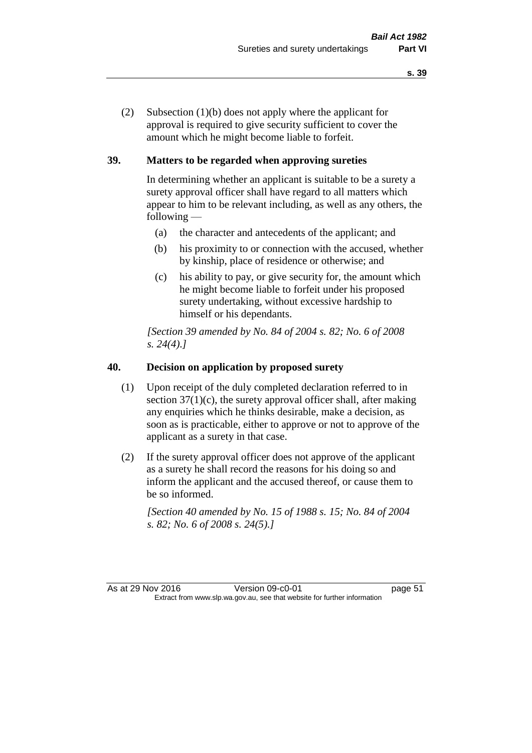(2) Subsection (1)(b) does not apply where the applicant for approval is required to give security sufficient to cover the amount which he might become liable to forfeit.

## **39. Matters to be regarded when approving sureties**

In determining whether an applicant is suitable to be a surety a surety approval officer shall have regard to all matters which appear to him to be relevant including, as well as any others, the following —

- (a) the character and antecedents of the applicant; and
- (b) his proximity to or connection with the accused, whether by kinship, place of residence or otherwise; and
- (c) his ability to pay, or give security for, the amount which he might become liable to forfeit under his proposed surety undertaking, without excessive hardship to himself or his dependants.

*[Section 39 amended by No. 84 of 2004 s. 82; No. 6 of 2008 s. 24(4).]* 

## **40. Decision on application by proposed surety**

- (1) Upon receipt of the duly completed declaration referred to in section  $37(1)(c)$ , the surety approval officer shall, after making any enquiries which he thinks desirable, make a decision, as soon as is practicable, either to approve or not to approve of the applicant as a surety in that case.
- (2) If the surety approval officer does not approve of the applicant as a surety he shall record the reasons for his doing so and inform the applicant and the accused thereof, or cause them to be so informed.

*[Section 40 amended by No. 15 of 1988 s. 15; No. 84 of 2004 s. 82; No. 6 of 2008 s. 24(5).]*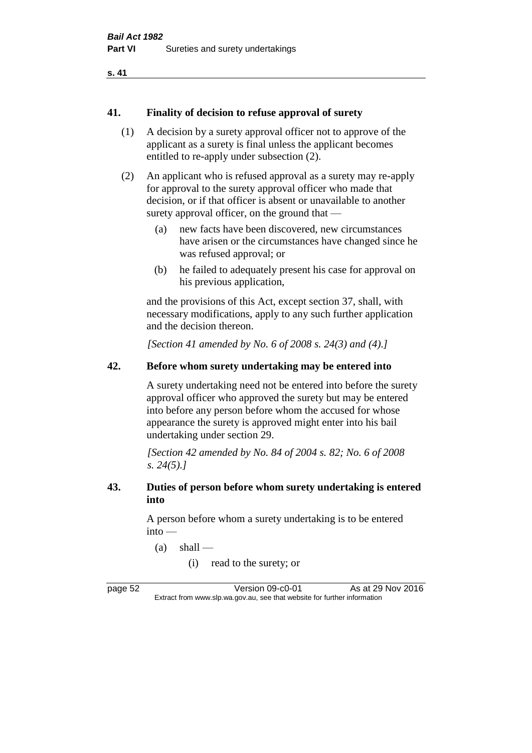```
s. 41
```
#### **41. Finality of decision to refuse approval of surety**

- (1) A decision by a surety approval officer not to approve of the applicant as a surety is final unless the applicant becomes entitled to re-apply under subsection (2).
- (2) An applicant who is refused approval as a surety may re-apply for approval to the surety approval officer who made that decision, or if that officer is absent or unavailable to another surety approval officer, on the ground that —
	- (a) new facts have been discovered, new circumstances have arisen or the circumstances have changed since he was refused approval; or
	- (b) he failed to adequately present his case for approval on his previous application,

and the provisions of this Act, except section 37, shall, with necessary modifications, apply to any such further application and the decision thereon.

*[Section 41 amended by No. 6 of 2008 s. 24(3) and (4).]*

## **42. Before whom surety undertaking may be entered into**

A surety undertaking need not be entered into before the surety approval officer who approved the surety but may be entered into before any person before whom the accused for whose appearance the surety is approved might enter into his bail undertaking under section 29.

*[Section 42 amended by No. 84 of 2004 s. 82; No. 6 of 2008 s. 24(5).]* 

### **43. Duties of person before whom surety undertaking is entered into**

A person before whom a surety undertaking is to be entered into —

- $(a)$  shall
	- (i) read to the surety; or

page 52 Version 09-c0-01 As at 29 Nov 2016 Extract from www.slp.wa.gov.au, see that website for further information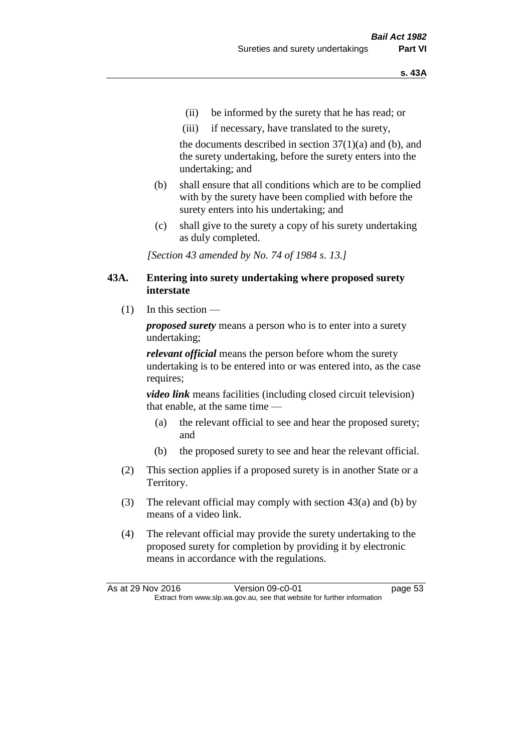- (ii) be informed by the surety that he has read; or
- (iii) if necessary, have translated to the surety,

the documents described in section  $37(1)(a)$  and (b), and the surety undertaking, before the surety enters into the undertaking; and

- (b) shall ensure that all conditions which are to be complied with by the surety have been complied with before the surety enters into his undertaking; and
- (c) shall give to the surety a copy of his surety undertaking as duly completed.

*[Section 43 amended by No. 74 of 1984 s. 13.]* 

#### **43A. Entering into surety undertaking where proposed surety interstate**

 $(1)$  In this section —

*proposed surety* means a person who is to enter into a surety undertaking;

*relevant official* means the person before whom the surety undertaking is to be entered into or was entered into, as the case requires;

*video link* means facilities (including closed circuit television) that enable, at the same time —

- (a) the relevant official to see and hear the proposed surety; and
- (b) the proposed surety to see and hear the relevant official.
- (2) This section applies if a proposed surety is in another State or a Territory.
- (3) The relevant official may comply with section 43(a) and (b) by means of a video link.
- (4) The relevant official may provide the surety undertaking to the proposed surety for completion by providing it by electronic means in accordance with the regulations.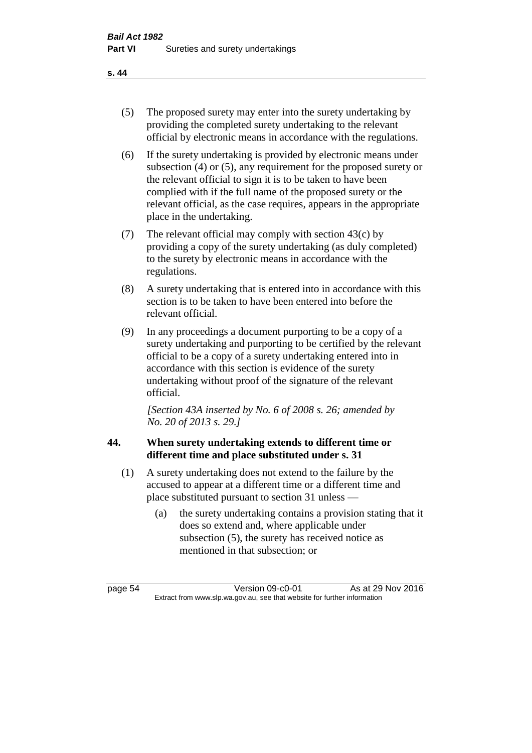- (5) The proposed surety may enter into the surety undertaking by providing the completed surety undertaking to the relevant official by electronic means in accordance with the regulations.
- (6) If the surety undertaking is provided by electronic means under subsection (4) or (5), any requirement for the proposed surety or the relevant official to sign it is to be taken to have been complied with if the full name of the proposed surety or the relevant official, as the case requires, appears in the appropriate place in the undertaking.
- (7) The relevant official may comply with section 43(c) by providing a copy of the surety undertaking (as duly completed) to the surety by electronic means in accordance with the regulations.
- (8) A surety undertaking that is entered into in accordance with this section is to be taken to have been entered into before the relevant official.
- (9) In any proceedings a document purporting to be a copy of a surety undertaking and purporting to be certified by the relevant official to be a copy of a surety undertaking entered into in accordance with this section is evidence of the surety undertaking without proof of the signature of the relevant official.

*[Section 43A inserted by No. 6 of 2008 s. 26; amended by No. 20 of 2013 s. 29.]*

# **44. When surety undertaking extends to different time or different time and place substituted under s. 31**

- (1) A surety undertaking does not extend to the failure by the accused to appear at a different time or a different time and place substituted pursuant to section 31 unless —
	- (a) the surety undertaking contains a provision stating that it does so extend and, where applicable under subsection (5), the surety has received notice as mentioned in that subsection; or

page 54 Version 09-c0-01 As at 29 Nov 2016 Extract from www.slp.wa.gov.au, see that website for further information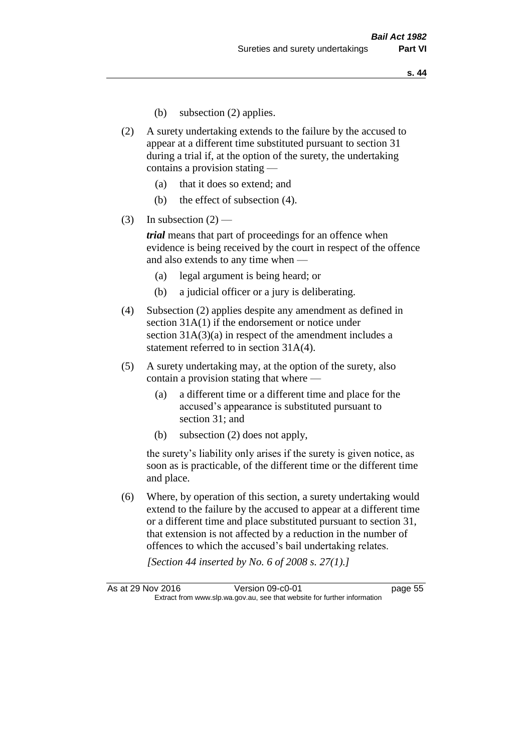- (b) subsection (2) applies.
- (2) A surety undertaking extends to the failure by the accused to appear at a different time substituted pursuant to section 31 during a trial if, at the option of the surety, the undertaking contains a provision stating —
	- (a) that it does so extend; and
	- (b) the effect of subsection (4).
- (3) In subsection  $(2)$  —

*trial* means that part of proceedings for an offence when evidence is being received by the court in respect of the offence and also extends to any time when —

- (a) legal argument is being heard; or
- (b) a judicial officer or a jury is deliberating.
- (4) Subsection (2) applies despite any amendment as defined in section 31A(1) if the endorsement or notice under section 31A(3)(a) in respect of the amendment includes a statement referred to in section 31A(4).
- (5) A surety undertaking may, at the option of the surety, also contain a provision stating that where —
	- (a) a different time or a different time and place for the accused's appearance is substituted pursuant to section 31; and
	- (b) subsection (2) does not apply,

the surety's liability only arises if the surety is given notice, as soon as is practicable, of the different time or the different time and place.

(6) Where, by operation of this section, a surety undertaking would extend to the failure by the accused to appear at a different time or a different time and place substituted pursuant to section 31, that extension is not affected by a reduction in the number of offences to which the accused's bail undertaking relates.

*[Section 44 inserted by No. 6 of 2008 s. 27(1).]*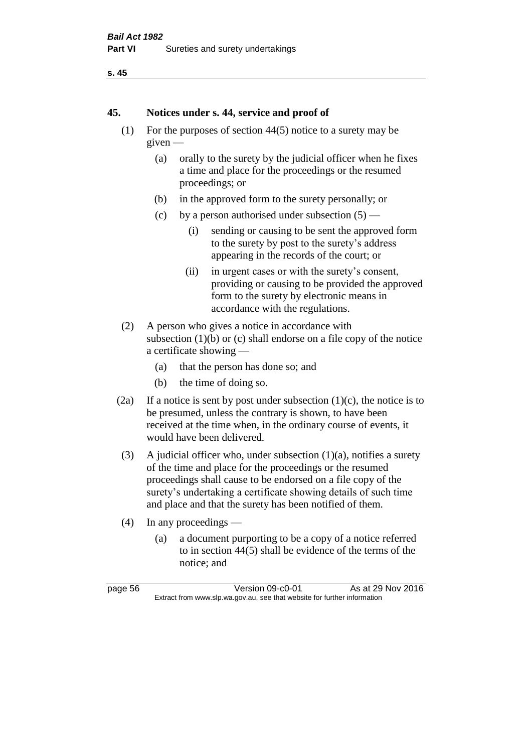```
s. 45
```
### **45. Notices under s. 44, service and proof of**

- (1) For the purposes of section 44(5) notice to a surety may be given —
	- (a) orally to the surety by the judicial officer when he fixes a time and place for the proceedings or the resumed proceedings; or
	- (b) in the approved form to the surety personally; or
	- (c) by a person authorised under subsection  $(5)$ 
		- (i) sending or causing to be sent the approved form to the surety by post to the surety's address appearing in the records of the court; or
		- (ii) in urgent cases or with the surety's consent, providing or causing to be provided the approved form to the surety by electronic means in accordance with the regulations.
- (2) A person who gives a notice in accordance with subsection  $(1)(b)$  or  $(c)$  shall endorse on a file copy of the notice a certificate showing —
	- (a) that the person has done so; and
	- (b) the time of doing so.
- (2a) If a notice is sent by post under subsection  $(1)(c)$ , the notice is to be presumed, unless the contrary is shown, to have been received at the time when, in the ordinary course of events, it would have been delivered.
- (3) A judicial officer who, under subsection  $(1)(a)$ , notifies a surety of the time and place for the proceedings or the resumed proceedings shall cause to be endorsed on a file copy of the surety's undertaking a certificate showing details of such time and place and that the surety has been notified of them.
- (4) In any proceedings
	- (a) a document purporting to be a copy of a notice referred to in section 44(5) shall be evidence of the terms of the notice; and

| page 56 |  |
|---------|--|
|---------|--|

 $Version$  09-c0-01 As at 29 Nov 2016 Extract from www.slp.wa.gov.au, see that website for further information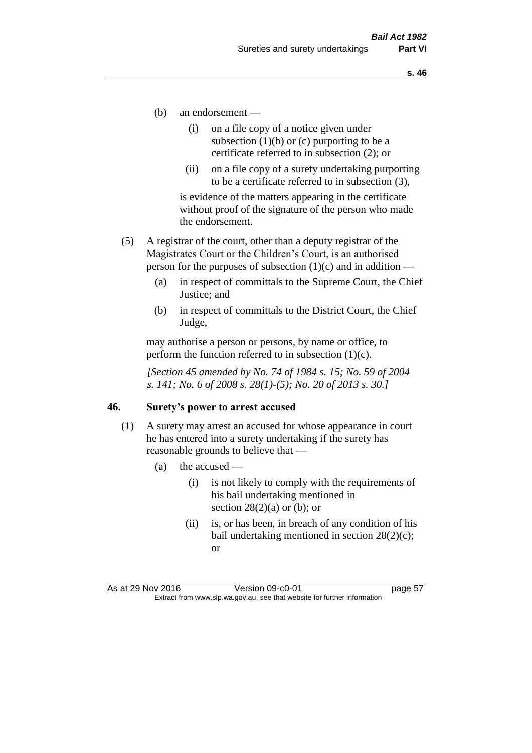- (b) an endorsement
	- (i) on a file copy of a notice given under subsection  $(1)(b)$  or  $(c)$  purporting to be a certificate referred to in subsection (2); or
	- (ii) on a file copy of a surety undertaking purporting to be a certificate referred to in subsection (3),

is evidence of the matters appearing in the certificate without proof of the signature of the person who made the endorsement.

- (5) A registrar of the court, other than a deputy registrar of the Magistrates Court or the Children's Court, is an authorised person for the purposes of subsection  $(1)(c)$  and in addition —
	- (a) in respect of committals to the Supreme Court, the Chief Justice; and
	- (b) in respect of committals to the District Court, the Chief Judge,

may authorise a person or persons, by name or office, to perform the function referred to in subsection  $(1)(c)$ .

*[Section 45 amended by No. 74 of 1984 s. 15; No. 59 of 2004 s. 141; No. 6 of 2008 s. 28(1)-(5); No. 20 of 2013 s. 30.]* 

#### **46. Surety's power to arrest accused**

- (1) A surety may arrest an accused for whose appearance in court he has entered into a surety undertaking if the surety has reasonable grounds to believe that —
	- (a) the accused
		- (i) is not likely to comply with the requirements of his bail undertaking mentioned in section  $28(2)(a)$  or (b); or
		- (ii) is, or has been, in breach of any condition of his bail undertaking mentioned in section 28(2)(c); or

As at 29 Nov 2016 Version 09-c0-01 page 57 Extract from www.slp.wa.gov.au, see that website for further information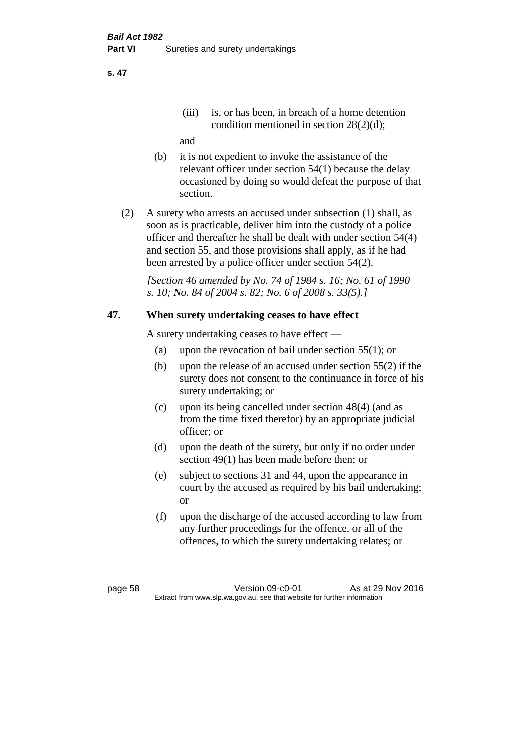(iii) is, or has been, in breach of a home detention condition mentioned in section 28(2)(d);

and

- (b) it is not expedient to invoke the assistance of the relevant officer under section 54(1) because the delay occasioned by doing so would defeat the purpose of that section.
- (2) A surety who arrests an accused under subsection (1) shall, as soon as is practicable, deliver him into the custody of a police officer and thereafter he shall be dealt with under section 54(4) and section 55, and those provisions shall apply, as if he had been arrested by a police officer under section 54(2).

*[Section 46 amended by No. 74 of 1984 s. 16; No. 61 of 1990 s. 10; No. 84 of 2004 s. 82; No. 6 of 2008 s. 33(5).]* 

## **47. When surety undertaking ceases to have effect**

A surety undertaking ceases to have effect —

- (a) upon the revocation of bail under section 55(1); or
- (b) upon the release of an accused under section 55(2) if the surety does not consent to the continuance in force of his surety undertaking; or
- (c) upon its being cancelled under section 48(4) (and as from the time fixed therefor) by an appropriate judicial officer; or
- (d) upon the death of the surety, but only if no order under section 49(1) has been made before then; or
- (e) subject to sections 31 and 44, upon the appearance in court by the accused as required by his bail undertaking; or
- (f) upon the discharge of the accused according to law from any further proceedings for the offence, or all of the offences, to which the surety undertaking relates; or

page 58 Version 09-c0-01 As at 29 Nov 2016 Extract from www.slp.wa.gov.au, see that website for further information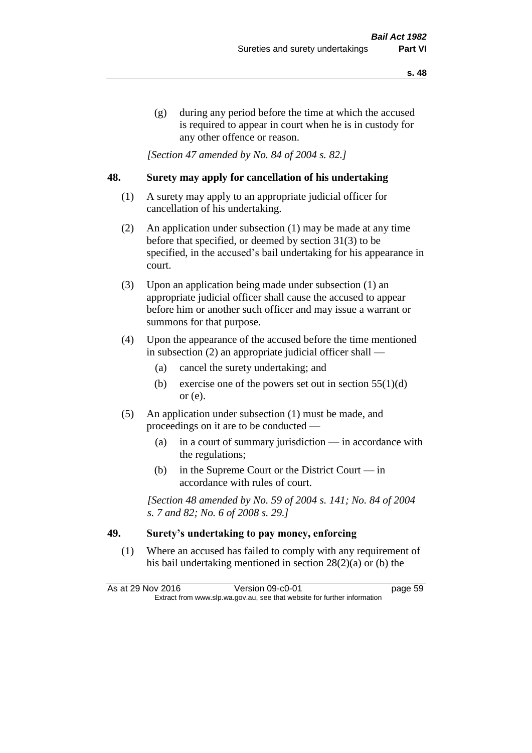(g) during any period before the time at which the accused is required to appear in court when he is in custody for any other offence or reason.

*[Section 47 amended by No. 84 of 2004 s. 82.]* 

### **48. Surety may apply for cancellation of his undertaking**

- (1) A surety may apply to an appropriate judicial officer for cancellation of his undertaking.
- (2) An application under subsection (1) may be made at any time before that specified, or deemed by section 31(3) to be specified, in the accused's bail undertaking for his appearance in court.
- (3) Upon an application being made under subsection (1) an appropriate judicial officer shall cause the accused to appear before him or another such officer and may issue a warrant or summons for that purpose.
- (4) Upon the appearance of the accused before the time mentioned in subsection (2) an appropriate judicial officer shall —
	- (a) cancel the surety undertaking; and
	- (b) exercise one of the powers set out in section  $55(1)(d)$ or (e).
- (5) An application under subsection (1) must be made, and proceedings on it are to be conducted —
	- (a) in a court of summary jurisdiction in accordance with the regulations;
	- (b) in the Supreme Court or the District Court  $-\text{in}$ accordance with rules of court.

*[Section 48 amended by No. 59 of 2004 s. 141; No. 84 of 2004 s. 7 and 82; No. 6 of 2008 s. 29.]* 

## **49. Surety's undertaking to pay money, enforcing**

(1) Where an accused has failed to comply with any requirement of his bail undertaking mentioned in section 28(2)(a) or (b) the

As at 29 Nov 2016 Version 09-c0-01 page 59 Extract from www.slp.wa.gov.au, see that website for further information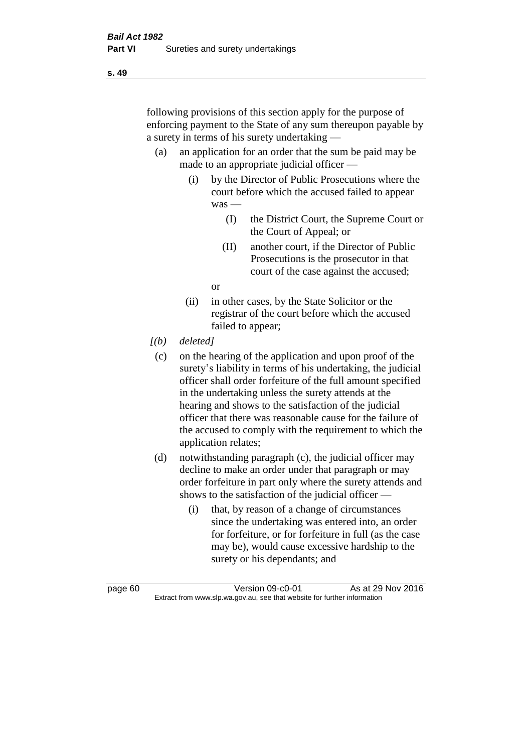following provisions of this section apply for the purpose of enforcing payment to the State of any sum thereupon payable by a surety in terms of his surety undertaking —

- (a) an application for an order that the sum be paid may be made to an appropriate judicial officer —
	- (i) by the Director of Public Prosecutions where the court before which the accused failed to appear was —
		- (I) the District Court, the Supreme Court or the Court of Appeal; or
		- (II) another court, if the Director of Public Prosecutions is the prosecutor in that court of the case against the accused;

or

- (ii) in other cases, by the State Solicitor or the registrar of the court before which the accused failed to appear;
- *[(b) deleted]*
	- (c) on the hearing of the application and upon proof of the surety's liability in terms of his undertaking, the judicial officer shall order forfeiture of the full amount specified in the undertaking unless the surety attends at the hearing and shows to the satisfaction of the judicial officer that there was reasonable cause for the failure of the accused to comply with the requirement to which the application relates;
- (d) notwithstanding paragraph (c), the judicial officer may decline to make an order under that paragraph or may order forfeiture in part only where the surety attends and shows to the satisfaction of the judicial officer —
	- (i) that, by reason of a change of circumstances since the undertaking was entered into, an order for forfeiture, or for forfeiture in full (as the case may be), would cause excessive hardship to the surety or his dependants; and

page 60 Version 09-c0-01 As at 29 Nov 2016 Extract from www.slp.wa.gov.au, see that website for further information

**s. 49**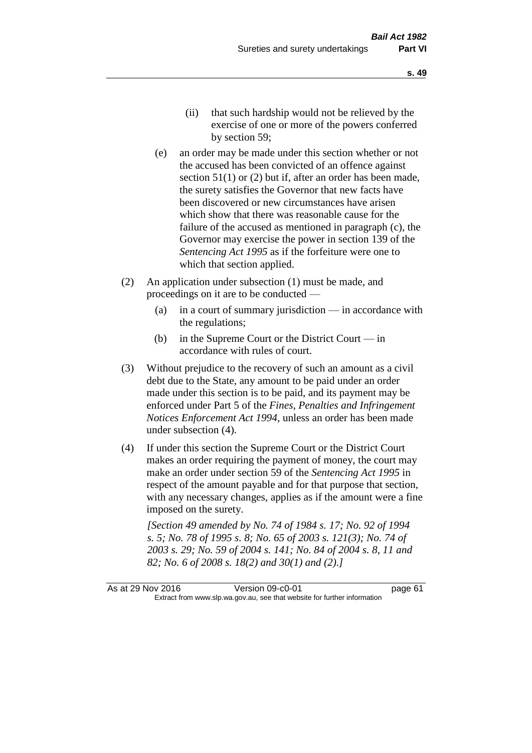- (ii) that such hardship would not be relieved by the exercise of one or more of the powers conferred by section 59;
- (e) an order may be made under this section whether or not the accused has been convicted of an offence against section 51(1) or (2) but if, after an order has been made, the surety satisfies the Governor that new facts have been discovered or new circumstances have arisen which show that there was reasonable cause for the failure of the accused as mentioned in paragraph (c), the Governor may exercise the power in section 139 of the *Sentencing Act 1995* as if the forfeiture were one to which that section applied.
- (2) An application under subsection (1) must be made, and proceedings on it are to be conducted —
	- (a) in a court of summary jurisdiction in accordance with the regulations;
	- (b) in the Supreme Court or the District Court  $-\text{in}$ accordance with rules of court.
- (3) Without prejudice to the recovery of such an amount as a civil debt due to the State, any amount to be paid under an order made under this section is to be paid, and its payment may be enforced under Part 5 of the *Fines, Penalties and Infringement Notices Enforcement Act 1994*, unless an order has been made under subsection (4).
- (4) If under this section the Supreme Court or the District Court makes an order requiring the payment of money, the court may make an order under section 59 of the *Sentencing Act 1995* in respect of the amount payable and for that purpose that section, with any necessary changes, applies as if the amount were a fine imposed on the surety.

*[Section 49 amended by No. 74 of 1984 s. 17; No. 92 of 1994 s. 5; No. 78 of 1995 s. 8; No. 65 of 2003 s. 121(3); No. 74 of 2003 s. 29; No. 59 of 2004 s. 141; No. 84 of 2004 s. 8, 11 and 82; No. 6 of 2008 s. 18(2) and 30(1) and (2).]*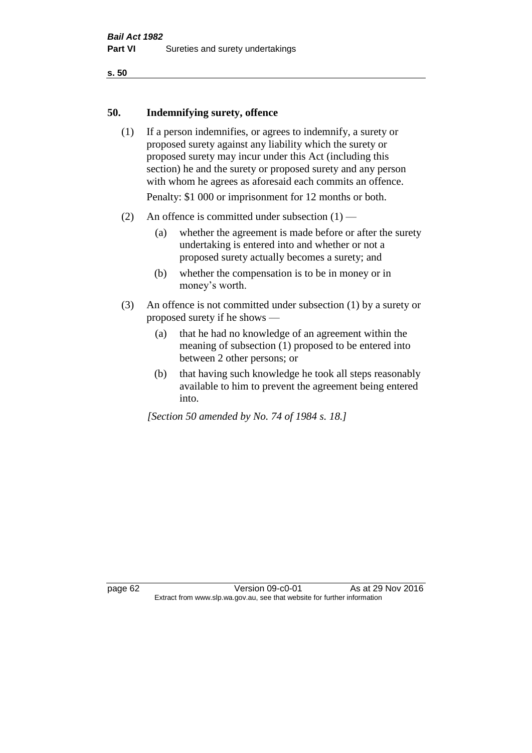#### **50. Indemnifying surety, offence**

- (1) If a person indemnifies, or agrees to indemnify, a surety or proposed surety against any liability which the surety or proposed surety may incur under this Act (including this section) he and the surety or proposed surety and any person with whom he agrees as aforesaid each commits an offence. Penalty: \$1 000 or imprisonment for 12 months or both.
- (2) An offence is committed under subsection  $(1)$ 
	- (a) whether the agreement is made before or after the surety undertaking is entered into and whether or not a proposed surety actually becomes a surety; and
	- (b) whether the compensation is to be in money or in money's worth.
- (3) An offence is not committed under subsection (1) by a surety or proposed surety if he shows —
	- (a) that he had no knowledge of an agreement within the meaning of subsection (1) proposed to be entered into between 2 other persons; or
	- (b) that having such knowledge he took all steps reasonably available to him to prevent the agreement being entered into.

*[Section 50 amended by No. 74 of 1984 s. 18.]* 

page 62 Version 09-c0-01 As at 29 Nov 2016 Extract from www.slp.wa.gov.au, see that website for further information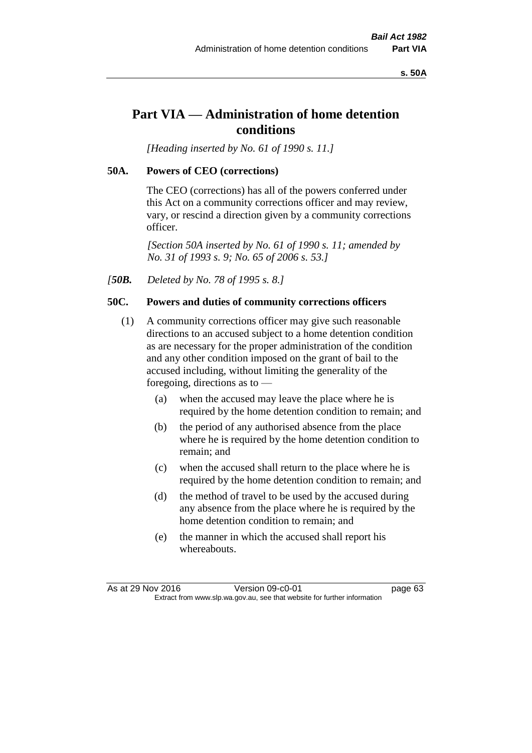**s. 50A**

# **Part VIA — Administration of home detention conditions**

*[Heading inserted by No. 61 of 1990 s. 11.]* 

# **50A. Powers of CEO (corrections)**

The CEO (corrections) has all of the powers conferred under this Act on a community corrections officer and may review, vary, or rescind a direction given by a community corrections officer.

*[Section 50A inserted by No. 61 of 1990 s. 11; amended by No. 31 of 1993 s. 9; No. 65 of 2006 s. 53.]* 

*[50B. Deleted by No. 78 of 1995 s. 8.]* 

# **50C. Powers and duties of community corrections officers**

- (1) A community corrections officer may give such reasonable directions to an accused subject to a home detention condition as are necessary for the proper administration of the condition and any other condition imposed on the grant of bail to the accused including, without limiting the generality of the foregoing, directions as to —
	- (a) when the accused may leave the place where he is required by the home detention condition to remain; and
	- (b) the period of any authorised absence from the place where he is required by the home detention condition to remain; and
	- (c) when the accused shall return to the place where he is required by the home detention condition to remain; and
	- (d) the method of travel to be used by the accused during any absence from the place where he is required by the home detention condition to remain; and
	- (e) the manner in which the accused shall report his whereabouts.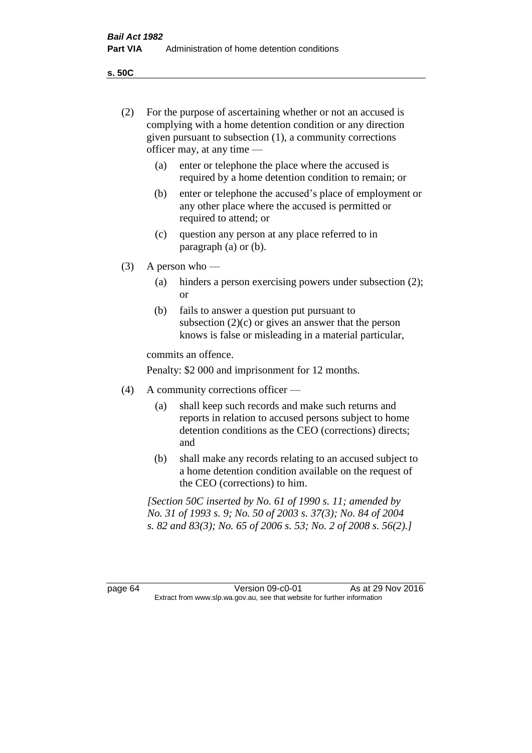**s. 50C**

| (2)     | For the purpose of ascertaining whether or not an accused is<br>complying with a home detention condition or any direction<br>given pursuant to subsection (1), a community corrections<br>officer may, at any time |                                                                                                                                                                              |  |  |
|---------|---------------------------------------------------------------------------------------------------------------------------------------------------------------------------------------------------------------------|------------------------------------------------------------------------------------------------------------------------------------------------------------------------------|--|--|
|         | (a)                                                                                                                                                                                                                 | enter or telephone the place where the accused is<br>required by a home detention condition to remain; or                                                                    |  |  |
|         | (b)                                                                                                                                                                                                                 | enter or telephone the accused's place of employment or<br>any other place where the accused is permitted or<br>required to attend; or                                       |  |  |
|         | (c)                                                                                                                                                                                                                 | question any person at any place referred to in<br>paragraph $(a)$ or $(b)$ .                                                                                                |  |  |
| (3)     | A person who $-$                                                                                                                                                                                                    |                                                                                                                                                                              |  |  |
|         | (a)                                                                                                                                                                                                                 | hinders a person exercising powers under subsection (2);<br><sub>or</sub>                                                                                                    |  |  |
|         | (b)                                                                                                                                                                                                                 | fails to answer a question put pursuant to<br>subsection $(2)(c)$ or gives an answer that the person<br>knows is false or misleading in a material particular,               |  |  |
|         |                                                                                                                                                                                                                     | commits an offence.                                                                                                                                                          |  |  |
|         |                                                                                                                                                                                                                     | Penalty: \$2 000 and imprisonment for 12 months.                                                                                                                             |  |  |
| (4)     | A community corrections officer —                                                                                                                                                                                   |                                                                                                                                                                              |  |  |
|         | (a)                                                                                                                                                                                                                 | shall keep such records and make such returns and<br>reports in relation to accused persons subject to home<br>detention conditions as the CEO (corrections) directs;<br>and |  |  |
|         | (b)                                                                                                                                                                                                                 | shall make any records relating to an accused subject to<br>a home detention condition available on the request of<br>the CEO (corrections) to him.                          |  |  |
|         | [Section 50C inserted by No. 61 of 1990 s. 11; amended by<br>No. 31 of 1993 s. 9; No. 50 of 2003 s. 37(3); No. 84 of 2004<br>s. 82 and 83(3); No. 65 of 2006 s. 53; No. 2 of 2008 s. 56(2).]                        |                                                                                                                                                                              |  |  |
|         |                                                                                                                                                                                                                     |                                                                                                                                                                              |  |  |
| page 64 |                                                                                                                                                                                                                     | Version 09-c0-01<br>As at 29 Nov 2016<br>Extract from www.slp.wa.gov.au, see that website for further information                                                            |  |  |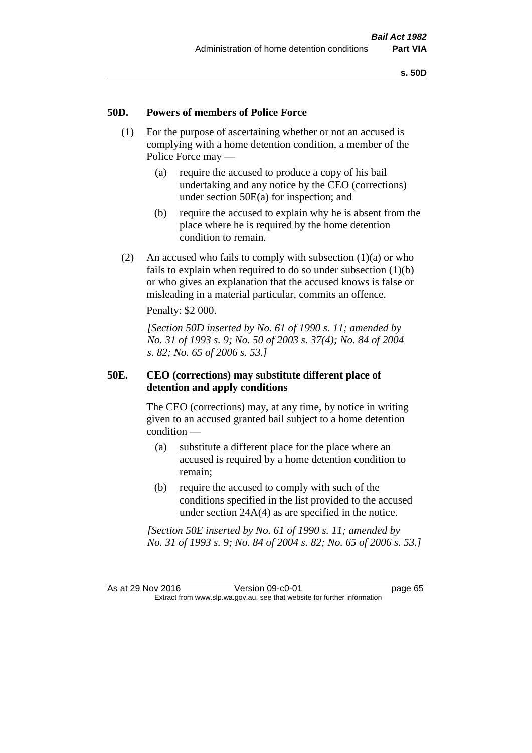# **50D. Powers of members of Police Force**

- (1) For the purpose of ascertaining whether or not an accused is complying with a home detention condition, a member of the Police Force may —
	- (a) require the accused to produce a copy of his bail undertaking and any notice by the CEO (corrections) under section 50E(a) for inspection; and
	- (b) require the accused to explain why he is absent from the place where he is required by the home detention condition to remain.
- (2) An accused who fails to comply with subsection  $(1)(a)$  or who fails to explain when required to do so under subsection (1)(b) or who gives an explanation that the accused knows is false or misleading in a material particular, commits an offence.

Penalty: \$2 000.

*[Section 50D inserted by No. 61 of 1990 s. 11; amended by No. 31 of 1993 s. 9; No. 50 of 2003 s. 37(4); No. 84 of 2004 s. 82; No. 65 of 2006 s. 53.]* 

# **50E. CEO (corrections) may substitute different place of detention and apply conditions**

The CEO (corrections) may, at any time, by notice in writing given to an accused granted bail subject to a home detention condition —

- (a) substitute a different place for the place where an accused is required by a home detention condition to remain;
- (b) require the accused to comply with such of the conditions specified in the list provided to the accused under section 24A(4) as are specified in the notice.

*[Section 50E inserted by No. 61 of 1990 s. 11; amended by No. 31 of 1993 s. 9; No. 84 of 2004 s. 82; No. 65 of 2006 s. 53.]*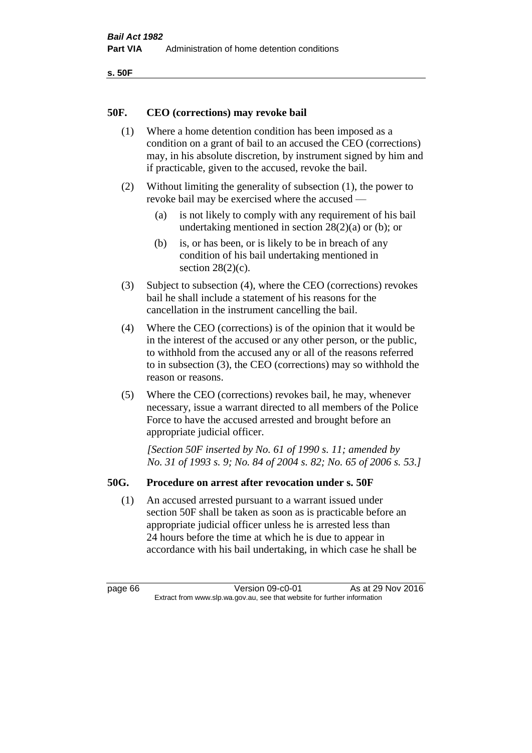```
s. 50F
```
# **50F. CEO (corrections) may revoke bail**

- (1) Where a home detention condition has been imposed as a condition on a grant of bail to an accused the CEO (corrections) may, in his absolute discretion, by instrument signed by him and if practicable, given to the accused, revoke the bail.
- (2) Without limiting the generality of subsection (1), the power to revoke bail may be exercised where the accused —
	- (a) is not likely to comply with any requirement of his bail undertaking mentioned in section 28(2)(a) or (b); or
	- (b) is, or has been, or is likely to be in breach of any condition of his bail undertaking mentioned in section  $28(2)(c)$ .
- (3) Subject to subsection (4), where the CEO (corrections) revokes bail he shall include a statement of his reasons for the cancellation in the instrument cancelling the bail.
- (4) Where the CEO (corrections) is of the opinion that it would be in the interest of the accused or any other person, or the public, to withhold from the accused any or all of the reasons referred to in subsection (3), the CEO (corrections) may so withhold the reason or reasons.
- (5) Where the CEO (corrections) revokes bail, he may, whenever necessary, issue a warrant directed to all members of the Police Force to have the accused arrested and brought before an appropriate judicial officer.

*[Section 50F inserted by No. 61 of 1990 s. 11; amended by No. 31 of 1993 s. 9; No. 84 of 2004 s. 82; No. 65 of 2006 s. 53.]* 

# **50G. Procedure on arrest after revocation under s. 50F**

(1) An accused arrested pursuant to a warrant issued under section 50F shall be taken as soon as is practicable before an appropriate judicial officer unless he is arrested less than 24 hours before the time at which he is due to appear in accordance with his bail undertaking, in which case he shall be

page 66 Version 09-c0-01 As at 29 Nov 2016 Extract from www.slp.wa.gov.au, see that website for further information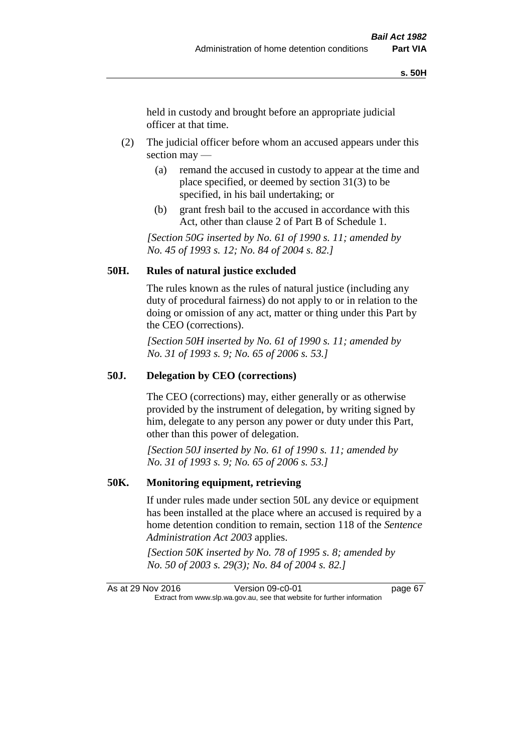held in custody and brought before an appropriate judicial officer at that time.

- (2) The judicial officer before whom an accused appears under this section may —
	- (a) remand the accused in custody to appear at the time and place specified, or deemed by section 31(3) to be specified, in his bail undertaking; or
	- (b) grant fresh bail to the accused in accordance with this Act, other than clause 2 of Part B of Schedule 1.

*[Section 50G inserted by No. 61 of 1990 s. 11; amended by No. 45 of 1993 s. 12; No. 84 of 2004 s. 82.]* 

# **50H. Rules of natural justice excluded**

The rules known as the rules of natural justice (including any duty of procedural fairness) do not apply to or in relation to the doing or omission of any act, matter or thing under this Part by the CEO (corrections).

*[Section 50H inserted by No. 61 of 1990 s. 11; amended by No. 31 of 1993 s. 9; No. 65 of 2006 s. 53.]* 

### **50J. Delegation by CEO (corrections)**

The CEO (corrections) may, either generally or as otherwise provided by the instrument of delegation, by writing signed by him, delegate to any person any power or duty under this Part, other than this power of delegation.

*[Section 50J inserted by No. 61 of 1990 s. 11; amended by No. 31 of 1993 s. 9; No. 65 of 2006 s. 53.]* 

### **50K. Monitoring equipment, retrieving**

If under rules made under section 50L any device or equipment has been installed at the place where an accused is required by a home detention condition to remain, section 118 of the *Sentence Administration Act 2003* applies.

*[Section 50K inserted by No. 78 of 1995 s. 8; amended by No. 50 of 2003 s. 29(3); No. 84 of 2004 s. 82.]* 

As at 29 Nov 2016 Version 09-c0-01 page 67 Extract from www.slp.wa.gov.au, see that website for further information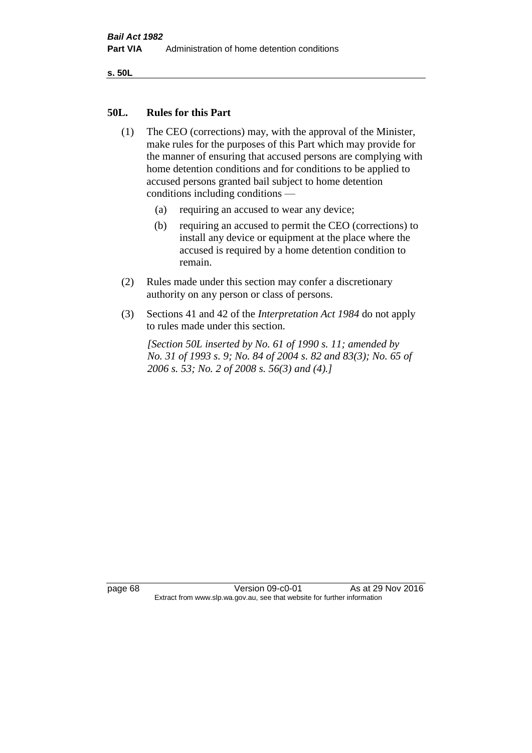**s. 50L**

### **50L. Rules for this Part**

- (1) The CEO (corrections) may, with the approval of the Minister, make rules for the purposes of this Part which may provide for the manner of ensuring that accused persons are complying with home detention conditions and for conditions to be applied to accused persons granted bail subject to home detention conditions including conditions —
	- (a) requiring an accused to wear any device;
	- (b) requiring an accused to permit the CEO (corrections) to install any device or equipment at the place where the accused is required by a home detention condition to remain.
- (2) Rules made under this section may confer a discretionary authority on any person or class of persons.
- (3) Sections 41 and 42 of the *Interpretation Act 1984* do not apply to rules made under this section.

*[Section 50L inserted by No. 61 of 1990 s. 11; amended by No. 31 of 1993 s. 9; No. 84 of 2004 s. 82 and 83(3); No. 65 of 2006 s. 53; No. 2 of 2008 s. 56(3) and (4).]* 

page 68 Version 09-c0-01 As at 29 Nov 2016 Extract from www.slp.wa.gov.au, see that website for further information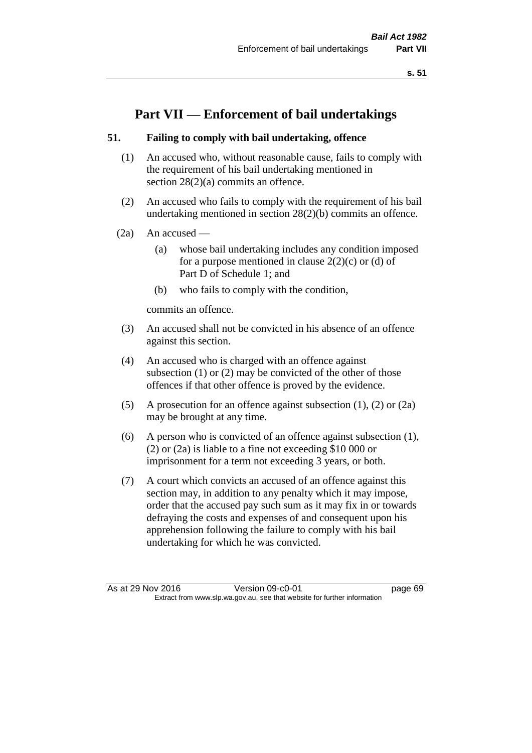**s. 51**

# **Part VII — Enforcement of bail undertakings**

# **51. Failing to comply with bail undertaking, offence**

- (1) An accused who, without reasonable cause, fails to comply with the requirement of his bail undertaking mentioned in section 28(2)(a) commits an offence.
- (2) An accused who fails to comply with the requirement of his bail undertaking mentioned in section 28(2)(b) commits an offence.
- (2a) An accused
	- (a) whose bail undertaking includes any condition imposed for a purpose mentioned in clause  $2(2)(c)$  or (d) of Part D of Schedule 1; and
	- (b) who fails to comply with the condition,

commits an offence.

- (3) An accused shall not be convicted in his absence of an offence against this section.
- (4) An accused who is charged with an offence against subsection (1) or (2) may be convicted of the other of those offences if that other offence is proved by the evidence.
- (5) A prosecution for an offence against subsection (1), (2) or (2a) may be brought at any time.
- (6) A person who is convicted of an offence against subsection (1), (2) or (2a) is liable to a fine not exceeding \$10 000 or imprisonment for a term not exceeding 3 years, or both.
- (7) A court which convicts an accused of an offence against this section may, in addition to any penalty which it may impose, order that the accused pay such sum as it may fix in or towards defraying the costs and expenses of and consequent upon his apprehension following the failure to comply with his bail undertaking for which he was convicted.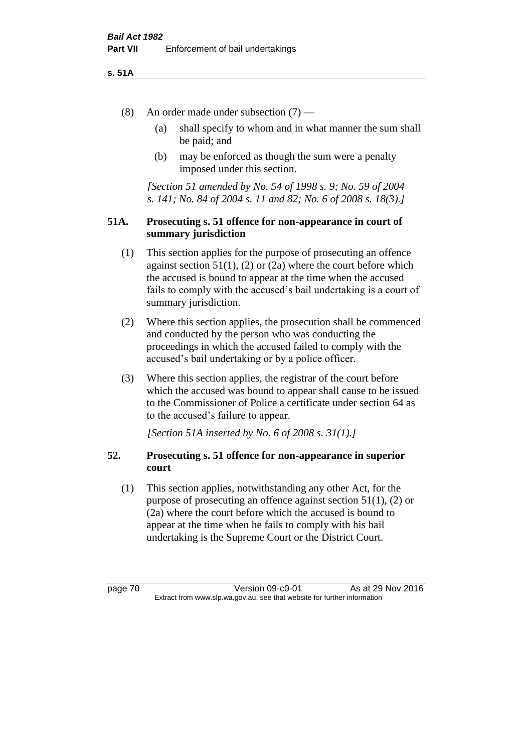### **s. 51A**

- (8) An order made under subsection (7)
	- (a) shall specify to whom and in what manner the sum shall be paid; and
	- (b) may be enforced as though the sum were a penalty imposed under this section.

*[Section 51 amended by No. 54 of 1998 s. 9; No. 59 of 2004 s. 141; No. 84 of 2004 s. 11 and 82; No. 6 of 2008 s. 18(3).]*

# **51A. Prosecuting s. 51 offence for non-appearance in court of summary jurisdiction**

- (1) This section applies for the purpose of prosecuting an offence against section  $51(1)$ ,  $(2)$  or  $(2a)$  where the court before which the accused is bound to appear at the time when the accused fails to comply with the accused's bail undertaking is a court of summary jurisdiction.
- (2) Where this section applies, the prosecution shall be commenced and conducted by the person who was conducting the proceedings in which the accused failed to comply with the accused's bail undertaking or by a police officer.
- (3) Where this section applies, the registrar of the court before which the accused was bound to appear shall cause to be issued to the Commissioner of Police a certificate under section 64 as to the accused's failure to appear.

*[Section 51A inserted by No. 6 of 2008 s. 31(1).]*

# **52. Prosecuting s. 51 offence for non-appearance in superior court**

(1) This section applies, notwithstanding any other Act, for the purpose of prosecuting an offence against section 51(1), (2) or (2a) where the court before which the accused is bound to appear at the time when he fails to comply with his bail undertaking is the Supreme Court or the District Court.

page 70 Version 09-c0-01 As at 29 Nov 2016 Extract from www.slp.wa.gov.au, see that website for further information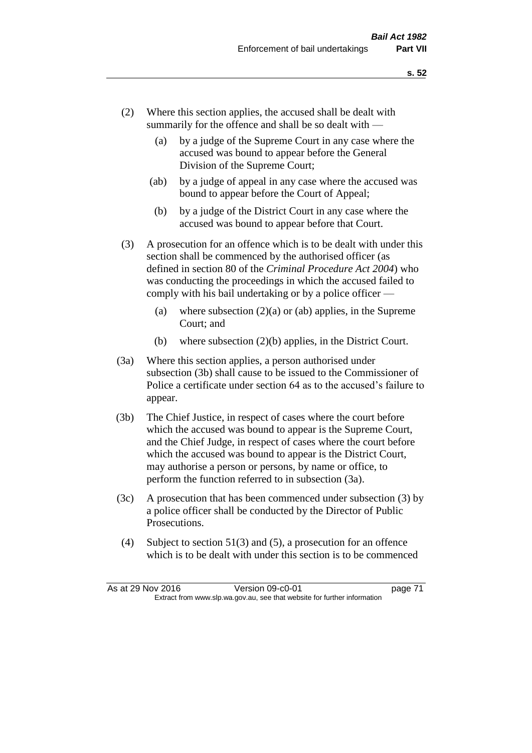- (2) Where this section applies, the accused shall be dealt with summarily for the offence and shall be so dealt with —
	- (a) by a judge of the Supreme Court in any case where the accused was bound to appear before the General Division of the Supreme Court;
	- (ab) by a judge of appeal in any case where the accused was bound to appear before the Court of Appeal;
	- (b) by a judge of the District Court in any case where the accused was bound to appear before that Court.
- (3) A prosecution for an offence which is to be dealt with under this section shall be commenced by the authorised officer (as defined in section 80 of the *Criminal Procedure Act 2004*) who was conducting the proceedings in which the accused failed to comply with his bail undertaking or by a police officer —
	- (a) where subsection  $(2)(a)$  or (ab) applies, in the Supreme Court; and
	- (b) where subsection (2)(b) applies, in the District Court.
- (3a) Where this section applies, a person authorised under subsection (3b) shall cause to be issued to the Commissioner of Police a certificate under section 64 as to the accused's failure to appear.
- (3b) The Chief Justice, in respect of cases where the court before which the accused was bound to appear is the Supreme Court, and the Chief Judge, in respect of cases where the court before which the accused was bound to appear is the District Court, may authorise a person or persons, by name or office, to perform the function referred to in subsection (3a).
- (3c) A prosecution that has been commenced under subsection (3) by a police officer shall be conducted by the Director of Public Prosecutions.
- (4) Subject to section 51(3) and (5), a prosecution for an offence which is to be dealt with under this section is to be commenced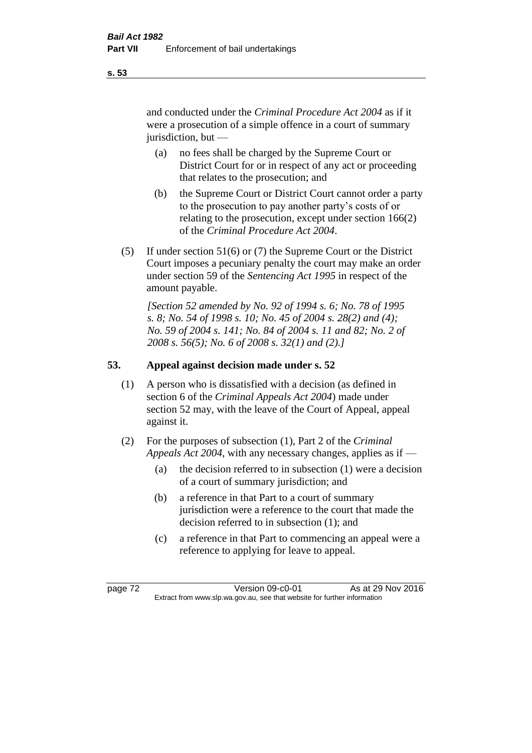and conducted under the *Criminal Procedure Act 2004* as if it were a prosecution of a simple offence in a court of summary jurisdiction, but —

- (a) no fees shall be charged by the Supreme Court or District Court for or in respect of any act or proceeding that relates to the prosecution; and
- (b) the Supreme Court or District Court cannot order a party to the prosecution to pay another party's costs of or relating to the prosecution, except under section 166(2) of the *Criminal Procedure Act 2004*.
- (5) If under section 51(6) or (7) the Supreme Court or the District Court imposes a pecuniary penalty the court may make an order under section 59 of the *Sentencing Act 1995* in respect of the amount payable.

*[Section 52 amended by No. 92 of 1994 s. 6; No. 78 of 1995 s. 8; No. 54 of 1998 s. 10; No. 45 of 2004 s. 28(2) and (4); No. 59 of 2004 s. 141; No. 84 of 2004 s. 11 and 82; No. 2 of 2008 s. 56(5); No. 6 of 2008 s. 32(1) and (2).]* 

# **53. Appeal against decision made under s. 52**

- (1) A person who is dissatisfied with a decision (as defined in section 6 of the *Criminal Appeals Act 2004*) made under section 52 may, with the leave of the Court of Appeal, appeal against it.
- (2) For the purposes of subsection (1), Part 2 of the *Criminal Appeals Act 2004*, with any necessary changes, applies as if —
	- (a) the decision referred to in subsection (1) were a decision of a court of summary jurisdiction; and
	- (b) a reference in that Part to a court of summary jurisdiction were a reference to the court that made the decision referred to in subsection (1); and
	- (c) a reference in that Part to commencing an appeal were a reference to applying for leave to appeal.

page 72 Version 09-c0-01 As at 29 Nov 2016 Extract from www.slp.wa.gov.au, see that website for further information

### **s. 53**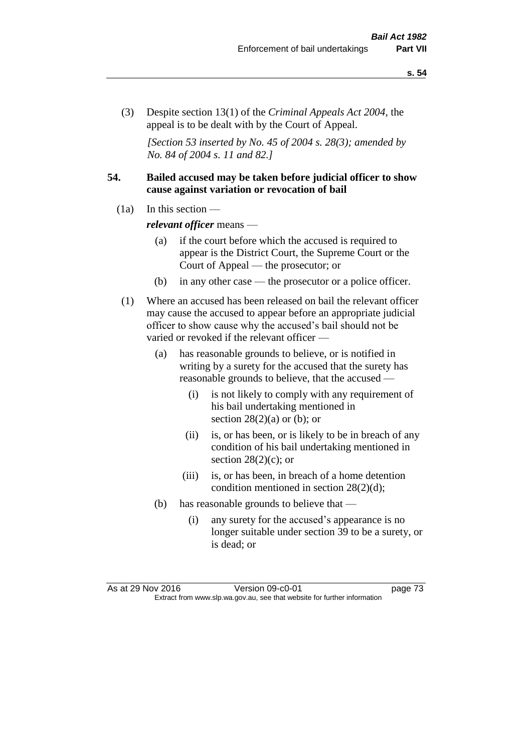(3) Despite section 13(1) of the *Criminal Appeals Act 2004*, the appeal is to be dealt with by the Court of Appeal.

*[Section 53 inserted by No. 45 of 2004 s. 28(3); amended by No. 84 of 2004 s. 11 and 82.]*

# **54. Bailed accused may be taken before judicial officer to show cause against variation or revocation of bail**

 $(1a)$  In this section —

*relevant officer* means —

- (a) if the court before which the accused is required to appear is the District Court, the Supreme Court or the Court of Appeal — the prosecutor; or
- (b) in any other case the prosecutor or a police officer.
- (1) Where an accused has been released on bail the relevant officer may cause the accused to appear before an appropriate judicial officer to show cause why the accused's bail should not be varied or revoked if the relevant officer —
	- (a) has reasonable grounds to believe, or is notified in writing by a surety for the accused that the surety has reasonable grounds to believe, that the accused —
		- (i) is not likely to comply with any requirement of his bail undertaking mentioned in section  $28(2)(a)$  or (b); or
		- (ii) is, or has been, or is likely to be in breach of any condition of his bail undertaking mentioned in section  $28(2)(c)$ ; or
		- (iii) is, or has been, in breach of a home detention condition mentioned in section 28(2)(d);
	- (b) has reasonable grounds to believe that
		- (i) any surety for the accused's appearance is no longer suitable under section 39 to be a surety, or is dead; or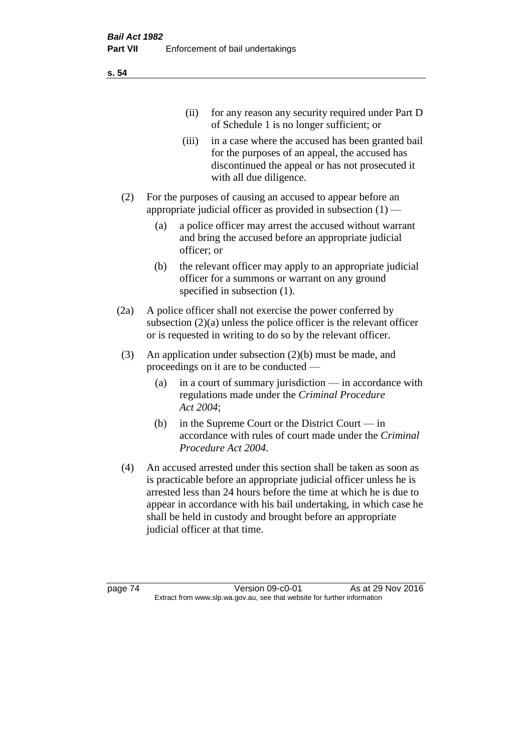(ii) for any reason any security required under Part D of Schedule 1 is no longer sufficient; or

- (iii) in a case where the accused has been granted bail for the purposes of an appeal, the accused has discontinued the appeal or has not prosecuted it with all due diligence.
- (2) For the purposes of causing an accused to appear before an appropriate judicial officer as provided in subsection (1) —
	- (a) a police officer may arrest the accused without warrant and bring the accused before an appropriate judicial officer; or
	- (b) the relevant officer may apply to an appropriate judicial officer for a summons or warrant on any ground specified in subsection (1).
- (2a) A police officer shall not exercise the power conferred by subsection  $(2)(a)$  unless the police officer is the relevant officer or is requested in writing to do so by the relevant officer.
- (3) An application under subsection (2)(b) must be made, and proceedings on it are to be conducted —
	- (a) in a court of summary jurisdiction in accordance with regulations made under the *Criminal Procedure Act 2004*;
	- (b) in the Supreme Court or the District Court  $-\text{in}$ accordance with rules of court made under the *Criminal Procedure Act 2004*.
- (4) An accused arrested under this section shall be taken as soon as is practicable before an appropriate judicial officer unless he is arrested less than 24 hours before the time at which he is due to appear in accordance with his bail undertaking, in which case he shall be held in custody and brought before an appropriate judicial officer at that time.

page 74 Version 09-c0-01 As at 29 Nov 2016 Extract from www.slp.wa.gov.au, see that website for further information

**s. 54**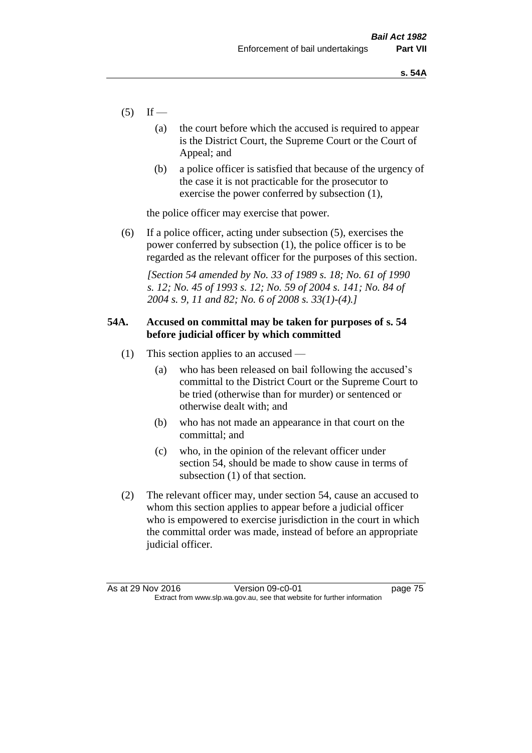- $(5)$  If
	- (a) the court before which the accused is required to appear is the District Court, the Supreme Court or the Court of Appeal; and
	- (b) a police officer is satisfied that because of the urgency of the case it is not practicable for the prosecutor to exercise the power conferred by subsection (1),

the police officer may exercise that power.

(6) If a police officer, acting under subsection (5), exercises the power conferred by subsection (1), the police officer is to be regarded as the relevant officer for the purposes of this section.

*[Section 54 amended by No. 33 of 1989 s. 18; No. 61 of 1990 s. 12; No. 45 of 1993 s. 12; No. 59 of 2004 s. 141; No. 84 of 2004 s. 9, 11 and 82; No. 6 of 2008 s. 33(1)-(4).]* 

# **54A. Accused on committal may be taken for purposes of s. 54 before judicial officer by which committed**

- (1) This section applies to an accused
	- (a) who has been released on bail following the accused's committal to the District Court or the Supreme Court to be tried (otherwise than for murder) or sentenced or otherwise dealt with; and
	- (b) who has not made an appearance in that court on the committal; and
	- (c) who, in the opinion of the relevant officer under section 54, should be made to show cause in terms of subsection (1) of that section.
- (2) The relevant officer may, under section 54, cause an accused to whom this section applies to appear before a judicial officer who is empowered to exercise jurisdiction in the court in which the committal order was made, instead of before an appropriate judicial officer.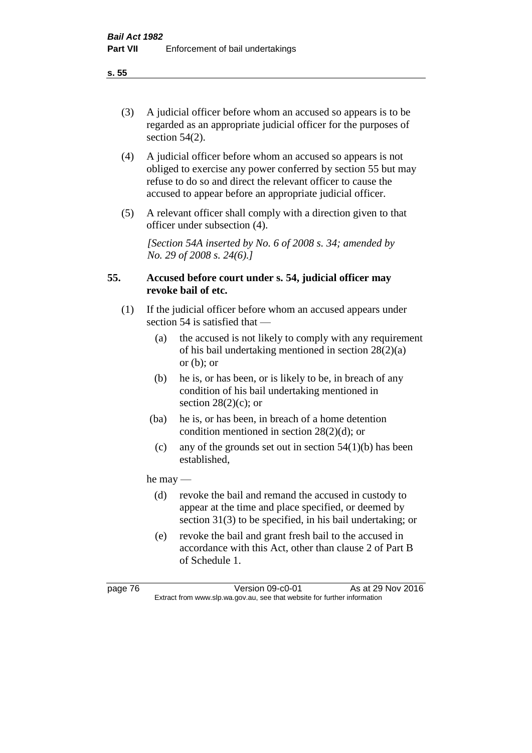(3) A judicial officer before whom an accused so appears is to be regarded as an appropriate judicial officer for the purposes of section 54(2).

- (4) A judicial officer before whom an accused so appears is not obliged to exercise any power conferred by section 55 but may refuse to do so and direct the relevant officer to cause the accused to appear before an appropriate judicial officer.
- (5) A relevant officer shall comply with a direction given to that officer under subsection (4).

*[Section 54A inserted by No. 6 of 2008 s. 34; amended by No. 29 of 2008 s. 24(6).]*

# **55. Accused before court under s. 54, judicial officer may revoke bail of etc.**

- (1) If the judicial officer before whom an accused appears under section 54 is satisfied that —
	- (a) the accused is not likely to comply with any requirement of his bail undertaking mentioned in section 28(2)(a) or  $(b)$ ; or
	- (b) he is, or has been, or is likely to be, in breach of any condition of his bail undertaking mentioned in section  $28(2)(c)$ ; or
	- (ba) he is, or has been, in breach of a home detention condition mentioned in section 28(2)(d); or
	- (c) any of the grounds set out in section  $54(1)(b)$  has been established,

he may —

- (d) revoke the bail and remand the accused in custody to appear at the time and place specified, or deemed by section 31(3) to be specified, in his bail undertaking; or
- (e) revoke the bail and grant fresh bail to the accused in accordance with this Act, other than clause 2 of Part B of Schedule 1.

page 76 Version 09-c0-01 As at 29 Nov 2016 Extract from www.slp.wa.gov.au, see that website for further information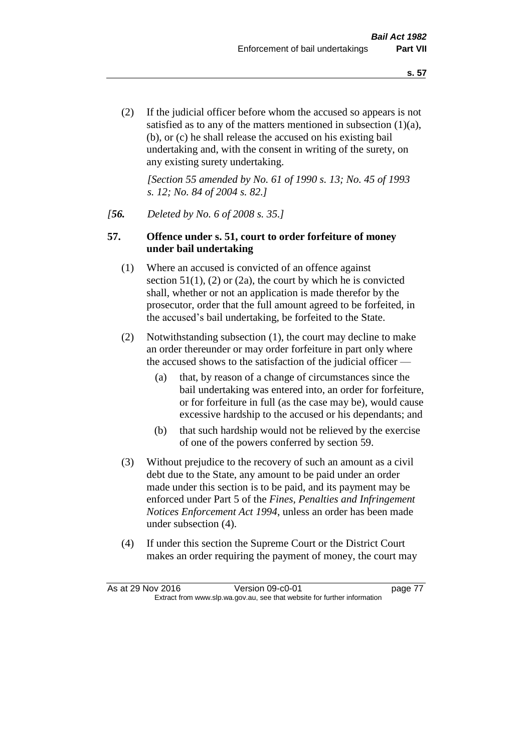(2) If the judicial officer before whom the accused so appears is not satisfied as to any of the matters mentioned in subsection (1)(a), (b), or (c) he shall release the accused on his existing bail undertaking and, with the consent in writing of the surety, on any existing surety undertaking.

*[Section 55 amended by No. 61 of 1990 s. 13; No. 45 of 1993 s. 12; No. 84 of 2004 s. 82.]* 

### *[56. Deleted by No. 6 of 2008 s. 35.]*

### **57. Offence under s. 51, court to order forfeiture of money under bail undertaking**

- (1) Where an accused is convicted of an offence against section  $51(1)$ ,  $(2)$  or  $(2a)$ , the court by which he is convicted shall, whether or not an application is made therefor by the prosecutor, order that the full amount agreed to be forfeited, in the accused's bail undertaking, be forfeited to the State.
- (2) Notwithstanding subsection (1), the court may decline to make an order thereunder or may order forfeiture in part only where the accused shows to the satisfaction of the judicial officer —
	- (a) that, by reason of a change of circumstances since the bail undertaking was entered into, an order for forfeiture, or for forfeiture in full (as the case may be), would cause excessive hardship to the accused or his dependants; and
	- (b) that such hardship would not be relieved by the exercise of one of the powers conferred by section 59.
- (3) Without prejudice to the recovery of such an amount as a civil debt due to the State, any amount to be paid under an order made under this section is to be paid, and its payment may be enforced under Part 5 of the *Fines, Penalties and Infringement Notices Enforcement Act 1994*, unless an order has been made under subsection (4).
- (4) If under this section the Supreme Court or the District Court makes an order requiring the payment of money, the court may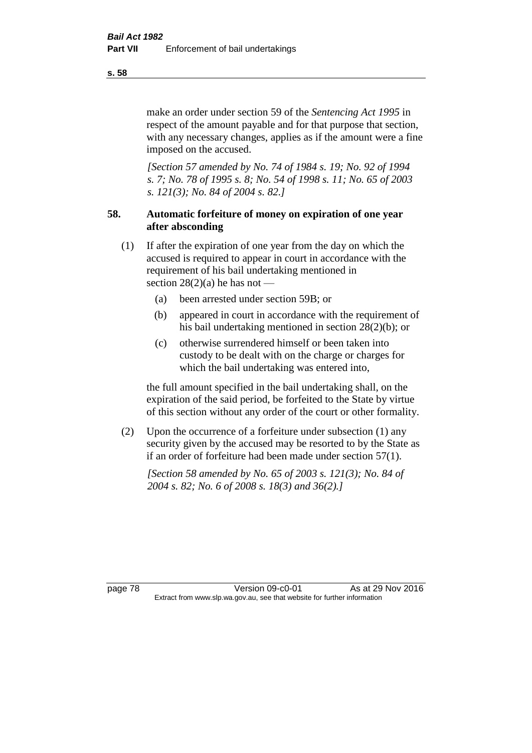make an order under section 59 of the *Sentencing Act 1995* in respect of the amount payable and for that purpose that section, with any necessary changes, applies as if the amount were a fine imposed on the accused.

*[Section 57 amended by No. 74 of 1984 s. 19; No. 92 of 1994 s. 7; No. 78 of 1995 s. 8; No. 54 of 1998 s. 11; No. 65 of 2003 s. 121(3); No. 84 of 2004 s. 82.]* 

# **58. Automatic forfeiture of money on expiration of one year after absconding**

- (1) If after the expiration of one year from the day on which the accused is required to appear in court in accordance with the requirement of his bail undertaking mentioned in section  $28(2)(a)$  he has not —
	- (a) been arrested under section 59B; or
	- (b) appeared in court in accordance with the requirement of his bail undertaking mentioned in section 28(2)(b); or
	- (c) otherwise surrendered himself or been taken into custody to be dealt with on the charge or charges for which the bail undertaking was entered into,

the full amount specified in the bail undertaking shall, on the expiration of the said period, be forfeited to the State by virtue of this section without any order of the court or other formality.

(2) Upon the occurrence of a forfeiture under subsection (1) any security given by the accused may be resorted to by the State as if an order of forfeiture had been made under section 57(1).

*[Section 58 amended by No. 65 of 2003 s. 121(3); No. 84 of 2004 s. 82; No. 6 of 2008 s. 18(3) and 36(2).]*

page 78 Version 09-c0-01 As at 29 Nov 2016 Extract from www.slp.wa.gov.au, see that website for further information

**s. 58**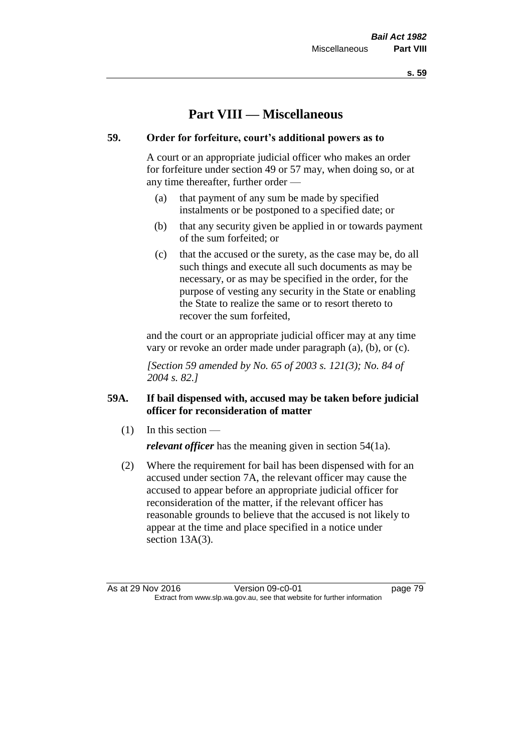**s. 59**

# **Part VIII — Miscellaneous**

# **59. Order for forfeiture, court's additional powers as to**

A court or an appropriate judicial officer who makes an order for forfeiture under section 49 or 57 may, when doing so, or at any time thereafter, further order —

- (a) that payment of any sum be made by specified instalments or be postponed to a specified date; or
- (b) that any security given be applied in or towards payment of the sum forfeited; or
- (c) that the accused or the surety, as the case may be, do all such things and execute all such documents as may be necessary, or as may be specified in the order, for the purpose of vesting any security in the State or enabling the State to realize the same or to resort thereto to recover the sum forfeited,

and the court or an appropriate judicial officer may at any time vary or revoke an order made under paragraph (a), (b), or (c).

*[Section 59 amended by No. 65 of 2003 s. 121(3); No. 84 of 2004 s. 82.]*

# **59A. If bail dispensed with, accused may be taken before judicial officer for reconsideration of matter**

 $(1)$  In this section —

*relevant officer* has the meaning given in section 54(1a).

(2) Where the requirement for bail has been dispensed with for an accused under section 7A, the relevant officer may cause the accused to appear before an appropriate judicial officer for reconsideration of the matter, if the relevant officer has reasonable grounds to believe that the accused is not likely to appear at the time and place specified in a notice under section 13A(3).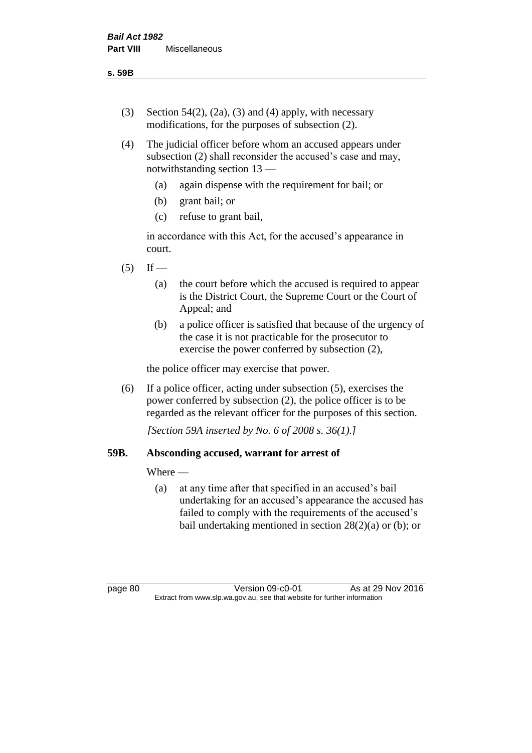- (3) Section 54(2), (2a), (3) and (4) apply, with necessary modifications, for the purposes of subsection (2).
- (4) The judicial officer before whom an accused appears under subsection (2) shall reconsider the accused's case and may, notwithstanding section 13 —
	- (a) again dispense with the requirement for bail; or
	- (b) grant bail; or
	- (c) refuse to grant bail,

in accordance with this Act, for the accused's appearance in court.

- $(5)$  If
	- (a) the court before which the accused is required to appear is the District Court, the Supreme Court or the Court of Appeal; and
	- (b) a police officer is satisfied that because of the urgency of the case it is not practicable for the prosecutor to exercise the power conferred by subsection (2),

the police officer may exercise that power.

(6) If a police officer, acting under subsection (5), exercises the power conferred by subsection (2), the police officer is to be regarded as the relevant officer for the purposes of this section.

*[Section 59A inserted by No. 6 of 2008 s. 36(1).]*

### **59B. Absconding accused, warrant for arrest of**

### Where —

(a) at any time after that specified in an accused's bail undertaking for an accused's appearance the accused has failed to comply with the requirements of the accused's bail undertaking mentioned in section  $28(2)(a)$  or (b); or

page 80 Version 09-c0-01 As at 29 Nov 2016 Extract from www.slp.wa.gov.au, see that website for further information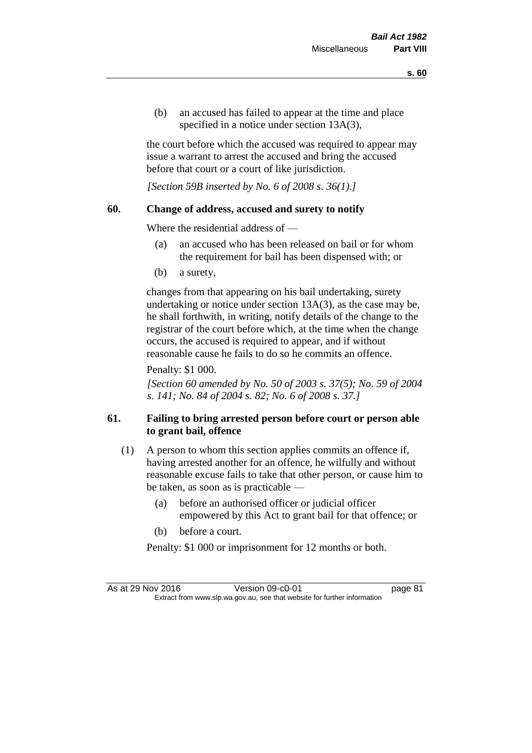(b) an accused has failed to appear at the time and place specified in a notice under section 13A(3),

the court before which the accused was required to appear may issue a warrant to arrest the accused and bring the accused before that court or a court of like jurisdiction.

*[Section 59B inserted by No. 6 of 2008 s. 36(1).]*

### **60. Change of address, accused and surety to notify**

Where the residential address of —

- (a) an accused who has been released on bail or for whom the requirement for bail has been dispensed with; or
- (b) a surety,

changes from that appearing on his bail undertaking, surety undertaking or notice under section 13A(3), as the case may be, he shall forthwith, in writing, notify details of the change to the registrar of the court before which, at the time when the change occurs, the accused is required to appear, and if without reasonable cause he fails to do so he commits an offence.

Penalty: \$1 000.

*[Section 60 amended by No. 50 of 2003 s. 37(5); No. 59 of 2004 s. 141; No. 84 of 2004 s. 82; No. 6 of 2008 s. 37.]*

# **61. Failing to bring arrested person before court or person able to grant bail, offence**

- (1) A person to whom this section applies commits an offence if, having arrested another for an offence, he wilfully and without reasonable excuse fails to take that other person, or cause him to be taken, as soon as is practicable —
	- (a) before an authorised officer or judicial officer empowered by this Act to grant bail for that offence; or
	- (b) before a court.
	- Penalty: \$1 000 or imprisonment for 12 months or both.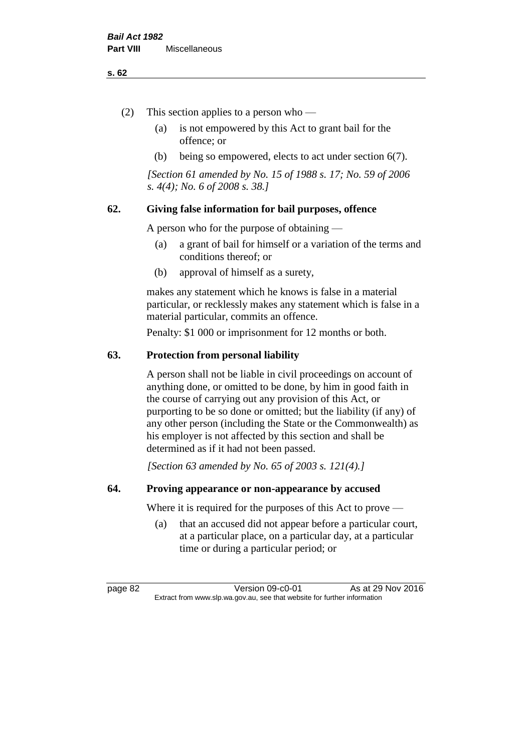#### **s. 62**

- (2) This section applies to a person who
	- (a) is not empowered by this Act to grant bail for the offence; or
	- (b) being so empowered, elects to act under section 6(7).

*[Section 61 amended by No. 15 of 1988 s. 17; No. 59 of 2006 s. 4(4); No. 6 of 2008 s. 38.]* 

# **62. Giving false information for bail purposes, offence**

A person who for the purpose of obtaining —

- (a) a grant of bail for himself or a variation of the terms and conditions thereof; or
- (b) approval of himself as a surety,

makes any statement which he knows is false in a material particular, or recklessly makes any statement which is false in a material particular, commits an offence.

Penalty: \$1 000 or imprisonment for 12 months or both.

### **63. Protection from personal liability**

A person shall not be liable in civil proceedings on account of anything done, or omitted to be done, by him in good faith in the course of carrying out any provision of this Act, or purporting to be so done or omitted; but the liability (if any) of any other person (including the State or the Commonwealth) as his employer is not affected by this section and shall be determined as if it had not been passed.

*[Section 63 amended by No. 65 of 2003 s. 121(4).]*

### **64. Proving appearance or non-appearance by accused**

Where it is required for the purposes of this Act to prove —

(a) that an accused did not appear before a particular court, at a particular place, on a particular day, at a particular time or during a particular period; or

page 82 Version 09-c0-01 As at 29 Nov 2016 Extract from www.slp.wa.gov.au, see that website for further information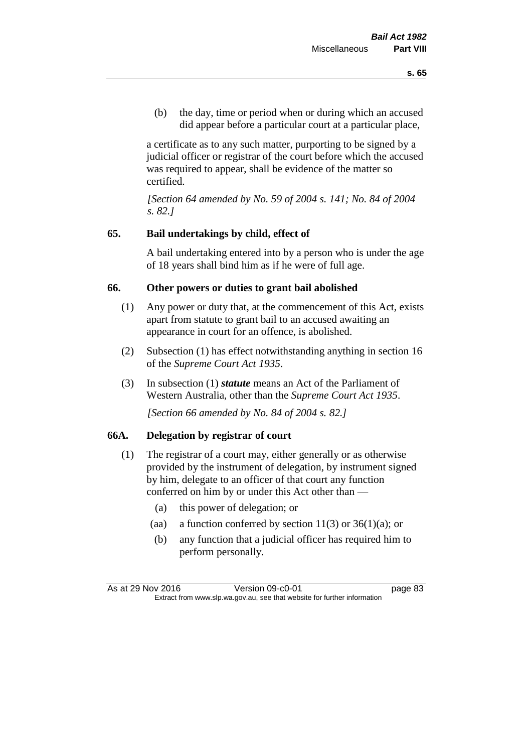(b) the day, time or period when or during which an accused did appear before a particular court at a particular place,

a certificate as to any such matter, purporting to be signed by a judicial officer or registrar of the court before which the accused was required to appear, shall be evidence of the matter so certified.

*[Section 64 amended by No. 59 of 2004 s. 141; No. 84 of 2004 s. 82.]* 

# **65. Bail undertakings by child, effect of**

A bail undertaking entered into by a person who is under the age of 18 years shall bind him as if he were of full age.

# **66. Other powers or duties to grant bail abolished**

- (1) Any power or duty that, at the commencement of this Act, exists apart from statute to grant bail to an accused awaiting an appearance in court for an offence, is abolished.
- (2) Subsection (1) has effect notwithstanding anything in section 16 of the *Supreme Court Act 1935*.
- (3) In subsection (1) *statute* means an Act of the Parliament of Western Australia, other than the *Supreme Court Act 1935*.

*[Section 66 amended by No. 84 of 2004 s. 82.]*

# **66A. Delegation by registrar of court**

- (1) The registrar of a court may, either generally or as otherwise provided by the instrument of delegation, by instrument signed by him, delegate to an officer of that court any function conferred on him by or under this Act other than —
	- (a) this power of delegation; or
	- (aa) a function conferred by section  $11(3)$  or  $36(1)(a)$ ; or
	- (b) any function that a judicial officer has required him to perform personally.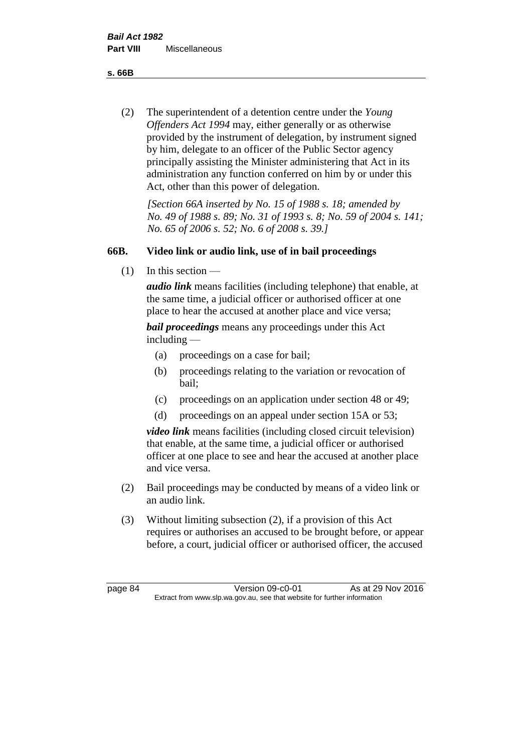**s. 66B**

(2) The superintendent of a detention centre under the *Young Offenders Act 1994* may, either generally or as otherwise provided by the instrument of delegation, by instrument signed by him, delegate to an officer of the Public Sector agency principally assisting the Minister administering that Act in its administration any function conferred on him by or under this Act, other than this power of delegation.

*[Section 66A inserted by No. 15 of 1988 s. 18; amended by No. 49 of 1988 s. 89; No. 31 of 1993 s. 8; No. 59 of 2004 s. 141; No. 65 of 2006 s. 52; No. 6 of 2008 s. 39.]* 

# **66B. Video link or audio link, use of in bail proceedings**

 $(1)$  In this section —

*audio link* means facilities (including telephone) that enable, at the same time, a judicial officer or authorised officer at one place to hear the accused at another place and vice versa;

*bail proceedings* means any proceedings under this Act including —

- (a) proceedings on a case for bail;
- (b) proceedings relating to the variation or revocation of bail;
- (c) proceedings on an application under section 48 or 49;
- (d) proceedings on an appeal under section 15A or 53;

*video link* means facilities (including closed circuit television) that enable, at the same time, a judicial officer or authorised officer at one place to see and hear the accused at another place and vice versa.

- (2) Bail proceedings may be conducted by means of a video link or an audio link.
- (3) Without limiting subsection (2), if a provision of this Act requires or authorises an accused to be brought before, or appear before, a court, judicial officer or authorised officer, the accused

page 84 Version 09-c0-01 As at 29 Nov 2016 Extract from www.slp.wa.gov.au, see that website for further information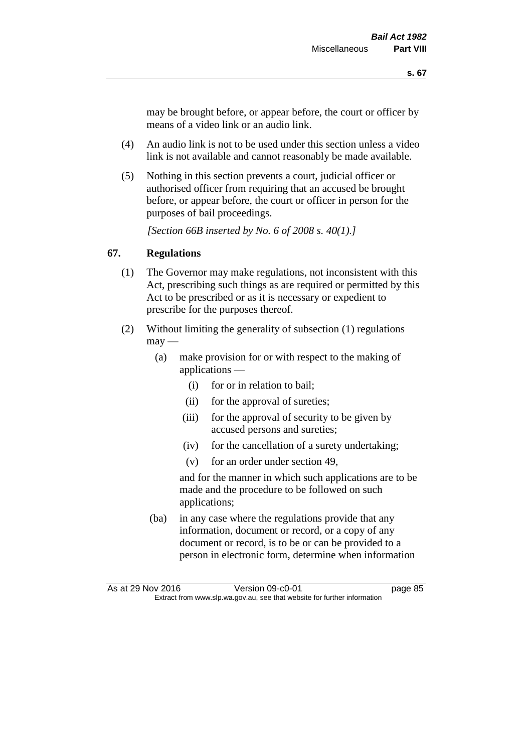may be brought before, or appear before, the court or officer by means of a video link or an audio link.

- (4) An audio link is not to be used under this section unless a video link is not available and cannot reasonably be made available.
- (5) Nothing in this section prevents a court, judicial officer or authorised officer from requiring that an accused be brought before, or appear before, the court or officer in person for the purposes of bail proceedings.

*[Section 66B inserted by No. 6 of 2008 s. 40(1).]*

# **67. Regulations**

- (1) The Governor may make regulations, not inconsistent with this Act, prescribing such things as are required or permitted by this Act to be prescribed or as it is necessary or expedient to prescribe for the purposes thereof.
- (2) Without limiting the generality of subsection (1) regulations  $\text{max}$  —
	- (a) make provision for or with respect to the making of applications —
		- (i) for or in relation to bail;
		- (ii) for the approval of sureties;
		- (iii) for the approval of security to be given by accused persons and sureties;
		- (iv) for the cancellation of a surety undertaking;
		- (v) for an order under section 49,

and for the manner in which such applications are to be made and the procedure to be followed on such applications;

(ba) in any case where the regulations provide that any information, document or record, or a copy of any document or record, is to be or can be provided to a person in electronic form, determine when information

As at 29 Nov 2016 Version 09-c0-01 page 85 Extract from www.slp.wa.gov.au, see that website for further information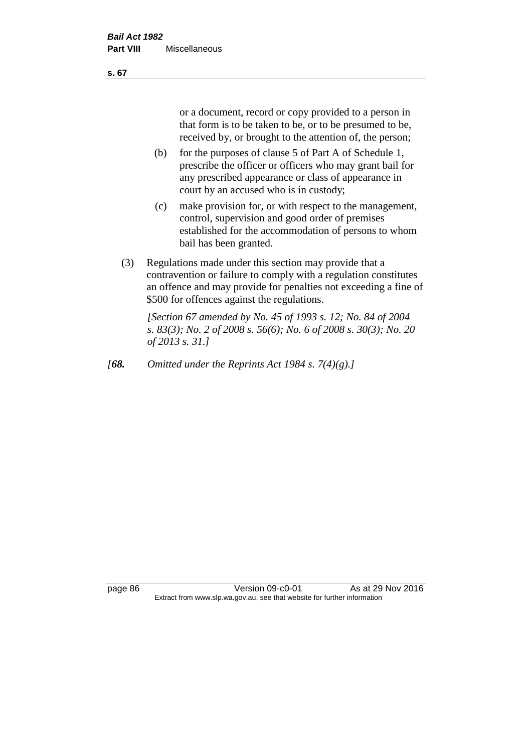or a document, record or copy provided to a person in that form is to be taken to be, or to be presumed to be, received by, or brought to the attention of, the person;

- (b) for the purposes of clause 5 of Part A of Schedule 1, prescribe the officer or officers who may grant bail for any prescribed appearance or class of appearance in court by an accused who is in custody;
- (c) make provision for, or with respect to the management, control, supervision and good order of premises established for the accommodation of persons to whom bail has been granted.
- (3) Regulations made under this section may provide that a contravention or failure to comply with a regulation constitutes an offence and may provide for penalties not exceeding a fine of \$500 for offences against the regulations.

*[Section 67 amended by No. 45 of 1993 s. 12; No. 84 of 2004 s. 83(3); No. 2 of 2008 s. 56(6); No. 6 of 2008 s. 30(3); No. 20 of 2013 s. 31.]* 

*[68. Omitted under the Reprints Act 1984 s. 7(4)(g).]*

page 86 Version 09-c0-01 As at 29 Nov 2016 Extract from www.slp.wa.gov.au, see that website for further information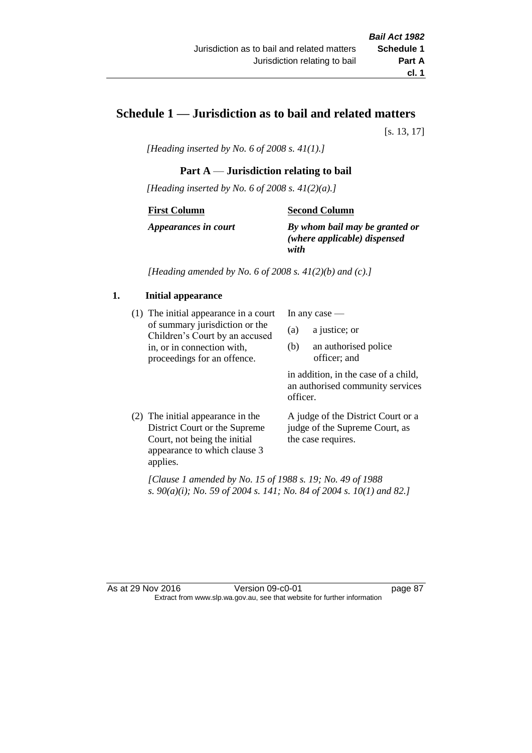# **Schedule 1 — Jurisdiction as to bail and related matters**

[s. 13, 17]

*[Heading inserted by No. 6 of 2008 s. 41(1).]*

# **Part A** — **Jurisdiction relating to bail**

*[Heading inserted by No. 6 of 2008 s. 41(2)(a).]*

### **First Column**

### **Second Column**

*Appearances in court*

*By whom bail may be granted or (where applicable) dispensed with*

*[Heading amended by No. 6 of 2008 s. 41(2)(b) and (c).]*

# **1. Initial appearance**

(1) The initial appearance in a court of summary jurisdiction or the Children's Court by an accused in, or in connection with, proceedings for an offence.

In any case —

- (a) a justice; or
- (b) an authorised police officer; and

in addition, in the case of a child, an authorised community services officer.

(2) The initial appearance in the District Court or the Supreme Court, not being the initial appearance to which clause 3 applies. A judge of the District Court or a judge of the Supreme Court, as the case requires.

*[Clause 1 amended by No. 15 of 1988 s. 19; No. 49 of 1988 s. 90(a)(i); No. 59 of 2004 s. 141; No. 84 of 2004 s. 10(1) and 82.]*

#### As at 29 Nov 2016 Version 09-c0-01 page 87 Extract from www.slp.wa.gov.au, see that website for further information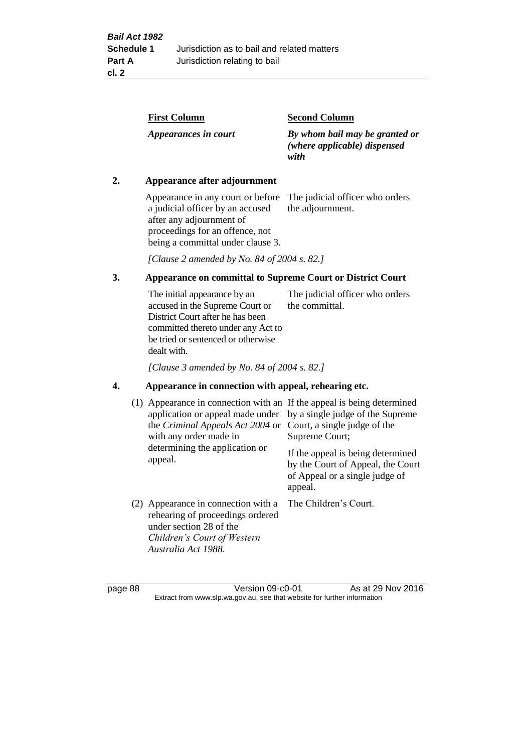| By whom bail may be granted or<br>(where applicable) dispensed |
|----------------------------------------------------------------|
|                                                                |

## **2. Appearance after adjournment**

Appearance in any court or before The judicial officer who orders a judicial officer by an accused after any adjournment of proceedings for an offence, not being a committal under clause 3.

the adjournment.

*[Clause 2 amended by No. 84 of 2004 s. 82.]*

# **3. Appearance on committal to Supreme Court or District Court**

The initial appearance by an accused in the Supreme Court or District Court after he has been committed thereto under any Act to be tried or sentenced or otherwise dealt with. The judicial officer who orders the committal.

*[Clause 3 amended by No. 84 of 2004 s. 82.]*

### **4. Appearance in connection with appeal, rehearing etc.**

| (1) Appearance in connection with an If the appeal is being determined<br>application or appeal made under<br>the <i>Criminal Appeals Act 2004</i> or<br>with any order made in<br>determining the application or<br>appeal. | by a single judge of the Supreme<br>Court, a single judge of the<br>Supreme Court;<br>If the appeal is being determined<br>by the Court of Appeal, the Court<br>of Appeal or a single judge of<br>appeal. |
|------------------------------------------------------------------------------------------------------------------------------------------------------------------------------------------------------------------------------|-----------------------------------------------------------------------------------------------------------------------------------------------------------------------------------------------------------|
| (2) Appearance in connection with a<br>rehearing of proceedings ordered<br>under section 28 of the<br>Children's Court of Western<br>Australia Act 1988.                                                                     | The Children's Court.                                                                                                                                                                                     |

page 88 Version 09-c0-01 As at 29 Nov 2016 Extract from www.slp.wa.gov.au, see that website for further information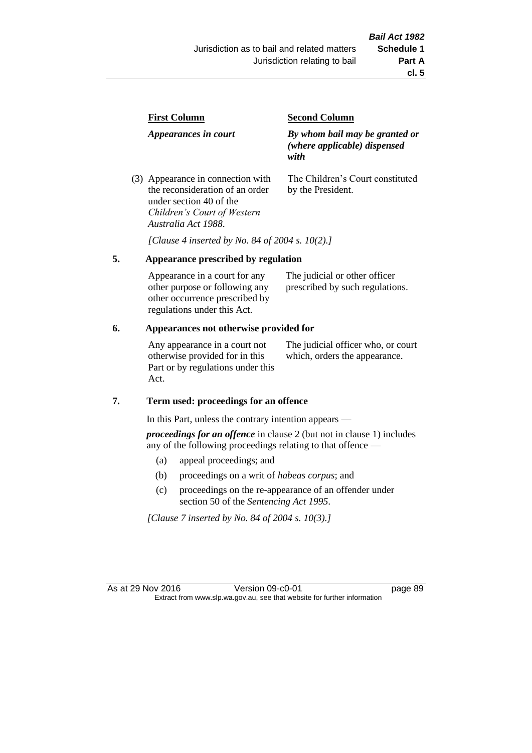| <b>First Column</b>                                                  | <b>Second Column</b>                                                   |  |
|----------------------------------------------------------------------|------------------------------------------------------------------------|--|
| Appearances in court                                                 | By whom bail may be granted or<br>(where applicable) dispensed<br>with |  |
| (3) Appearance in connection with<br>the reconsideration of an order | The Children's Court constituted<br>by the President.                  |  |

*[Clause 4 inserted by No. 84 of 2004 s. 10(2).]*

### **5. Appearance prescribed by regulation**

under section 40 of the *Children's Court of Western* 

*Australia Act 1988*.

| Appearance in a court for any  | The judicial or other officer   |
|--------------------------------|---------------------------------|
| other purpose or following any | prescribed by such regulations. |
| other occurrence prescribed by |                                 |
| regulations under this Act.    |                                 |

### **6. Appearances not otherwise provided for**

Any appearance in a court not otherwise provided for in this Part or by regulations under this Act.

The judicial officer who, or court which, orders the appearance.

#### **7. Term used: proceedings for an offence**

In this Part, unless the contrary intention appears —

*proceedings for an offence* in clause 2 (but not in clause 1) includes any of the following proceedings relating to that offence —

- (a) appeal proceedings; and
- (b) proceedings on a writ of *habeas corpus*; and
- (c) proceedings on the re-appearance of an offender under section 50 of the *Sentencing Act 1995*.

*[Clause 7 inserted by No. 84 of 2004 s. 10(3).]*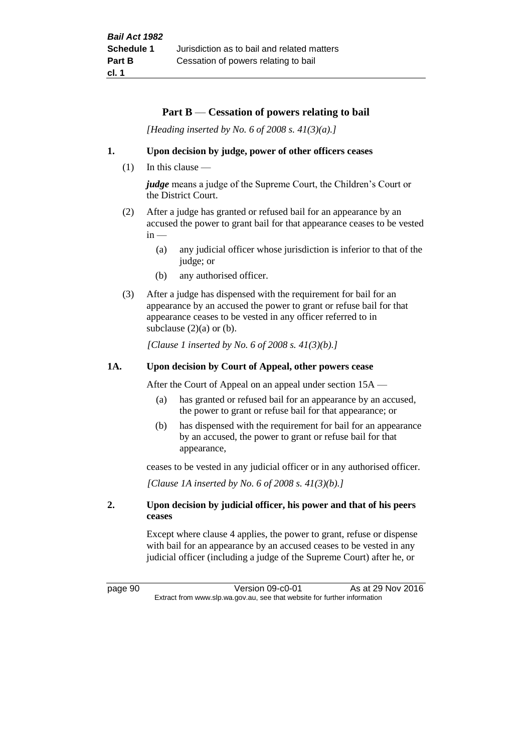### **Part B** — **Cessation of powers relating to bail**

*[Heading inserted by No. 6 of 2008 s. 41(3)(a).]*

### **1. Upon decision by judge, power of other officers ceases**

(1) In this clause —

*judge* means a judge of the Supreme Court, the Children's Court or the District Court.

- (2) After a judge has granted or refused bail for an appearance by an accused the power to grant bail for that appearance ceases to be vested  $in -$ 
	- (a) any judicial officer whose jurisdiction is inferior to that of the judge; or
	- (b) any authorised officer.
- (3) After a judge has dispensed with the requirement for bail for an appearance by an accused the power to grant or refuse bail for that appearance ceases to be vested in any officer referred to in subclause  $(2)(a)$  or  $(b)$ .

*[Clause 1 inserted by No. 6 of 2008 s. 41(3)(b).]*

### **1A. Upon decision by Court of Appeal, other powers cease**

After the Court of Appeal on an appeal under section 15A —

- (a) has granted or refused bail for an appearance by an accused, the power to grant or refuse bail for that appearance; or
- (b) has dispensed with the requirement for bail for an appearance by an accused, the power to grant or refuse bail for that appearance,

ceases to be vested in any judicial officer or in any authorised officer.

*[Clause 1A inserted by No. 6 of 2008 s. 41(3)(b).]*

### **2. Upon decision by judicial officer, his power and that of his peers ceases**

Except where clause 4 applies, the power to grant, refuse or dispense with bail for an appearance by an accused ceases to be vested in any judicial officer (including a judge of the Supreme Court) after he, or

page 90 Version 09-c0-01 As at 29 Nov 2016 Extract from www.slp.wa.gov.au, see that website for further information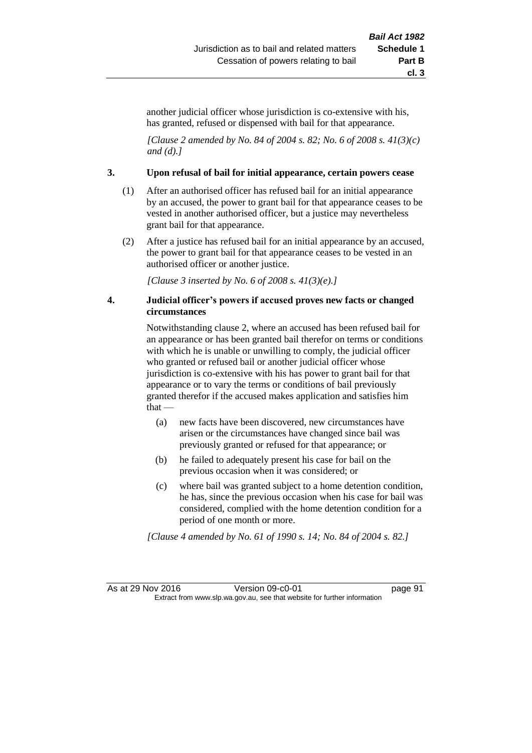another judicial officer whose jurisdiction is co-extensive with his, has granted, refused or dispensed with bail for that appearance.

*[Clause 2 amended by No. 84 of 2004 s. 82; No. 6 of 2008 s. 41(3)(c) and (d).]*

#### **3. Upon refusal of bail for initial appearance, certain powers cease**

- (1) After an authorised officer has refused bail for an initial appearance by an accused, the power to grant bail for that appearance ceases to be vested in another authorised officer, but a justice may nevertheless grant bail for that appearance.
- (2) After a justice has refused bail for an initial appearance by an accused, the power to grant bail for that appearance ceases to be vested in an authorised officer or another justice.

*[Clause 3 inserted by No. 6 of 2008 s. 41(3)(e).]*

### **4. Judicial officer's powers if accused proves new facts or changed circumstances**

Notwithstanding clause 2, where an accused has been refused bail for an appearance or has been granted bail therefor on terms or conditions with which he is unable or unwilling to comply, the judicial officer who granted or refused bail or another judicial officer whose jurisdiction is co-extensive with his has power to grant bail for that appearance or to vary the terms or conditions of bail previously granted therefor if the accused makes application and satisfies him that —

- (a) new facts have been discovered, new circumstances have arisen or the circumstances have changed since bail was previously granted or refused for that appearance; or
- (b) he failed to adequately present his case for bail on the previous occasion when it was considered; or
- (c) where bail was granted subject to a home detention condition, he has, since the previous occasion when his case for bail was considered, complied with the home detention condition for a period of one month or more.

*[Clause 4 amended by No. 61 of 1990 s. 14; No. 84 of 2004 s. 82.]*

As at 29 Nov 2016 Version 09-c0-01 page 91 Extract from www.slp.wa.gov.au, see that website for further information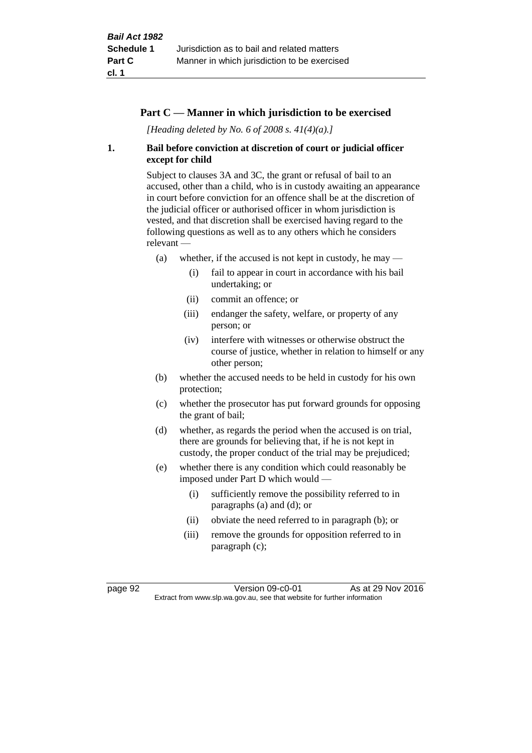# **Part C — Manner in which jurisdiction to be exercised**

*[Heading deleted by No. 6 of 2008 s. 41(4)(a).]*

# **1. Bail before conviction at discretion of court or judicial officer except for child**

Subject to clauses 3A and 3C, the grant or refusal of bail to an accused, other than a child, who is in custody awaiting an appearance in court before conviction for an offence shall be at the discretion of the judicial officer or authorised officer in whom jurisdiction is vested, and that discretion shall be exercised having regard to the following questions as well as to any others which he considers relevant —

- (a) whether, if the accused is not kept in custody, he may  $-$ 
	- (i) fail to appear in court in accordance with his bail undertaking; or
	- (ii) commit an offence; or
	- (iii) endanger the safety, welfare, or property of any person; or
	- (iv) interfere with witnesses or otherwise obstruct the course of justice, whether in relation to himself or any other person;
- (b) whether the accused needs to be held in custody for his own protection;
- (c) whether the prosecutor has put forward grounds for opposing the grant of bail;
- (d) whether, as regards the period when the accused is on trial, there are grounds for believing that, if he is not kept in custody, the proper conduct of the trial may be prejudiced;
- (e) whether there is any condition which could reasonably be imposed under Part D which would —
	- (i) sufficiently remove the possibility referred to in paragraphs (a) and (d); or
	- (ii) obviate the need referred to in paragraph (b); or
	- (iii) remove the grounds for opposition referred to in paragraph (c);

page 92 Version 09-c0-01 As at 29 Nov 2016 Extract from www.slp.wa.gov.au, see that website for further information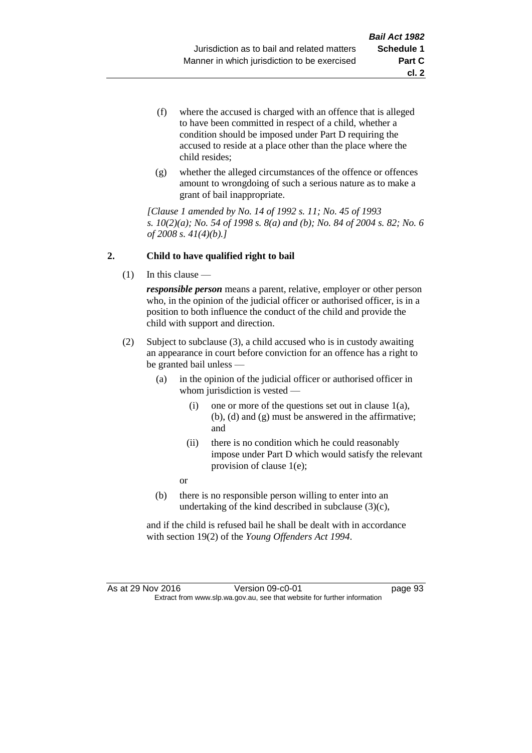- (f) where the accused is charged with an offence that is alleged to have been committed in respect of a child, whether a condition should be imposed under Part D requiring the accused to reside at a place other than the place where the child resides;
- (g) whether the alleged circumstances of the offence or offences amount to wrongdoing of such a serious nature as to make a grant of bail inappropriate.

*[Clause 1 amended by No. 14 of 1992 s. 11; No. 45 of 1993 s. 10(2)(a); No. 54 of 1998 s. 8(a) and (b); No. 84 of 2004 s. 82; No. 6 of 2008 s. 41(4)(b).]*

### **2. Child to have qualified right to bail**

(1) In this clause —

*responsible person* means a parent, relative, employer or other person who, in the opinion of the judicial officer or authorised officer, is in a position to both influence the conduct of the child and provide the child with support and direction.

- (2) Subject to subclause (3), a child accused who is in custody awaiting an appearance in court before conviction for an offence has a right to be granted bail unless —
	- (a) in the opinion of the judicial officer or authorised officer in whom jurisdiction is vested —
		- (i) one or more of the questions set out in clause  $1(a)$ , (b), (d) and (g) must be answered in the affirmative; and
		- (ii) there is no condition which he could reasonably impose under Part D which would satisfy the relevant provision of clause 1(e);

or

(b) there is no responsible person willing to enter into an undertaking of the kind described in subclause (3)(c),

and if the child is refused bail he shall be dealt with in accordance with section 19(2) of the *Young Offenders Act 1994*.

As at 29 Nov 2016 Version 09-c0-01 page 93 Extract from www.slp.wa.gov.au, see that website for further information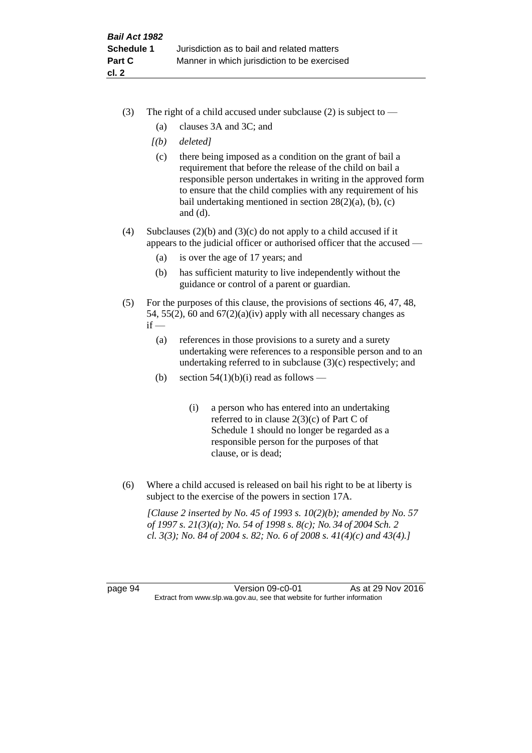- (3) The right of a child accused under subclause (2) is subject to  $-$ 
	- (a) clauses 3A and 3C; and
	- *[(b) deleted]*
	- (c) there being imposed as a condition on the grant of bail a requirement that before the release of the child on bail a responsible person undertakes in writing in the approved form to ensure that the child complies with any requirement of his bail undertaking mentioned in section  $28(2)(a)$ , (b), (c) and (d).
- (4) Subclauses (2)(b) and (3)(c) do not apply to a child accused if it appears to the judicial officer or authorised officer that the accused —
	- (a) is over the age of 17 years; and
	- (b) has sufficient maturity to live independently without the guidance or control of a parent or guardian.
- (5) For the purposes of this clause, the provisions of sections 46, 47, 48, 54, 55(2), 60 and  $67(2)(a)(iv)$  apply with all necessary changes as  $if -$ 
	- (a) references in those provisions to a surety and a surety undertaking were references to a responsible person and to an undertaking referred to in subclause (3)(c) respectively; and
	- (b) section  $54(1)(b)(i)$  read as follows
		- (i) a person who has entered into an undertaking referred to in clause  $2(3)(c)$  of Part C of Schedule 1 should no longer be regarded as a responsible person for the purposes of that clause, or is dead;
- (6) Where a child accused is released on bail his right to be at liberty is subject to the exercise of the powers in section 17A.

*[Clause 2 inserted by No. 45 of 1993 s. 10(2)(b); amended by No. 57 of 1997 s. 21(3)(a); No. 54 of 1998 s. 8(c); No. 34 of 2004 Sch. 2 cl. 3(3); No. 84 of 2004 s. 82; No. 6 of 2008 s. 41(4)(c) and 43(4).]*

page 94 Version 09-c0-01 As at 29 Nov 2016 Extract from www.slp.wa.gov.au, see that website for further information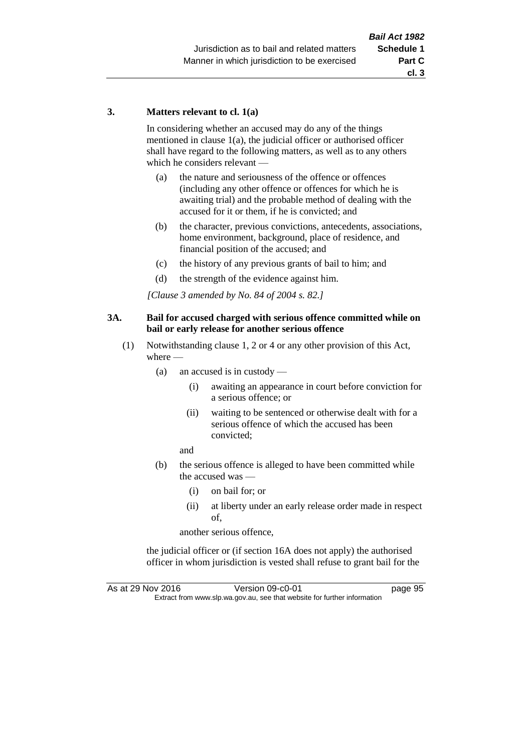### **3. Matters relevant to cl. 1(a)**

In considering whether an accused may do any of the things mentioned in clause 1(a), the judicial officer or authorised officer shall have regard to the following matters, as well as to any others which he considers relevant —

- (a) the nature and seriousness of the offence or offences (including any other offence or offences for which he is awaiting trial) and the probable method of dealing with the accused for it or them, if he is convicted; and
- (b) the character, previous convictions, antecedents, associations, home environment, background, place of residence, and financial position of the accused; and
- (c) the history of any previous grants of bail to him; and
- (d) the strength of the evidence against him.

*[Clause 3 amended by No. 84 of 2004 s. 82.]*

### **3A. Bail for accused charged with serious offence committed while on bail or early release for another serious offence**

- (1) Notwithstanding clause 1, 2 or 4 or any other provision of this Act, where —
	- (a) an accused is in custody
		- (i) awaiting an appearance in court before conviction for a serious offence; or
		- (ii) waiting to be sentenced or otherwise dealt with for a serious offence of which the accused has been convicted;

and

- (b) the serious offence is alleged to have been committed while the accused was —
	- (i) on bail for; or
	- (ii) at liberty under an early release order made in respect of,

another serious offence,

the judicial officer or (if section 16A does not apply) the authorised officer in whom jurisdiction is vested shall refuse to grant bail for the

As at 29 Nov 2016 Version 09-c0-01 page 95 Extract from www.slp.wa.gov.au, see that website for further information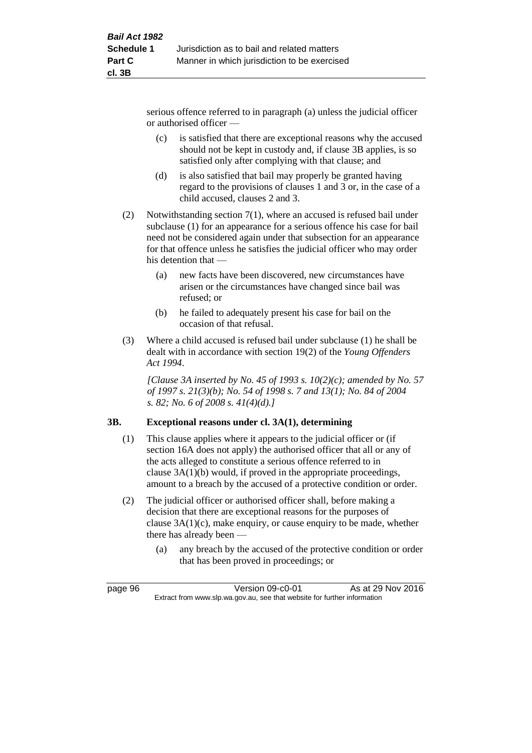serious offence referred to in paragraph (a) unless the judicial officer or authorised officer —

- (c) is satisfied that there are exceptional reasons why the accused should not be kept in custody and, if clause 3B applies, is so satisfied only after complying with that clause; and
- (d) is also satisfied that bail may properly be granted having regard to the provisions of clauses 1 and 3 or, in the case of a child accused, clauses 2 and 3.
- (2) Notwithstanding section 7(1), where an accused is refused bail under subclause (1) for an appearance for a serious offence his case for bail need not be considered again under that subsection for an appearance for that offence unless he satisfies the judicial officer who may order his detention that —
	- (a) new facts have been discovered, new circumstances have arisen or the circumstances have changed since bail was refused; or
	- (b) he failed to adequately present his case for bail on the occasion of that refusal.
- (3) Where a child accused is refused bail under subclause (1) he shall be dealt with in accordance with section 19(2) of the *Young Offenders Act 1994*.

*[Clause 3A inserted by No. 45 of 1993 s. 10(2)(c); amended by No. 57 of 1997 s. 21(3)(b); No. 54 of 1998 s. 7 and 13(1); No. 84 of 2004 s. 82; No. 6 of 2008 s. 41(4)(d).]*

# **3B. Exceptional reasons under cl. 3A(1), determining**

- (1) This clause applies where it appears to the judicial officer or (if section 16A does not apply) the authorised officer that all or any of the acts alleged to constitute a serious offence referred to in clause 3A(1)(b) would, if proved in the appropriate proceedings, amount to a breach by the accused of a protective condition or order.
- (2) The judicial officer or authorised officer shall, before making a decision that there are exceptional reasons for the purposes of clause 3A(1)(c), make enquiry, or cause enquiry to be made, whether there has already been —
	- (a) any breach by the accused of the protective condition or order that has been proved in proceedings; or

page 96 Version 09-c0-01 As at 29 Nov 2016 Extract from www.slp.wa.gov.au, see that website for further information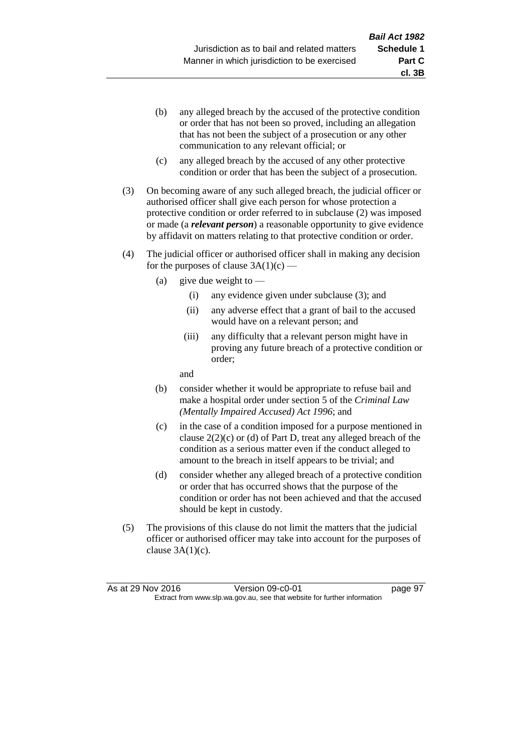**cl. 3B**

- (b) any alleged breach by the accused of the protective condition or order that has not been so proved, including an allegation that has not been the subject of a prosecution or any other communication to any relevant official; or
- (c) any alleged breach by the accused of any other protective condition or order that has been the subject of a prosecution.
- (3) On becoming aware of any such alleged breach, the judicial officer or authorised officer shall give each person for whose protection a protective condition or order referred to in subclause (2) was imposed or made (a *relevant person*) a reasonable opportunity to give evidence by affidavit on matters relating to that protective condition or order.
- (4) The judicial officer or authorised officer shall in making any decision for the purposes of clause  $3A(1)(c)$  —
	- (a) give due weight to  $-$ 
		- (i) any evidence given under subclause (3); and
		- (ii) any adverse effect that a grant of bail to the accused would have on a relevant person; and
		- (iii) any difficulty that a relevant person might have in proving any future breach of a protective condition or order;

and

- (b) consider whether it would be appropriate to refuse bail and make a hospital order under section 5 of the *Criminal Law (Mentally Impaired Accused) Act 1996*; and
- (c) in the case of a condition imposed for a purpose mentioned in clause 2(2)(c) or (d) of Part D, treat any alleged breach of the condition as a serious matter even if the conduct alleged to amount to the breach in itself appears to be trivial; and
- (d) consider whether any alleged breach of a protective condition or order that has occurred shows that the purpose of the condition or order has not been achieved and that the accused should be kept in custody.
- (5) The provisions of this clause do not limit the matters that the judicial officer or authorised officer may take into account for the purposes of clause  $3A(1)(c)$ .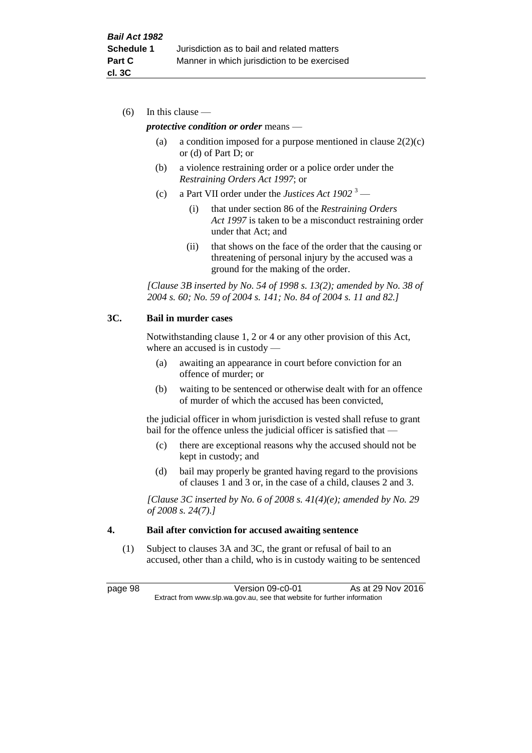(6) In this clause —

### *protective condition or order* means —

- (a) a condition imposed for a purpose mentioned in clause  $2(2)(c)$ or (d) of Part D; or
- (b) a violence restraining order or a police order under the *Restraining Orders Act 1997*; or
- (c) a Part VII order under the *Justices Act 1902* <sup>3</sup>
	- (i) that under section 86 of the *Restraining Orders Act 1997* is taken to be a misconduct restraining order under that Act; and
	- (ii) that shows on the face of the order that the causing or threatening of personal injury by the accused was a ground for the making of the order.

*[Clause 3B inserted by No. 54 of 1998 s. 13(2); amended by No. 38 of 2004 s. 60; No. 59 of 2004 s. 141; No. 84 of 2004 s. 11 and 82.]*

### **3C. Bail in murder cases**

Notwithstanding clause 1, 2 or 4 or any other provision of this Act, where an accused is in custody —

- (a) awaiting an appearance in court before conviction for an offence of murder; or
- (b) waiting to be sentenced or otherwise dealt with for an offence of murder of which the accused has been convicted,

the judicial officer in whom jurisdiction is vested shall refuse to grant bail for the offence unless the judicial officer is satisfied that -

- (c) there are exceptional reasons why the accused should not be kept in custody; and
- (d) bail may properly be granted having regard to the provisions of clauses 1 and 3 or, in the case of a child, clauses 2 and 3.

*[Clause 3C inserted by No. 6 of 2008 s. 41(4)(e); amended by No. 29 of 2008 s. 24(7).]*

### **4. Bail after conviction for accused awaiting sentence**

(1) Subject to clauses 3A and 3C, the grant or refusal of bail to an accused, other than a child, who is in custody waiting to be sentenced

page 98 Version 09-c0-01 As at 29 Nov 2016 Extract from www.slp.wa.gov.au, see that website for further information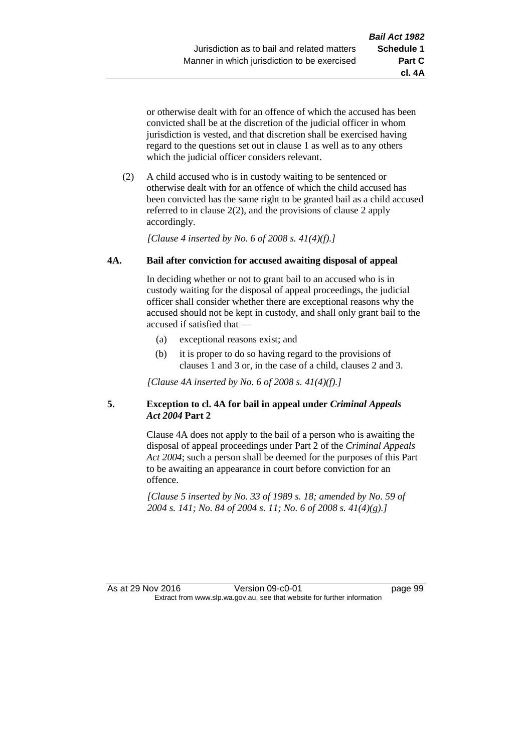**cl. 4A**

or otherwise dealt with for an offence of which the accused has been convicted shall be at the discretion of the judicial officer in whom jurisdiction is vested, and that discretion shall be exercised having regard to the questions set out in clause 1 as well as to any others which the judicial officer considers relevant.

(2) A child accused who is in custody waiting to be sentenced or otherwise dealt with for an offence of which the child accused has been convicted has the same right to be granted bail as a child accused referred to in clause 2(2), and the provisions of clause 2 apply accordingly.

*[Clause 4 inserted by No. 6 of 2008 s. 41(4)(f).]*

# **4A. Bail after conviction for accused awaiting disposal of appeal**

In deciding whether or not to grant bail to an accused who is in custody waiting for the disposal of appeal proceedings, the judicial officer shall consider whether there are exceptional reasons why the accused should not be kept in custody, and shall only grant bail to the accused if satisfied that —

- (a) exceptional reasons exist; and
- (b) it is proper to do so having regard to the provisions of clauses 1 and 3 or, in the case of a child, clauses 2 and 3.

*[Clause 4A inserted by No. 6 of 2008 s. 41(4)(f).]*

# **5. Exception to cl. 4A for bail in appeal under** *Criminal Appeals Act 2004* **Part 2**

Clause 4A does not apply to the bail of a person who is awaiting the disposal of appeal proceedings under Part 2 of the *Criminal Appeals Act 2004*; such a person shall be deemed for the purposes of this Part to be awaiting an appearance in court before conviction for an offence.

*[Clause 5 inserted by No. 33 of 1989 s. 18; amended by No. 59 of 2004 s. 141; No. 84 of 2004 s. 11; No. 6 of 2008 s. 41(4)(g).]*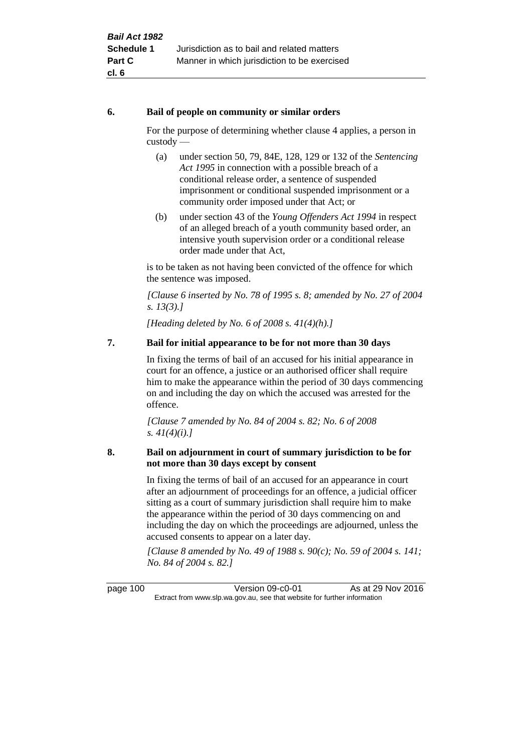### **6. Bail of people on community or similar orders**

For the purpose of determining whether clause 4 applies, a person in custody —

- (a) under section 50, 79, 84E, 128, 129 or 132 of the *Sentencing Act 1995* in connection with a possible breach of a conditional release order, a sentence of suspended imprisonment or conditional suspended imprisonment or a community order imposed under that Act; or
- (b) under section 43 of the *Young Offenders Act 1994* in respect of an alleged breach of a youth community based order, an intensive youth supervision order or a conditional release order made under that Act,

is to be taken as not having been convicted of the offence for which the sentence was imposed.

*[Clause 6 inserted by No. 78 of 1995 s. 8; amended by No. 27 of 2004 s. 13(3).]*

*[Heading deleted by No. 6 of 2008 s. 41(4)(h).]*

# **7. Bail for initial appearance to be for not more than 30 days**

In fixing the terms of bail of an accused for his initial appearance in court for an offence, a justice or an authorised officer shall require him to make the appearance within the period of 30 days commencing on and including the day on which the accused was arrested for the offence.

*[Clause 7 amended by No. 84 of 2004 s. 82; No. 6 of 2008 s. 41(4)(i).]*

# **8. Bail on adjournment in court of summary jurisdiction to be for not more than 30 days except by consent**

In fixing the terms of bail of an accused for an appearance in court after an adjournment of proceedings for an offence, a judicial officer sitting as a court of summary jurisdiction shall require him to make the appearance within the period of 30 days commencing on and including the day on which the proceedings are adjourned, unless the accused consents to appear on a later day.

*[Clause 8 amended by No. 49 of 1988 s. 90(c); No. 59 of 2004 s. 141; No. 84 of 2004 s. 82.]*

page 100 Version 09-c0-01 As at 29 Nov 2016 Extract from www.slp.wa.gov.au, see that website for further information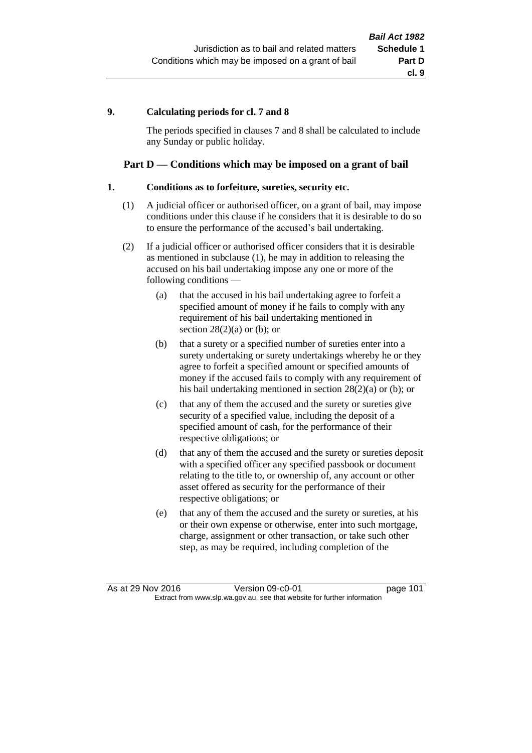# **9. Calculating periods for cl. 7 and 8**

The periods specified in clauses 7 and 8 shall be calculated to include any Sunday or public holiday.

# **Part D — Conditions which may be imposed on a grant of bail**

### **1. Conditions as to forfeiture, sureties, security etc.**

- (1) A judicial officer or authorised officer, on a grant of bail, may impose conditions under this clause if he considers that it is desirable to do so to ensure the performance of the accused's bail undertaking.
- (2) If a judicial officer or authorised officer considers that it is desirable as mentioned in subclause (1), he may in addition to releasing the accused on his bail undertaking impose any one or more of the following conditions —
	- (a) that the accused in his bail undertaking agree to forfeit a specified amount of money if he fails to comply with any requirement of his bail undertaking mentioned in section  $28(2)(a)$  or (b); or
	- (b) that a surety or a specified number of sureties enter into a surety undertaking or surety undertakings whereby he or they agree to forfeit a specified amount or specified amounts of money if the accused fails to comply with any requirement of his bail undertaking mentioned in section 28(2)(a) or (b); or
	- (c) that any of them the accused and the surety or sureties give security of a specified value, including the deposit of a specified amount of cash, for the performance of their respective obligations; or
	- (d) that any of them the accused and the surety or sureties deposit with a specified officer any specified passbook or document relating to the title to, or ownership of, any account or other asset offered as security for the performance of their respective obligations; or
	- (e) that any of them the accused and the surety or sureties, at his or their own expense or otherwise, enter into such mortgage, charge, assignment or other transaction, or take such other step, as may be required, including completion of the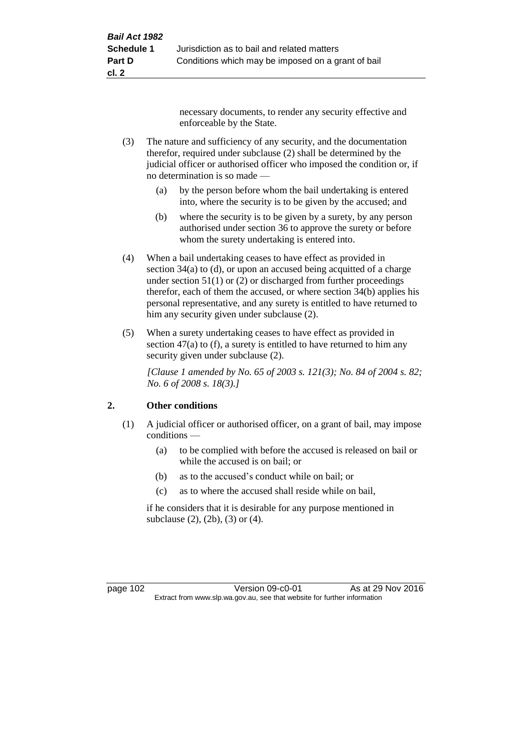necessary documents, to render any security effective and enforceable by the State.

- (3) The nature and sufficiency of any security, and the documentation therefor, required under subclause (2) shall be determined by the judicial officer or authorised officer who imposed the condition or, if no determination is so made —
	- (a) by the person before whom the bail undertaking is entered into, where the security is to be given by the accused; and
	- (b) where the security is to be given by a surety, by any person authorised under section 36 to approve the surety or before whom the surety undertaking is entered into.
- (4) When a bail undertaking ceases to have effect as provided in section 34(a) to (d), or upon an accused being acquitted of a charge under section  $51(1)$  or (2) or discharged from further proceedings therefor, each of them the accused, or where section 34(b) applies his personal representative, and any surety is entitled to have returned to him any security given under subclause (2).
- (5) When a surety undertaking ceases to have effect as provided in section 47(a) to (f), a surety is entitled to have returned to him any security given under subclause  $(2)$ .

*[Clause 1 amended by No. 65 of 2003 s. 121(3); No. 84 of 2004 s. 82; No. 6 of 2008 s. 18(3).]*

# **2. Other conditions**

- (1) A judicial officer or authorised officer, on a grant of bail, may impose conditions —
	- (a) to be complied with before the accused is released on bail or while the accused is on bail; or
	- (b) as to the accused's conduct while on bail; or
	- (c) as to where the accused shall reside while on bail,

if he considers that it is desirable for any purpose mentioned in subclause (2), (2b), (3) or (4).

page 102 Version 09-c0-01 As at 29 Nov 2016 Extract from www.slp.wa.gov.au, see that website for further information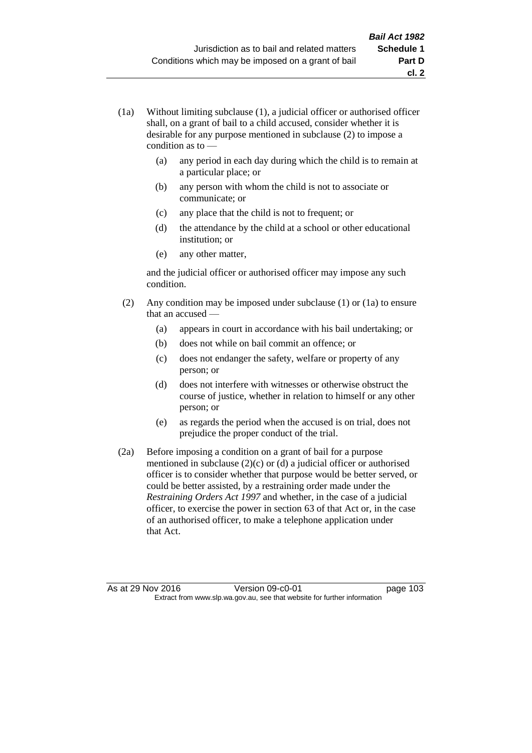- (1a) Without limiting subclause (1), a judicial officer or authorised officer shall, on a grant of bail to a child accused, consider whether it is desirable for any purpose mentioned in subclause (2) to impose a condition as to —
	- (a) any period in each day during which the child is to remain at a particular place; or
	- (b) any person with whom the child is not to associate or communicate; or
	- (c) any place that the child is not to frequent; or
	- (d) the attendance by the child at a school or other educational institution; or
	- (e) any other matter,

and the judicial officer or authorised officer may impose any such condition.

- (2) Any condition may be imposed under subclause (1) or (1a) to ensure that an accused —
	- (a) appears in court in accordance with his bail undertaking; or
	- (b) does not while on bail commit an offence; or
	- (c) does not endanger the safety, welfare or property of any person; or
	- (d) does not interfere with witnesses or otherwise obstruct the course of justice, whether in relation to himself or any other person; or
	- (e) as regards the period when the accused is on trial, does not prejudice the proper conduct of the trial.
- (2a) Before imposing a condition on a grant of bail for a purpose mentioned in subclause (2)(c) or (d) a judicial officer or authorised officer is to consider whether that purpose would be better served, or could be better assisted, by a restraining order made under the *Restraining Orders Act 1997* and whether, in the case of a judicial officer, to exercise the power in section 63 of that Act or, in the case of an authorised officer, to make a telephone application under that Act.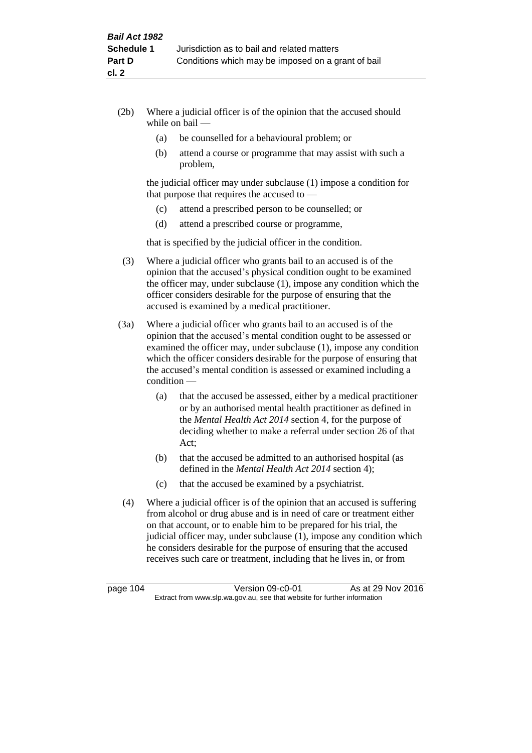- (2b) Where a judicial officer is of the opinion that the accused should while on bail —
	- (a) be counselled for a behavioural problem; or
	- (b) attend a course or programme that may assist with such a problem,

the judicial officer may under subclause (1) impose a condition for that purpose that requires the accused to —

- (c) attend a prescribed person to be counselled; or
- (d) attend a prescribed course or programme,

that is specified by the judicial officer in the condition.

- (3) Where a judicial officer who grants bail to an accused is of the opinion that the accused's physical condition ought to be examined the officer may, under subclause (1), impose any condition which the officer considers desirable for the purpose of ensuring that the accused is examined by a medical practitioner.
- (3a) Where a judicial officer who grants bail to an accused is of the opinion that the accused's mental condition ought to be assessed or examined the officer may, under subclause (1), impose any condition which the officer considers desirable for the purpose of ensuring that the accused's mental condition is assessed or examined including a condition —
	- (a) that the accused be assessed, either by a medical practitioner or by an authorised mental health practitioner as defined in the *Mental Health Act 2014* section 4, for the purpose of deciding whether to make a referral under section 26 of that Act;
	- (b) that the accused be admitted to an authorised hospital (as defined in the *Mental Health Act 2014* section 4);
	- (c) that the accused be examined by a psychiatrist.
- (4) Where a judicial officer is of the opinion that an accused is suffering from alcohol or drug abuse and is in need of care or treatment either on that account, or to enable him to be prepared for his trial, the judicial officer may, under subclause (1), impose any condition which he considers desirable for the purpose of ensuring that the accused receives such care or treatment, including that he lives in, or from

page 104 Version 09-c0-01 As at 29 Nov 2016 Extract from www.slp.wa.gov.au, see that website for further information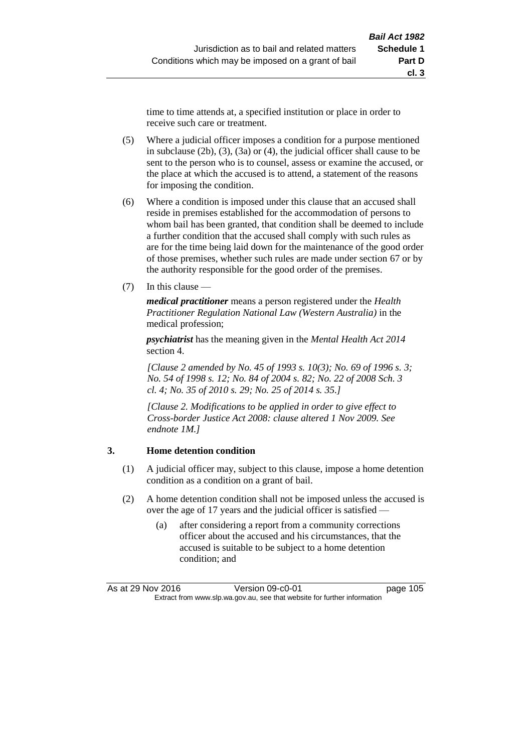time to time attends at, a specified institution or place in order to receive such care or treatment.

- (5) Where a judicial officer imposes a condition for a purpose mentioned in subclause (2b), (3), (3a) or (4), the judicial officer shall cause to be sent to the person who is to counsel, assess or examine the accused, or the place at which the accused is to attend, a statement of the reasons for imposing the condition.
- (6) Where a condition is imposed under this clause that an accused shall reside in premises established for the accommodation of persons to whom bail has been granted, that condition shall be deemed to include a further condition that the accused shall comply with such rules as are for the time being laid down for the maintenance of the good order of those premises, whether such rules are made under section 67 or by the authority responsible for the good order of the premises.
- (7) In this clause —

*medical practitioner* means a person registered under the *Health Practitioner Regulation National Law (Western Australia)* in the medical profession;

*psychiatrist* has the meaning given in the *Mental Health Act 2014* section 4.

*[Clause 2 amended by No. 45 of 1993 s. 10(3); No. 69 of 1996 s. 3; No. 54 of 1998 s. 12; No. 84 of 2004 s. 82; No. 22 of 2008 Sch. 3 cl. 4; No. 35 of 2010 s. 29; No. 25 of 2014 s. 35.]*

*[Clause 2. Modifications to be applied in order to give effect to Cross-border Justice Act 2008: clause altered 1 Nov 2009. See endnote 1M.]*

### **3. Home detention condition**

- (1) A judicial officer may, subject to this clause, impose a home detention condition as a condition on a grant of bail.
- (2) A home detention condition shall not be imposed unless the accused is over the age of 17 years and the judicial officer is satisfied -
	- (a) after considering a report from a community corrections officer about the accused and his circumstances, that the accused is suitable to be subject to a home detention condition; and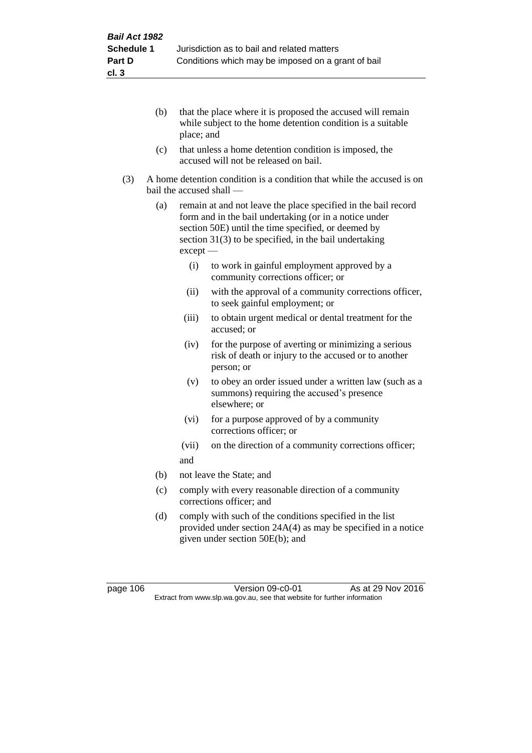- (b) that the place where it is proposed the accused will remain while subject to the home detention condition is a suitable place; and
- (c) that unless a home detention condition is imposed, the accused will not be released on bail.
- (3) A home detention condition is a condition that while the accused is on bail the accused shall —
	- (a) remain at and not leave the place specified in the bail record form and in the bail undertaking (or in a notice under section 50E) until the time specified, or deemed by section 31(3) to be specified, in the bail undertaking except —
		- (i) to work in gainful employment approved by a community corrections officer; or
		- (ii) with the approval of a community corrections officer, to seek gainful employment; or
		- (iii) to obtain urgent medical or dental treatment for the accused; or
		- (iv) for the purpose of averting or minimizing a serious risk of death or injury to the accused or to another person; or
		- (v) to obey an order issued under a written law (such as a summons) requiring the accused's presence elsewhere; or
		- (vi) for a purpose approved of by a community corrections officer; or
		- (vii) on the direction of a community corrections officer; and
	- (b) not leave the State; and
	- (c) comply with every reasonable direction of a community corrections officer; and
	- (d) comply with such of the conditions specified in the list provided under section 24A(4) as may be specified in a notice given under section 50E(b); and

page 106 Version 09-c0-01 As at 29 Nov 2016 Extract from www.slp.wa.gov.au, see that website for further information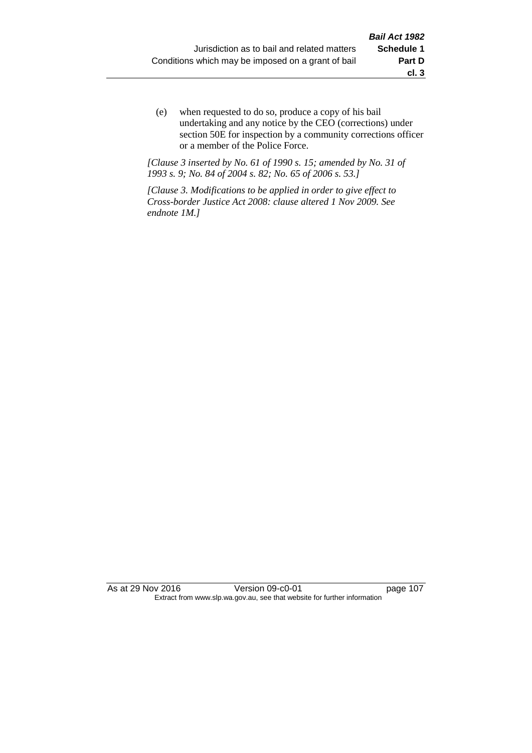(e) when requested to do so, produce a copy of his bail undertaking and any notice by the CEO (corrections) under section 50E for inspection by a community corrections officer or a member of the Police Force.

*[Clause 3 inserted by No. 61 of 1990 s. 15; amended by No. 31 of 1993 s. 9; No. 84 of 2004 s. 82; No. 65 of 2006 s. 53.]*

*[Clause 3. Modifications to be applied in order to give effect to Cross-border Justice Act 2008: clause altered 1 Nov 2009. See endnote 1M.]*

As at 29 Nov 2016 Version 09-c0-01 page 107 Extract from www.slp.wa.gov.au, see that website for further information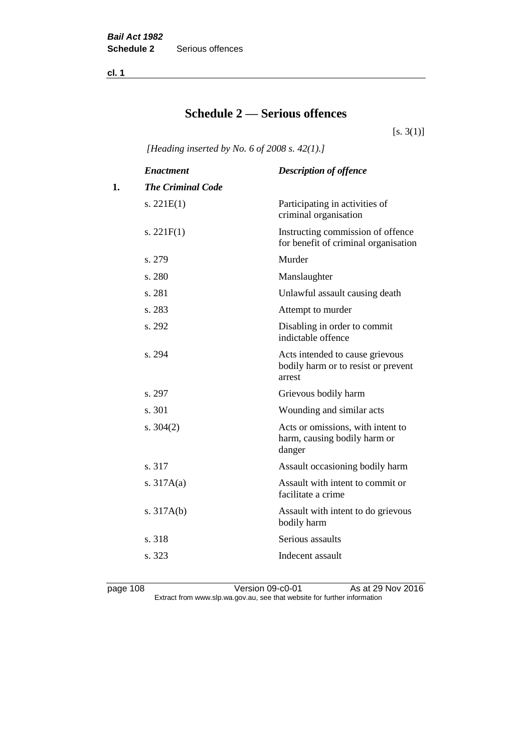**cl. 1**

# **Schedule 2 — Serious offences**

 $[s. 3(1)]$ 

*[Heading inserted by No. 6 of 2008 s. 42(1).]*

|    | <b>Enactment</b>         | <b>Description of offence</b>                                                    |
|----|--------------------------|----------------------------------------------------------------------------------|
| 1. | <b>The Criminal Code</b> |                                                                                  |
|    | s. $221E(1)$             | Participating in activities of<br>criminal organisation                          |
|    | s. $221F(1)$             | Instructing commission of offence<br>for benefit of criminal organisation        |
|    | s. 279                   | Murder                                                                           |
|    | s. 280                   | Manslaughter                                                                     |
|    | s. 281                   | Unlawful assault causing death                                                   |
|    | s. 283                   | Attempt to murder                                                                |
|    | s. 292                   | Disabling in order to commit<br>indictable offence                               |
|    | s. 294                   | Acts intended to cause grievous<br>bodily harm or to resist or prevent<br>arrest |
|    | s. 297                   | Grievous bodily harm                                                             |
|    | s. 301                   | Wounding and similar acts                                                        |
|    | s. $304(2)$              | Acts or omissions, with intent to<br>harm, causing bodily harm or<br>danger      |
|    | s. 317                   | Assault occasioning bodily harm                                                  |
|    | s. $317A(a)$             | Assault with intent to commit or<br>facilitate a crime                           |
|    | s. $317A(b)$             | Assault with intent to do grievous<br>bodily harm                                |
|    | s. 318                   | Serious assaults                                                                 |
|    | s. 323                   | Indecent assault                                                                 |
|    |                          |                                                                                  |

page 108 Version 09-c0-01 As at 29 Nov 2016 Extract from www.slp.wa.gov.au, see that website for further information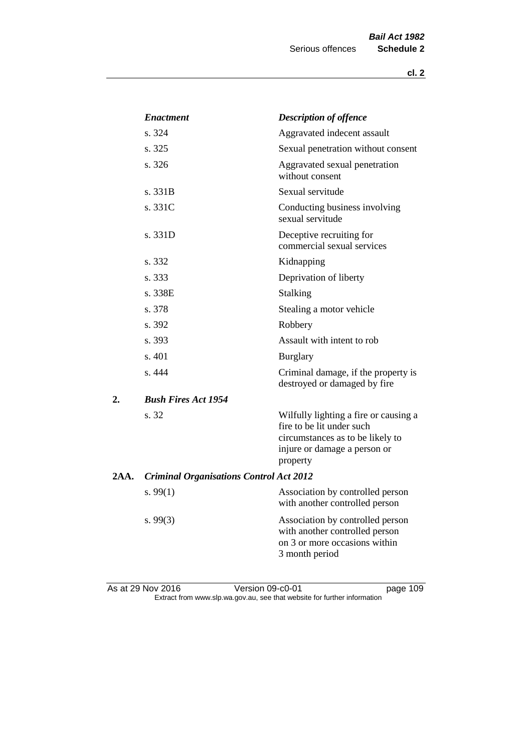|      | <b>Enactment</b>                               | <b>Description of offence</b>                                                                                                                      |
|------|------------------------------------------------|----------------------------------------------------------------------------------------------------------------------------------------------------|
|      | s. 324                                         | Aggravated indecent assault                                                                                                                        |
|      | s. 325                                         | Sexual penetration without consent                                                                                                                 |
|      | s. 326                                         | Aggravated sexual penetration<br>without consent                                                                                                   |
|      | s. 331B                                        | Sexual servitude                                                                                                                                   |
|      | s. 331C                                        | Conducting business involving<br>sexual servitude                                                                                                  |
|      | s. 331D                                        | Deceptive recruiting for<br>commercial sexual services                                                                                             |
|      | s. 332                                         | Kidnapping                                                                                                                                         |
|      | s. 333                                         | Deprivation of liberty                                                                                                                             |
|      | s. 338E                                        | Stalking                                                                                                                                           |
|      | s. 378                                         | Stealing a motor vehicle                                                                                                                           |
|      | s. 392                                         | Robbery                                                                                                                                            |
|      | s. 393                                         | Assault with intent to rob                                                                                                                         |
|      | s. 401                                         | <b>Burglary</b>                                                                                                                                    |
|      | s. 444                                         | Criminal damage, if the property is<br>destroyed or damaged by fire                                                                                |
| 2.   | <b>Bush Fires Act 1954</b>                     |                                                                                                                                                    |
|      | s. 32                                          | Wilfully lighting a fire or causing a<br>fire to be lit under such<br>circumstances as to be likely to<br>injure or damage a person or<br>property |
| 2AA. | <b>Criminal Organisations Control Act 2012</b> |                                                                                                                                                    |
|      | s.99(1)                                        | Association by controlled person<br>with another controlled person                                                                                 |
|      | s.99(3)                                        | Association by controlled person<br>with another controlled person<br>on 3 or more occasions within<br>3 month period                              |
|      |                                                |                                                                                                                                                    |

As at 29 Nov 2016 Version 09-c0-01 page 109 Extract from www.slp.wa.gov.au, see that website for further information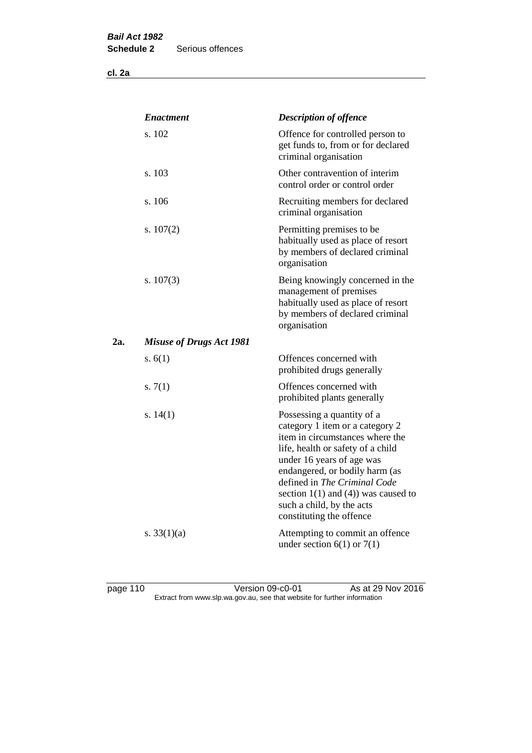**cl. 2a**

|     | <b>Enactment</b>                | <b>Description of offence</b>                                                                                                                                                                                                                                                                                                             |
|-----|---------------------------------|-------------------------------------------------------------------------------------------------------------------------------------------------------------------------------------------------------------------------------------------------------------------------------------------------------------------------------------------|
|     | s. 102                          | Offence for controlled person to<br>get funds to, from or for declared<br>criminal organisation                                                                                                                                                                                                                                           |
|     | s. 103                          | Other contravention of interim<br>control order or control order                                                                                                                                                                                                                                                                          |
|     | s. 106                          | Recruiting members for declared<br>criminal organisation                                                                                                                                                                                                                                                                                  |
|     | s. $107(2)$                     | Permitting premises to be<br>habitually used as place of resort<br>by members of declared criminal<br>organisation                                                                                                                                                                                                                        |
|     | s. $107(3)$                     | Being knowingly concerned in the<br>management of premises<br>habitually used as place of resort<br>by members of declared criminal<br>organisation                                                                                                                                                                                       |
| 2a. | <b>Misuse of Drugs Act 1981</b> |                                                                                                                                                                                                                                                                                                                                           |
|     | s. $6(1)$                       | Offences concerned with<br>prohibited drugs generally                                                                                                                                                                                                                                                                                     |
|     | s. $7(1)$                       | Offences concerned with<br>prohibited plants generally                                                                                                                                                                                                                                                                                    |
|     | s. $14(1)$                      | Possessing a quantity of a<br>category 1 item or a category 2<br>item in circumstances where the<br>life, health or safety of a child<br>under 16 years of age was<br>endangered, or bodily harm (as<br>defined in The Criminal Code<br>section $1(1)$ and $(4)$ ) was caused to<br>such a child, by the acts<br>constituting the offence |
|     | s. $33(1)(a)$                   | Attempting to commit an offence<br>under section $6(1)$ or $7(1)$                                                                                                                                                                                                                                                                         |

page 110 Version 09-c0-01 As at 29 Nov 2016 Extract from www.slp.wa.gov.au, see that website for further information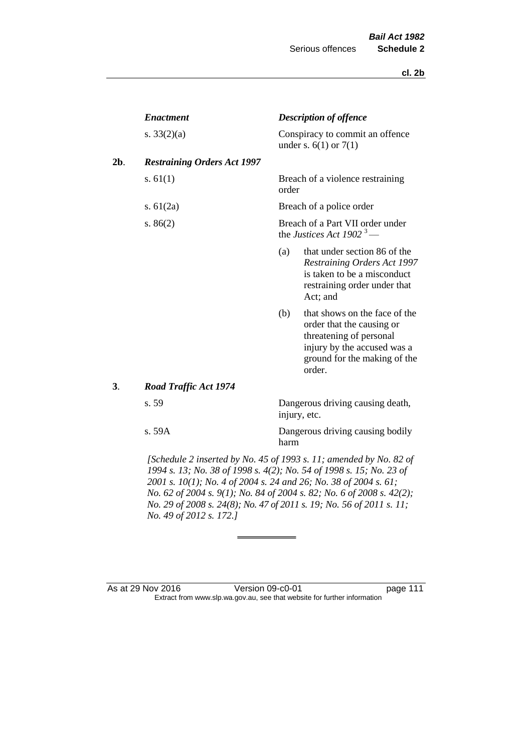| <b>Enactment</b>                   |       | <b>Description of offence</b>                                                                                                                                  |
|------------------------------------|-------|----------------------------------------------------------------------------------------------------------------------------------------------------------------|
| s. $33(2)(a)$                      |       | Conspiracy to commit an offence<br>under s. $6(1)$ or $7(1)$                                                                                                   |
| <b>Restraining Orders Act 1997</b> |       |                                                                                                                                                                |
| s. $61(1)$                         | order | Breach of a violence restraining                                                                                                                               |
| s. $61(2a)$                        |       | Breach of a police order                                                                                                                                       |
| s. $86(2)$                         |       | Breach of a Part VII order under<br>the Justices Act 1902 <sup>3</sup> —                                                                                       |
|                                    | (a)   | that under section 86 of the<br>Restraining Orders Act 1997<br>is taken to be a misconduct<br>restraining order under that<br>Act; and                         |
|                                    | (b)   | that shows on the face of the<br>order that the causing or<br>threatening of personal<br>injury by the accused was a<br>ground for the making of the<br>order. |
| <b>Road Traffic Act 1974</b>       |       |                                                                                                                                                                |
| s. 59                              |       | Dangerous driving causing death,<br>injury, etc.                                                                                                               |
| s. 59A                             | harm  | Dangerous driving causing bodily                                                                                                                               |

*1994 s. 13; No. 38 of 1998 s. 4(2); No. 54 of 1998 s. 15; No. 23 of 2001 s. 10(1); No. 4 of 2004 s. 24 and 26; No. 38 of 2004 s. 61; No. 62 of 2004 s. 9(1); No. 84 of 2004 s. 82; No. 6 of 2008 s. 42(2); No. 29 of 2008 s. 24(8); No. 47 of 2011 s. 19; No. 56 of 2011 s. 11; No. 49 of 2012 s. 172.]* 

As at 29 Nov 2016 Version 09-c0-01 page 111 Extract from www.slp.wa.gov.au, see that website for further information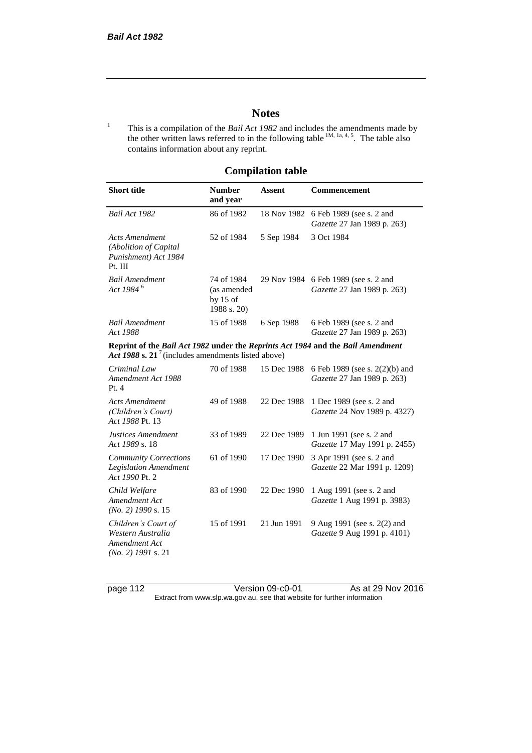# **Notes**

<sup>1</sup> This is a compilation of the *Bail Act 1982* and includes the amendments made by the other written laws referred to in the following table  $^{1M, 1a, 4, 5}$ . The table also contains information about any reprint.

# **Compilation table**

| <b>Short title</b>                                                                                                                                | <b>Number</b><br>and year                              | Assent      | Commencement                                                        |
|---------------------------------------------------------------------------------------------------------------------------------------------------|--------------------------------------------------------|-------------|---------------------------------------------------------------------|
| Bail Act 1982                                                                                                                                     | 86 of 1982                                             | 18 Nov 1982 | 6 Feb 1989 (see s. 2 and<br>Gazette 27 Jan 1989 p. 263)             |
| <b>Acts Amendment</b><br>(Abolition of Capital<br>Punishment) Act 1984<br>Pt. III                                                                 | 52 of 1984                                             | 5 Sep 1984  | 3 Oct 1984                                                          |
| <b>Bail Amendment</b><br>Act 1984 <sup>6</sup>                                                                                                    | 74 of 1984<br>(as amended<br>by $15$ of<br>1988 s. 20) |             | 29 Nov 1984 6 Feb 1989 (see s. 2 and<br>Gazette 27 Jan 1989 p. 263) |
| <b>Bail Amendment</b><br>Act 1988                                                                                                                 | 15 of 1988                                             | 6 Sep 1988  | 6 Feb 1989 (see s. 2 and<br>Gazette 27 Jan 1989 p. 263)             |
| Reprint of the Bail Act 1982 under the Reprints Act 1984 and the Bail Amendment<br>Act 1988 s. 21 <sup>7</sup> (includes amendments listed above) |                                                        |             |                                                                     |
| Criminal Law<br>Amendment Act 1988<br>Pt.4                                                                                                        | 70 of 1988                                             | 15 Dec 1988 | 6 Feb 1989 (see s. 2(2)(b) and<br>Gazette 27 Jan 1989 p. 263)       |
| <b>Acts Amendment</b><br>(Children's Court)<br>Act 1988 Pt. 13                                                                                    | 49 of 1988                                             | 22 Dec 1988 | 1 Dec 1989 (see s. 2 and<br>Gazette 24 Nov 1989 p. 4327)            |
| Justices Amendment<br>Act 1989 s. 18                                                                                                              | 33 of 1989                                             | 22 Dec 1989 | 1 Jun 1991 (see s. 2 and<br>Gazette 17 May 1991 p. 2455)            |
| <b>Community Corrections</b><br><b>Legislation Amendment</b><br>Act 1990 Pt. 2                                                                    | 61 of 1990                                             | 17 Dec 1990 | 3 Apr 1991 (see s. 2 and<br>Gazette 22 Mar 1991 p. 1209)            |
| Child Welfare<br>Amendment Act<br>$(No. 2)$ 1990 s. 15                                                                                            | 83 of 1990                                             | 22 Dec 1990 | 1 Aug 1991 (see s. 2 and<br>Gazette 1 Aug 1991 p. 3983)             |
| Children's Court of<br>Western Australia<br>Amendment Act<br>$(No. 2)$ 1991 s. 21                                                                 | 15 of 1991                                             | 21 Jun 1991 | 9 Aug 1991 (see s. 2(2) and<br>Gazette 9 Aug 1991 p. 4101)          |

page 112 Version 09-c0-01 As at 29 Nov 2016 Extract from www.slp.wa.gov.au, see that website for further information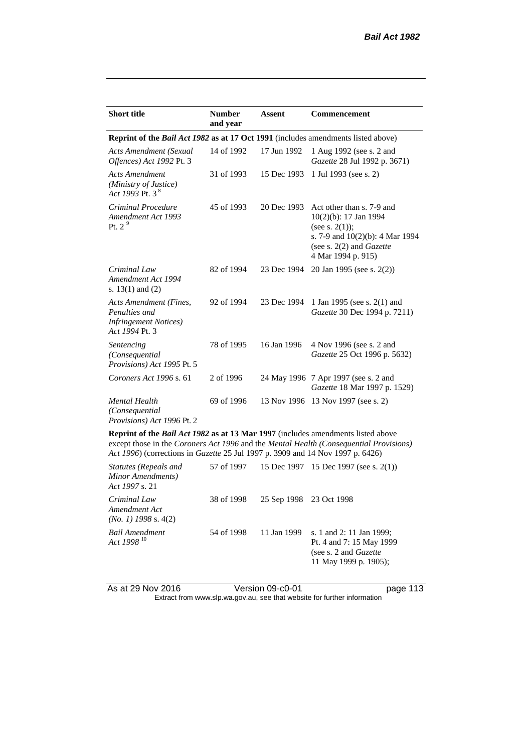| <b>Short title</b>                                                                         | <b>Number</b><br>and year | <b>Assent</b> | <b>Commencement</b>                                                                                                                                                   |  |  |
|--------------------------------------------------------------------------------------------|---------------------------|---------------|-----------------------------------------------------------------------------------------------------------------------------------------------------------------------|--|--|
| Reprint of the <i>Bail Act 1982</i> as at 17 Oct 1991 (includes amendments listed above)   |                           |               |                                                                                                                                                                       |  |  |
| <b>Acts Amendment (Sexual</b><br>Offences) Act 1992 Pt. 3                                  | 14 of 1992                | 17 Jun 1992   | 1 Aug 1992 (see s. 2 and<br>Gazette 28 Jul 1992 p. 3671)                                                                                                              |  |  |
| <b>Acts Amendment</b><br>(Ministry of Justice)<br>Act 1993 Pt. 3 <sup>8</sup>              | 31 of 1993                | 15 Dec 1993   | 1 Jul 1993 (see s. 2)                                                                                                                                                 |  |  |
| Criminal Procedure<br>Amendment Act 1993<br>Pt. 2 <sup>9</sup>                             | 45 of 1993                | 20 Dec 1993   | Act other than s. 7-9 and<br>10(2)(b): 17 Jan 1994<br>(see s. $2(1)$ );<br>s. 7-9 and 10(2)(b): 4 Mar 1994<br>(see s. $2(2)$ and <i>Gazette</i><br>4 Mar 1994 p. 915) |  |  |
| Criminal Law<br>Amendment Act 1994<br>s. $13(1)$ and $(2)$                                 | 82 of 1994                | 23 Dec 1994   | 20 Jan 1995 (see s. 2(2))                                                                                                                                             |  |  |
| Acts Amendment (Fines,<br>Penalties and<br><b>Infringement Notices</b> )<br>Act 1994 Pt. 3 | 92 of 1994                | 23 Dec 1994   | 1 Jan 1995 (see s. 2(1) and<br>Gazette 30 Dec 1994 p. 7211)                                                                                                           |  |  |
| Sentencing<br>(Consequential<br>Provisions) Act 1995 Pt. 5                                 | 78 of 1995                | 16 Jan 1996   | 4 Nov 1996 (see s. 2 and<br>Gazette 25 Oct 1996 p. 5632)                                                                                                              |  |  |
| Coroners Act 1996 s. 61                                                                    | 2 of 1996                 |               | 24 May 1996 7 Apr 1997 (see s. 2 and<br>Gazette 18 Mar 1997 p. 1529)                                                                                                  |  |  |
| <b>Mental Health</b><br>(Consequential<br>Provisions) Act 1996 Pt. 2                       | 69 of 1996                |               | 13 Nov 1996 13 Nov 1997 (see s. 2)                                                                                                                                    |  |  |
| <b>Reprint of the Bail Act 1982 as at 13 Mar 1997</b> (includes amendments listed above    |                           |               |                                                                                                                                                                       |  |  |

**Reprint of the** *Bail Act 1982* **as at 13 Mar 1997** (includes amendments listed above except those in the *Coroners Act 1996* and the *Mental Health (Consequential Provisions) Act 1996*) (corrections in *Gazette* 25 Jul 1997 p. 3909 and 14 Nov 1997 p. 6426)

| Statutes (Repeals and<br>Minor Amendments)<br>Act 1997 s. 21 | 57 of 1997 |                         | 15 Dec 1997 15 Dec 1997 (see s. 2(1))                                                                           |
|--------------------------------------------------------------|------------|-------------------------|-----------------------------------------------------------------------------------------------------------------|
| Criminal Law<br>Amendment Act<br>$(No. 1)$ 1998 s. 4(2)      | 38 of 1998 | 25 Sep 1998 23 Oct 1998 |                                                                                                                 |
| <b>Bail Amendment</b><br>Act 1998 <sup>10</sup>              | 54 of 1998 | 11 Jan 1999             | s. 1 and 2: 11 Jan 1999;<br>Pt. 4 and 7: 15 May 1999<br>(see s. 2 and <i>Gazette</i> )<br>11 May 1999 p. 1905); |

As at 29 Nov 2016 Version 09-c0-01 page 113

Extract from www.slp.wa.gov.au, see that website for further information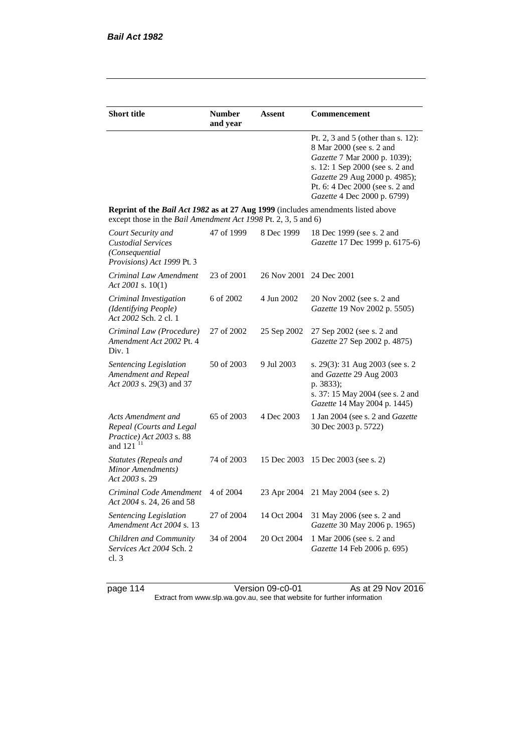| <b>Short title</b>                                                                                                                                 | <b>Number</b><br>and year | Assent                  | <b>Commencement</b>                                                                                                                                                                                                                  |  |  |
|----------------------------------------------------------------------------------------------------------------------------------------------------|---------------------------|-------------------------|--------------------------------------------------------------------------------------------------------------------------------------------------------------------------------------------------------------------------------------|--|--|
|                                                                                                                                                    |                           |                         | Pt. 2, 3 and 5 (other than s. 12):<br>8 Mar 2000 (see s. 2 and<br>Gazette 7 Mar 2000 p. 1039);<br>s. 12: 1 Sep 2000 (see s. 2 and<br>Gazette 29 Aug 2000 p. 4985);<br>Pt. 6: 4 Dec 2000 (see s. 2 and<br>Gazette 4 Dec 2000 p. 6799) |  |  |
| Reprint of the Bail Act 1982 as at 27 Aug 1999 (includes amendments listed above<br>except those in the Bail Amendment Act 1998 Pt. 2, 3, 5 and 6) |                           |                         |                                                                                                                                                                                                                                      |  |  |
| Court Security and<br><b>Custodial Services</b><br>(Consequential)<br>Provisions) Act 1999 Pt. 3                                                   | 47 of 1999                | 8 Dec 1999              | 18 Dec 1999 (see s. 2 and<br>Gazette 17 Dec 1999 p. 6175-6)                                                                                                                                                                          |  |  |
| Criminal Law Amendment<br>Act 2001 s. $10(1)$                                                                                                      | 23 of 2001                | 26 Nov 2001 24 Dec 2001 |                                                                                                                                                                                                                                      |  |  |
| Criminal Investigation<br>(Identifying People)<br>Act 2002 Sch. 2 cl. 1                                                                            | 6 of 2002                 | 4 Jun 2002              | 20 Nov 2002 (see s. 2 and<br>Gazette 19 Nov 2002 p. 5505)                                                                                                                                                                            |  |  |
| Criminal Law (Procedure)<br>Amendment Act 2002 Pt. 4<br>Div. 1                                                                                     | 27 of 2002                | 25 Sep 2002             | 27 Sep 2002 (see s. 2 and<br>Gazette 27 Sep 2002 p. 4875)                                                                                                                                                                            |  |  |
| <b>Sentencing Legislation</b><br>Amendment and Repeal<br>Act 2003 s. 29(3) and 37                                                                  | 50 of 2003                | 9 Jul 2003              | s. 29(3): 31 Aug 2003 (see s. 2)<br>and Gazette 29 Aug 2003<br>p. 3833);<br>s. 37: 15 May 2004 (see s. 2 and<br>Gazette 14 May 2004 p. 1445)                                                                                         |  |  |
| Acts Amendment and<br>Repeal (Courts and Legal<br>Practice) Act 2003 s. 88<br>and $121$ <sup>11</sup>                                              | 65 of 2003                | 4 Dec 2003              | 1 Jan 2004 (see s. 2 and <i>Gazette</i><br>30 Dec 2003 p. 5722)                                                                                                                                                                      |  |  |
| <b>Statutes (Repeals and</b><br>Minor Amendments)<br>Act 2003 s. 29                                                                                | 74 of 2003                | 15 Dec 2003             | 15 Dec 2003 (see s. 2)                                                                                                                                                                                                               |  |  |
| Criminal Code Amendment<br>Act 2004 s. 24, 26 and 58                                                                                               | 4 of 2004                 | 23 Apr 2004             | 21 May 2004 (see s. 2)                                                                                                                                                                                                               |  |  |
| <b>Sentencing Legislation</b><br>Amendment Act 2004 s. 13                                                                                          | 27 of 2004                | 14 Oct 2004             | 31 May 2006 (see s. 2 and<br>Gazette 30 May 2006 p. 1965)                                                                                                                                                                            |  |  |
| Children and Community<br>Services Act 2004 Sch. 2<br>cl.3                                                                                         | 34 of 2004                | 20 Oct 2004             | 1 Mar 2006 (see s. 2 and<br>Gazette 14 Feb 2006 p. 695)                                                                                                                                                                              |  |  |

page 114 Version 09-c0-01 As at 29 Nov 2016 Extract from www.slp.wa.gov.au, see that website for further information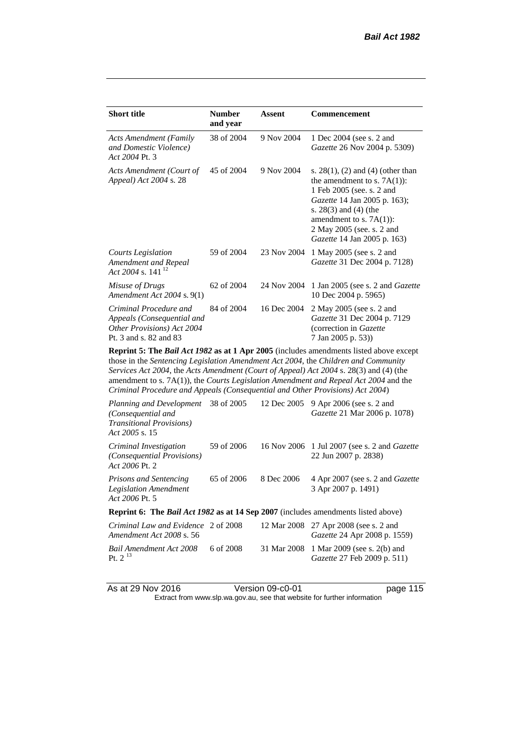| <b>Short title</b>                                                                                           | <b>Number</b><br>and year | Assent      | Commencement                                                                                                                                                                                                                                                    |  |  |
|--------------------------------------------------------------------------------------------------------------|---------------------------|-------------|-----------------------------------------------------------------------------------------------------------------------------------------------------------------------------------------------------------------------------------------------------------------|--|--|
| <b>Acts Amendment (Family</b><br>and Domestic Violence)<br>Act 2004 Pt. 3                                    | 38 of 2004                | 9 Nov 2004  | 1 Dec 2004 (see s. 2 and<br><i>Gazette</i> 26 Nov 2004 p. 5309)                                                                                                                                                                                                 |  |  |
| Acts Amendment (Court of<br>Appeal) Act 2004 s. 28                                                           | 45 of 2004                | 9 Nov 2004  | s. $28(1)$ , (2) and (4) (other than<br>the amendment to s. $7A(1)$ :<br>1 Feb 2005 (see. s. 2 and<br>Gazette 14 Jan 2005 p. 163);<br>s. $28(3)$ and $(4)$ (the<br>amendment to s. $7A(1)$ :<br>2 May 2005 (see. s. 2 and<br><i>Gazette</i> 14 Jan 2005 p. 163) |  |  |
| Courts Legislation<br>Amendment and Repeal<br>Act 2004 s. 141 <sup>12</sup>                                  | 59 of 2004                | 23 Nov 2004 | 1 May 2005 (see s. 2 and<br><i>Gazette</i> 31 Dec 2004 p. 7128)                                                                                                                                                                                                 |  |  |
| Misuse of Drugs<br>Amendment Act $2004$ s. $9(1)$                                                            | 62 of 2004                | 24 Nov 2004 | 1 Jan 2005 (see s. 2 and <i>Gazette</i><br>10 Dec 2004 p. 5965)                                                                                                                                                                                                 |  |  |
| Criminal Procedure and<br>Appeals (Consequential and<br>Other Provisions) Act 2004<br>Pt. 3 and s. 82 and 83 | 84 of 2004                | 16 Dec 2004 | 2 May 2005 (see s. 2 and<br>Gazette 31 Dec 2004 p. 7129<br>(correction in Gazette)<br>7 Jan 2005 p. 53)                                                                                                                                                         |  |  |
| <b>Doppint 5. The Pail Act 1082 as of 1 Apr 2005</b> (includes emandments listed above except                |                           |             |                                                                                                                                                                                                                                                                 |  |  |

**Reprint 5: The** *Bail Act 1982* **as at 1 Apr 2005** (includes amendments listed above except those in the *Sentencing Legislation Amendment Act 2004*, the *Children and Community Services Act 2004*, the *Acts Amendment (Court of Appeal) Act 2004* s. 28(3) and (4) (the amendment to s. 7A(1)), the *Courts Legislation Amendment and Repeal Act 2004* and the *Criminal Procedure and Appeals (Consequential and Other Provisions) Act 2004*)

| Planning and Development<br>(Consequential and<br><b>Transitional Provisions</b> )<br>Act 2005 s. 15 | 38 of 2005 | 12 Dec 2005 | 9 Apr 2006 (see s. 2 and<br>Gazette 21 Mar 2006 p. 1078)                      |
|------------------------------------------------------------------------------------------------------|------------|-------------|-------------------------------------------------------------------------------|
| Criminal Investigation<br><i>(Consequential Provisions)</i><br>Act 2006 Pt. 2                        | 59 of 2006 |             | 16 Nov 2006 1 Jul 2007 (see s. 2 and <i>Gazette</i><br>22 Jun 2007 p. 2838)   |
| <b>Prisons and Sentencing</b><br><b>Legislation Amendment</b><br>Act 2006 Pt. 5                      | 65 of 2006 | 8 Dec 2006  | 4 Apr 2007 (see s. 2 and <i>Gazette</i><br>3 Apr 2007 p. 1491)                |
| <b>Reprint 6: The Bail Act 1982 as at 14 Sep 2007</b> (includes amendments listed above)             |            |             |                                                                               |
| Criminal Law and Evidence 2 of 2008<br>Amendment Act 2008 s. 56                                      |            |             | 12 Mar 2008 27 Apr 2008 (see s. 2 and<br><i>Gazette</i> 24 Apr 2008 p. 1559)  |
| Bail Amendment Act 2008<br>Pt. $2^{13}$                                                              | 6 of 2008  |             | 31 Mar 2008 1 Mar 2009 (see s. 2(b) and<br><i>Gazette</i> 27 Feb 2009 p. 511) |

As at 29 Nov 2016 Version 09-c0-01 page 115

Extract from www.slp.wa.gov.au, see that website for further information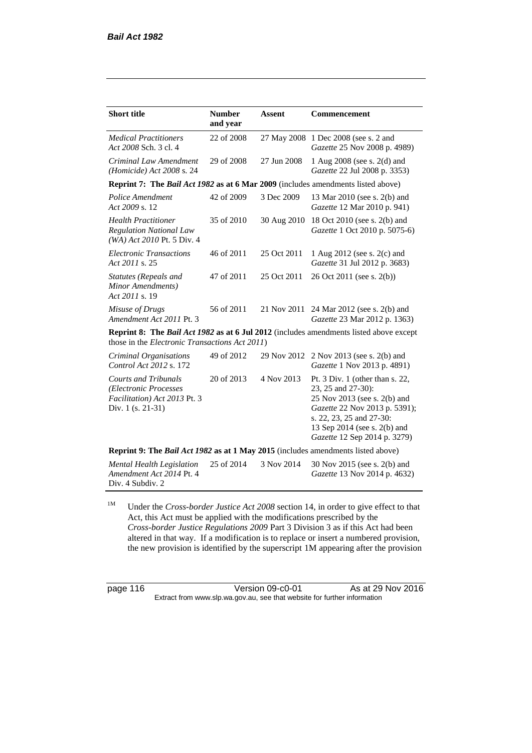| <b>Short title</b>                                                                                        | <b>Number</b><br>and year | <b>Assent</b> | <b>Commencement</b>                                                                                                                                                                                                |
|-----------------------------------------------------------------------------------------------------------|---------------------------|---------------|--------------------------------------------------------------------------------------------------------------------------------------------------------------------------------------------------------------------|
| <b>Medical Practitioners</b><br>Act 2008 Sch. 3 cl. 4                                                     | 22 of 2008                |               | 27 May 2008 1 Dec 2008 (see s. 2 and<br>Gazette 25 Nov 2008 p. 4989)                                                                                                                                               |
| Criminal Law Amendment<br>(Homicide) Act $2008$ s. 24                                                     | 29 of 2008                | 27 Jun 2008   | 1 Aug 2008 (see s. 2(d) and<br>Gazette 22 Jul 2008 p. 3353)                                                                                                                                                        |
| <b>Reprint 7: The Bail Act 1982 as at 6 Mar 2009</b> (includes amendments listed above)                   |                           |               |                                                                                                                                                                                                                    |
| Police Amendment<br>Act 2009 s. 12                                                                        | 42 of 2009                | 3 Dec 2009    | 13 Mar 2010 (see s. 2(b) and<br>Gazette 12 Mar 2010 p. 941)                                                                                                                                                        |
| <b>Health Practitioner</b><br><b>Regulation National Law</b><br>(WA) Act 2010 Pt. 5 Div. 4                | 35 of 2010                | 30 Aug 2010   | 18 Oct 2010 (see s. 2(b) and<br>Gazette 1 Oct 2010 p. 5075-6)                                                                                                                                                      |
| <b>Electronic Transactions</b><br>Act 2011 s. 25                                                          | 46 of 2011                | 25 Oct 2011   | 1 Aug 2012 (see s. 2(c) and<br>Gazette 31 Jul 2012 p. 3683)                                                                                                                                                        |
| Statutes (Repeals and<br>Minor Amendments)<br>Act 2011 s. 19                                              | 47 of 2011                | 25 Oct 2011   | 26 Oct 2011 (see s. 2(b))                                                                                                                                                                                          |
| Misuse of Drugs<br>Amendment Act 2011 Pt. 3                                                               | 56 of 2011                | 21 Nov 2011   | 24 Mar 2012 (see s. 2(b) and<br>Gazette 23 Mar 2012 p. 1363)                                                                                                                                                       |
| those in the <i>Electronic Transactions Act 2011</i> )                                                    |                           |               | <b>Reprint 8: The Bail Act 1982 as at 6 Jul 2012</b> (includes amendments listed above except                                                                                                                      |
| Criminal Organisations<br>Control Act 2012 s. 172                                                         | 49 of 2012                | 29 Nov 2012   | 2 Nov 2013 (see s. 2(b) and<br>Gazette 1 Nov 2013 p. 4891)                                                                                                                                                         |
| <b>Courts and Tribunals</b><br>(Electronic Processes<br>Facilitation) Act 2013 Pt. 3<br>Div. 1 (s. 21-31) | 20 of 2013                | 4 Nov 2013    | Pt. 3 Div. 1 (other than s. 22,<br>23, 25 and 27-30):<br>25 Nov 2013 (see s. 2(b) and<br>Gazette 22 Nov 2013 p. 5391);<br>s. 22, 23, 25 and 27-30:<br>13 Sep 2014 (see s. 2(b) and<br>Gazette 12 Sep 2014 p. 3279) |
| Reprint 9: The Bail Act 1982 as at 1 May 2015 (includes amendments listed above)                          |                           |               |                                                                                                                                                                                                                    |
| <b>Mental Health Legislation</b><br>Amendment Act 2014 Pt. 4<br>Div. 4 Subdiv. 2                          | 25 of 2014                | 3 Nov 2014    | 30 Nov 2015 (see s. 2(b) and<br>Gazette 13 Nov 2014 p. 4632)                                                                                                                                                       |

<sup>1M</sup> Under the *Cross-border Justice Act 2008* section 14, in order to give effect to that Act, this Act must be applied with the modifications prescribed by the *Cross-border Justice Regulations 2009* Part 3 Division 3 as if this Act had been altered in that way. If a modification is to replace or insert a numbered provision, the new provision is identified by the superscript 1M appearing after the provision

page 116 Version 09-c0-01 As at 29 Nov 2016 Extract from www.slp.wa.gov.au, see that website for further information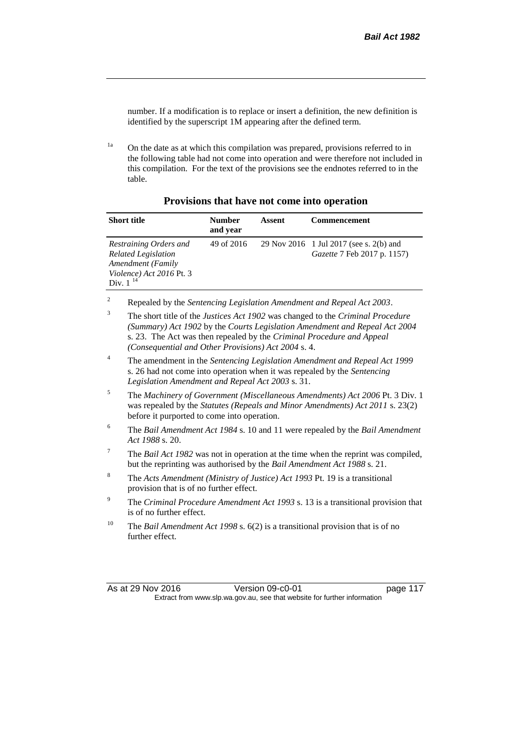number. If a modification is to replace or insert a definition, the new definition is identified by the superscript 1M appearing after the defined term.

<sup>1a</sup> On the date as at which this compilation was prepared, provisions referred to in the following table had not come into operation and were therefore not included in this compilation. For the text of the provisions see the endnotes referred to in the table.

| <b>Short title</b>                                                                                                     | <b>Number</b><br>and year | Assent | <b>Commencement</b>                                                           |
|------------------------------------------------------------------------------------------------------------------------|---------------------------|--------|-------------------------------------------------------------------------------|
| Restraining Orders and<br><b>Related Legislation</b><br>Amendment (Family<br>Violence) Act 2016 Pt. 3<br>Div. $1^{14}$ | 49 of 2016                |        | 29 Nov 2016 1 Jul 2017 (see s. 2(b) and<br><i>Gazette</i> 7 Feb 2017 p. 1157) |

# **Provisions that have not come into operation**

<sup>2</sup> Repealed by the *Sentencing Legislation Amendment and Repeal Act 2003*.

| $\overline{3}$  | The short title of the Justices Act 1902 was changed to the Criminal Procedure<br>(Summary) Act 1902 by the Courts Legislation Amendment and Repeal Act 2004<br>s. 23. The Act was then repealed by the Criminal Procedure and Appeal<br>(Consequential and Other Provisions) Act 2004 s. 4. |
|-----------------|----------------------------------------------------------------------------------------------------------------------------------------------------------------------------------------------------------------------------------------------------------------------------------------------|
| $\overline{4}$  | The amendment in the Sentencing Legislation Amendment and Repeal Act 1999<br>s. 26 had not come into operation when it was repealed by the Sentencing<br>Legislation Amendment and Repeal Act 2003 s. 31.                                                                                    |
| 5               | The Machinery of Government (Miscellaneous Amendments) Act 2006 Pt. 3 Div. 1<br>was repealed by the Statutes (Repeals and Minor Amendments) Act 2011 s. 23(2)<br>before it purported to come into operation.                                                                                 |
| 6               | The Bail Amendment Act 1984 s. 10 and 11 were repealed by the Bail Amendment<br>Act 1988 s. 20.                                                                                                                                                                                              |
| $7\phantom{.0}$ | The <i>Bail Act 1982</i> was not in operation at the time when the reprint was compiled,<br>but the reprinting was authorised by the <i>Bail Amendment Act 1988</i> s. 21.                                                                                                                   |
| 8               | The Acts Amendment (Ministry of Justice) Act 1993 Pt. 19 is a transitional<br>provision that is of no further effect.                                                                                                                                                                        |
| 9               | The Criminal Procedure Amendment Act 1993 s. 13 is a transitional provision that<br>is of no further effect.                                                                                                                                                                                 |
| 10              | The Bail Amendment Act 1998 s. 6(2) is a transitional provision that is of no<br>further effect.                                                                                                                                                                                             |

As at 29 Nov 2016 Version 09-c0-01 page 117 Extract from www.slp.wa.gov.au, see that website for further information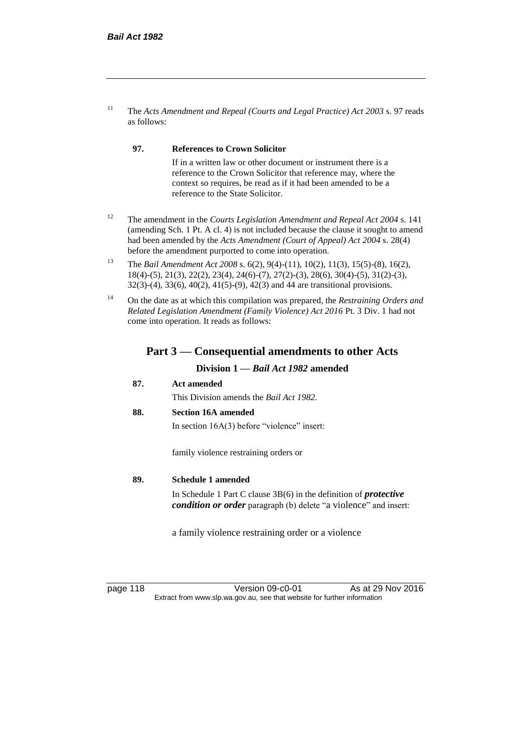<sup>11</sup> The *Acts Amendment and Repeal (Courts and Legal Practice) Act 2003* s. 97 reads as follows:

#### **97. References to Crown Solicitor**

If in a written law or other document or instrument there is a reference to the Crown Solicitor that reference may, where the context so requires, be read as if it had been amended to be a reference to the State Solicitor.

- <sup>12</sup> The amendment in the *Courts Legislation Amendment and Repeal Act 2004* s. 141 (amending Sch. 1 Pt. A cl. 4) is not included because the clause it sought to amend had been amended by the *Acts Amendment (Court of Appeal) Act 2004* s. 28(4) before the amendment purported to come into operation.
- <sup>13</sup> The *Bail Amendment Act 2008* s. 6(2), 9(4)-(11), 10(2), 11(3), 15(5)-(8), 16(2), 18(4)-(5), 21(3), 22(2), 23(4), 24(6)-(7), 27(2)-(3), 28(6), 30(4)-(5), 31(2)-(3), 32(3)-(4), 33(6), 40(2), 41(5)-(9), 42(3) and 44 are transitional provisions.
- <sup>14</sup> On the date as at which this compilation was prepared, the *Restraining Orders and Related Legislation Amendment (Family Violence) Act 2016* Pt. 3 Div. 1 had not come into operation. It reads as follows:

# **Part 3 — Consequential amendments to other Acts**

### **Division 1 —** *Bail Act 1982* **amended**

**87. Act amended**

This Division amends the *Bail Act 1982*.

#### **88. Section 16A amended**

In section 16A(3) before "violence" insert:

family violence restraining orders or

#### **89. Schedule 1 amended**

In Schedule 1 Part C clause 3B(6) in the definition of *protective condition or order* paragraph (b) delete "a violence" and insert:

a family violence restraining order or a violence

page 118 Version 09-c0-01 As at 29 Nov 2016 Extract from www.slp.wa.gov.au, see that website for further information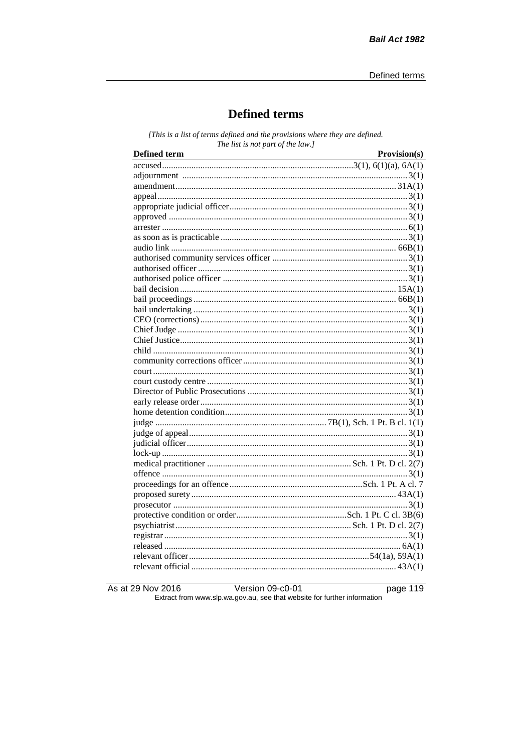# **Defined terms**

[This is a list of terms defined and the provisions where they are defined. The list is not part of the law.]

As at 29 Nov 2016

Version 09-c0-01

page 119

Extract from www.slp.wa.gov.au, see that website for further information